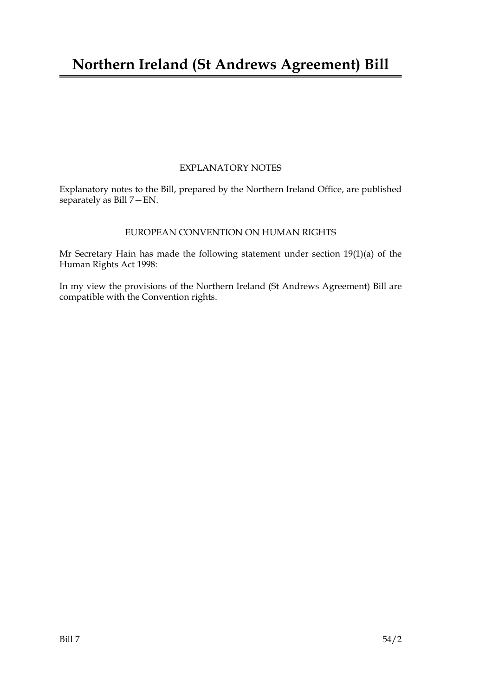# **Northern Ireland (St Andrews Agreement) Bill**

# EXPLANATORY NOTES

Explanatory notes to the Bill, prepared by the Northern Ireland Office, are published separately as Bill 7—EN.

### EUROPEAN CONVENTION ON HUMAN RIGHTS

Mr Secretary Hain has made the following statement under section 19(1)(a) of the Human Rights Act 1998:

In my view the provisions of the Northern Ireland (St Andrews Agreement) Bill are compatible with the Convention rights.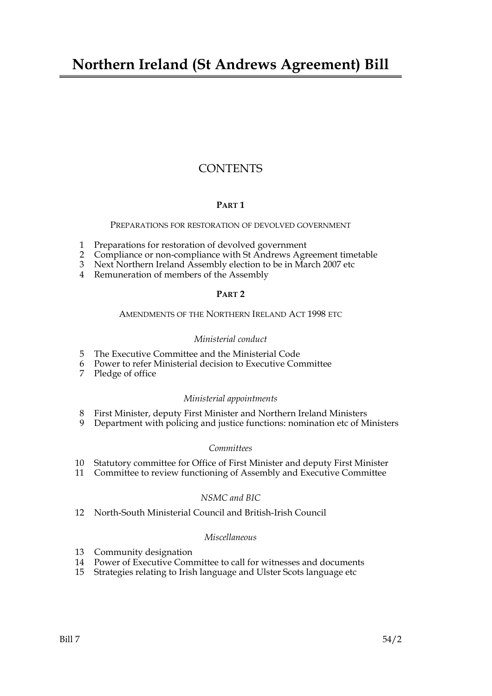# **CONTENTS**

# **PART 1**

PREPARATIONS FOR RESTORATION OF DEVOLVED GOVERNMENT

- 1 Preparations for restoration of devolved government
- 2 Compliance or non-compliance with St Andrews Agreement timetable
- 3 Next Northern Ireland Assembly election to be in March 2007 etc
- 4 Remuneration of members of the Assembly

#### **PART 2**

### AMENDMENTS OF THE NORTHERN IRELAND ACT 1998 ETC

#### *Ministerial conduct*

- 5 The Executive Committee and the Ministerial Code
- 6 Power to refer Ministerial decision to Executive Committee
- 7 Pledge of office

#### *Ministerial appointments*

- 8 First Minister, deputy First Minister and Northern Ireland Ministers
- 9 Department with policing and justice functions: nomination etc of Ministers

#### *Committees*

- 10 Statutory committee for Office of First Minister and deputy First Minister
- 11 Committee to review functioning of Assembly and Executive Committee

#### *NSMC and BIC*

12 North-South Ministerial Council and British-Irish Council

#### *Miscellaneous*

- 13 Community designation
- 14 Power of Executive Committee to call for witnesses and documents
- 15 Strategies relating to Irish language and Ulster Scots language etc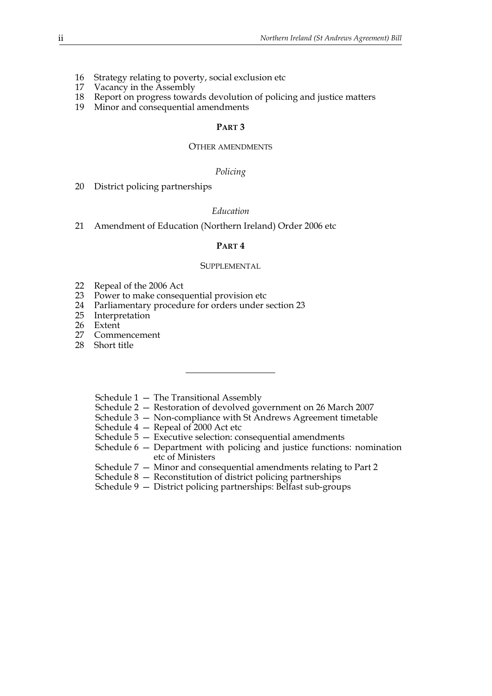- 16 Strategy relating to poverty, social exclusion etc<br>17 Vacancy in the Assembly
- Vacancy in the Assembly
- 18 Report on progress towards devolution of policing and justice matters
- 19 Minor and consequential amendments

#### **PART 3**

#### OTHER AMENDMENTS

#### *Policing*

20 District policing partnerships

#### *Education*

21 Amendment of Education (Northern Ireland) Order 2006 etc

#### **PART 4**

#### **SUPPLEMENTAL**

- 22 Repeal of the 2006 Act
- 23 Power to make consequential provision etc
- 24 Parliamentary procedure for orders under section 23
- 25 Interpretation
- 26 Extent
- 27 Commencement
- 28 Short title
	- Schedule 1 The Transitional Assembly
	- Schedule 2 Restoration of devolved government on 26 March 2007
	- Schedule 3 Non-compliance with St Andrews Agreement timetable
	- Schedule 4 Repeal of 2000 Act etc
	- Schedule 5 Executive selection: consequential amendments
	- Schedule  $6$  Department with policing and justice functions: nomination etc of Ministers
	- Schedule 7 Minor and consequential amendments relating to Part 2
	- Schedule  $8 -$  Reconstitution of district policing partnerships
	- Schedule 9 District policing partnerships: Belfast sub-groups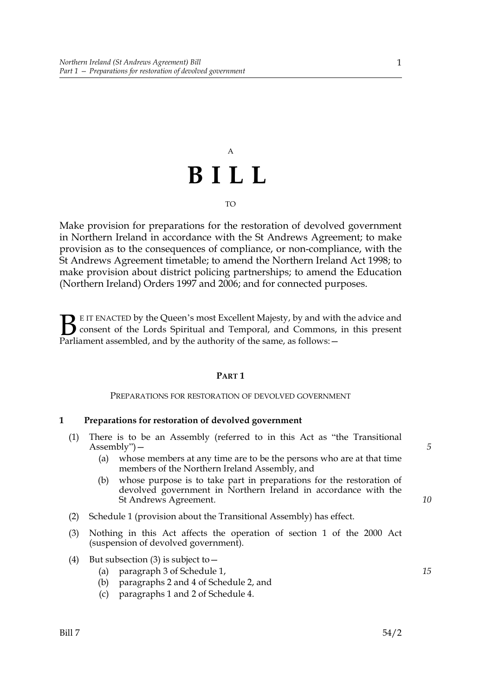# A **BILL**

#### TO

Make provision for preparations for the restoration of devolved government in Northern Ireland in accordance with the St Andrews Agreement; to make provision as to the consequences of compliance, or non-compliance, with the St Andrews Agreement timetable; to amend the Northern Ireland Act 1998; to make provision about district policing partnerships; to amend the Education (Northern Ireland) Orders 1997 and 2006; and for connected purposes.

E IT ENACTED by the Queen's most Excellent Majesty, by and with the advice and consent of the Lords Spiritual and Temporal, and Commons, in this present Parliament assembled, and by the authority of the same, as follows: - $\mathbf{B}_{\text{rel}}$ 

#### **PART 1**

#### PREPARATIONS FOR RESTORATION OF DEVOLVED GOVERNMENT

#### **1 Preparations for restoration of devolved government**

- (1) There is to be an Assembly (referred to in this Act as "the Transitional Assembly")—
	- (a) whose members at any time are to be the persons who are at that time members of the Northern Ireland Assembly, and
	- (b) whose purpose is to take part in preparations for the restoration of devolved government in Northern Ireland in accordance with the St Andrews Agreement.
- (2) Schedule 1 (provision about the Transitional Assembly) has effect.
- (3) Nothing in this Act affects the operation of section 1 of the 2000 Act (suspension of devolved government).
- (4) But subsection (3) is subject to  $-$ 
	- (a) paragraph 3 of Schedule 1,
	- (b) paragraphs 2 and 4 of Schedule 2, and
	- (c) paragraphs 1 and 2 of Schedule 4.

1

*5*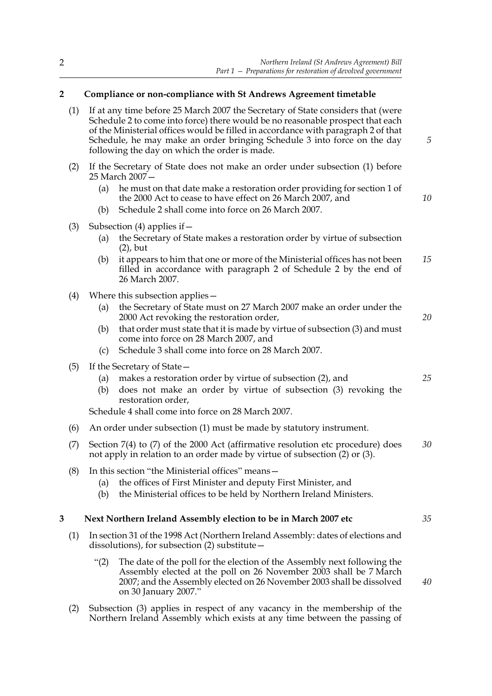#### **2 Compliance or non-compliance with St Andrews Agreement timetable**

|     | (1) | If at any time before 25 March 2007 the Secretary of State considers that (were<br>Schedule 2 to come into force) there would be no reasonable prospect that each<br>of the Ministerial offices would be filled in accordance with paragraph 2 of that<br>Schedule, he may make an order bringing Schedule 3 into force on the day<br>following the day on which the order is made. |                                                                                                                                                                                                                                                |    |  |
|-----|-----|-------------------------------------------------------------------------------------------------------------------------------------------------------------------------------------------------------------------------------------------------------------------------------------------------------------------------------------------------------------------------------------|------------------------------------------------------------------------------------------------------------------------------------------------------------------------------------------------------------------------------------------------|----|--|
|     | (2) | If the Secretary of State does not make an order under subsection (1) before<br>25 March 2007-                                                                                                                                                                                                                                                                                      |                                                                                                                                                                                                                                                |    |  |
|     |     | (a)<br>(b)                                                                                                                                                                                                                                                                                                                                                                          | he must on that date make a restoration order providing for section 1 of<br>the 2000 Act to cease to have effect on 26 March 2007, and<br>Schedule 2 shall come into force on 26 March 2007.                                                   | 10 |  |
|     | (3) | Subsection $(4)$ applies if $-$                                                                                                                                                                                                                                                                                                                                                     |                                                                                                                                                                                                                                                |    |  |
|     |     | (a)                                                                                                                                                                                                                                                                                                                                                                                 | the Secretary of State makes a restoration order by virtue of subsection<br>$(2)$ , but                                                                                                                                                        |    |  |
|     |     | (b)                                                                                                                                                                                                                                                                                                                                                                                 | it appears to him that one or more of the Ministerial offices has not been<br>filled in accordance with paragraph 2 of Schedule 2 by the end of<br>26 March 2007.                                                                              | 15 |  |
|     | (4) | Where this subsection applies -                                                                                                                                                                                                                                                                                                                                                     |                                                                                                                                                                                                                                                |    |  |
|     |     | (a)                                                                                                                                                                                                                                                                                                                                                                                 | the Secretary of State must on 27 March 2007 make an order under the<br>2000 Act revoking the restoration order,                                                                                                                               | 20 |  |
|     |     | (b)                                                                                                                                                                                                                                                                                                                                                                                 | that order must state that it is made by virtue of subsection (3) and must<br>come into force on 28 March 2007, and                                                                                                                            |    |  |
|     |     | (c)                                                                                                                                                                                                                                                                                                                                                                                 | Schedule 3 shall come into force on 28 March 2007.                                                                                                                                                                                             |    |  |
|     | (5) | If the Secretary of State -                                                                                                                                                                                                                                                                                                                                                         |                                                                                                                                                                                                                                                |    |  |
|     |     | (a)<br>(b)                                                                                                                                                                                                                                                                                                                                                                          | makes a restoration order by virtue of subsection (2), and<br>does not make an order by virtue of subsection (3) revoking the<br>restoration order,                                                                                            | 25 |  |
|     |     |                                                                                                                                                                                                                                                                                                                                                                                     | Schedule 4 shall come into force on 28 March 2007.                                                                                                                                                                                             |    |  |
|     | (6) | An order under subsection (1) must be made by statutory instrument.                                                                                                                                                                                                                                                                                                                 |                                                                                                                                                                                                                                                |    |  |
|     | (7) | Section $7(4)$ to $(7)$ of the 2000 Act (affirmative resolution etc procedure) does<br>not apply in relation to an order made by virtue of subsection (2) or (3).                                                                                                                                                                                                                   |                                                                                                                                                                                                                                                | 30 |  |
|     | (8) | (a)<br>(b)                                                                                                                                                                                                                                                                                                                                                                          | In this section "the Ministerial offices" means-<br>the offices of First Minister and deputy First Minister, and<br>the Ministerial offices to be held by Northern Ireland Ministers.                                                          |    |  |
| 3   |     |                                                                                                                                                                                                                                                                                                                                                                                     | Next Northern Ireland Assembly election to be in March 2007 etc                                                                                                                                                                                | 35 |  |
| (1) |     | In section 31 of the 1998 Act (Northern Ireland Assembly: dates of elections and<br>dissolutions), for subsection $(2)$ substitute $-$                                                                                                                                                                                                                                              |                                                                                                                                                                                                                                                |    |  |
|     |     | " $(2)$                                                                                                                                                                                                                                                                                                                                                                             | The date of the poll for the election of the Assembly next following the<br>Assembly elected at the poll on 26 November 2003 shall be 7 March<br>2007; and the Assembly elected on 26 November 2003 shall be dissolved<br>on 30 January 2007." | 40 |  |

(2) Subsection (3) applies in respect of any vacancy in the membership of the Northern Ireland Assembly which exists at any time between the passing of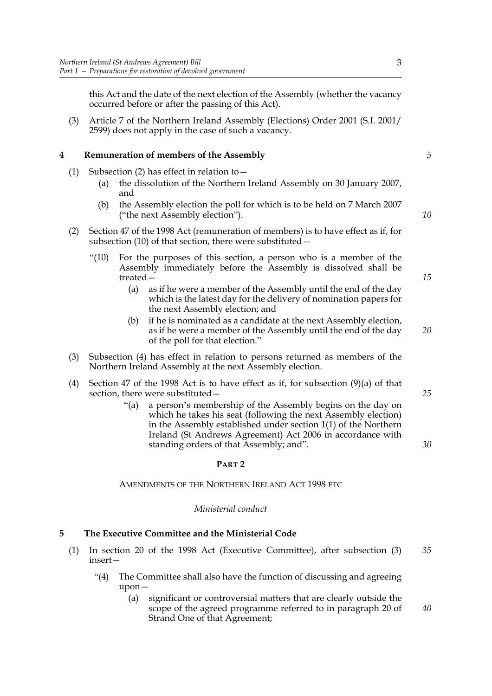this Act and the date of the next election of the Assembly (whether the vacancy occurred before or after the passing of this Act).

(3) Article 7 of the Northern Ireland Assembly (Elections) Order 2001 (S.I. 2001/ 2599) does not apply in the case of such a vacancy.

#### **4 Remuneration of members of the Assembly**

- (1) Subsection (2) has effect in relation to—
	- (a) the dissolution of the Northern Ireland Assembly on 30 January 2007, and
	- (b) the Assembly election the poll for which is to be held on 7 March 2007 ("the next Assembly election").
- (2) Section 47 of the 1998 Act (remuneration of members) is to have effect as if, for subsection (10) of that section, there were substituted—
	- "(10) For the purposes of this section, a person who is a member of the Assembly immediately before the Assembly is dissolved shall be treated—
		- (a) as if he were a member of the Assembly until the end of the day which is the latest day for the delivery of nomination papers for the next Assembly election; and
		- (b) if he is nominated as a candidate at the next Assembly election, as if he were a member of the Assembly until the end of the day of the poll for that election."
- (3) Subsection (4) has effect in relation to persons returned as members of the Northern Ireland Assembly at the next Assembly election.
- (4) Section 47 of the 1998 Act is to have effect as if, for subsection (9)(a) of that section, there were substituted—
	- "(a) a person's membership of the Assembly begins on the day on which he takes his seat (following the next Assembly election) in the Assembly established under section 1(1) of the Northern Ireland (St Andrews Agreement) Act 2006 in accordance with standing orders of that Assembly; and".

#### **PART 2**

#### AMENDMENTS OF THE NORTHERN IRELAND ACT 1998 ETC

#### *Ministerial conduct*

#### **5 The Executive Committee and the Ministerial Code**

- (1) In section 20 of the 1998 Act (Executive Committee), after subsection (3) insert— *35*
	- "(4) The Committee shall also have the function of discussing and agreeing upon—
		- (a) significant or controversial matters that are clearly outside the scope of the agreed programme referred to in paragraph 20 of Strand One of that Agreement;

*15*

*20*

*10*

*5*

*25*

*30*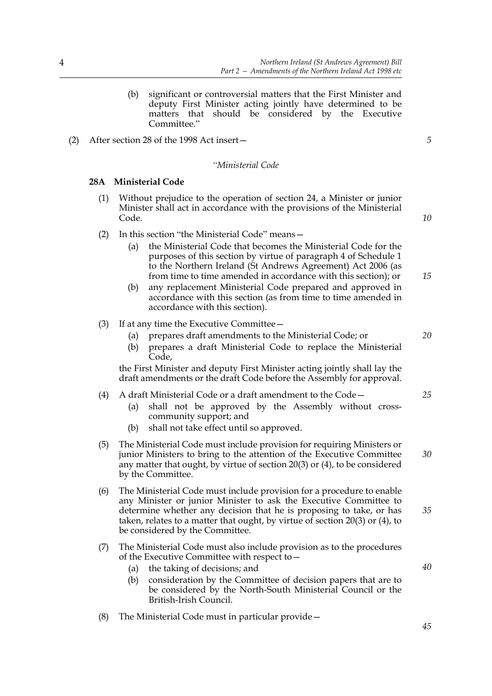- (b) significant or controversial matters that the First Minister and deputy First Minister acting jointly have determined to be matters that should be considered by the Executive Committee."
- (2) After section 28 of the 1998 Act insert—

#### *"Ministerial Code*

#### **28A Ministerial Code**

- (1) Without prejudice to the operation of section 24, a Minister or junior Minister shall act in accordance with the provisions of the Ministerial Code.
- (2) In this section "the Ministerial Code" means—
	- (a) the Ministerial Code that becomes the Ministerial Code for the purposes of this section by virtue of paragraph 4 of Schedule 1 to the Northern Ireland (St Andrews Agreement) Act 2006 (as from time to time amended in accordance with this section); or
	- (b) any replacement Ministerial Code prepared and approved in accordance with this section (as from time to time amended in accordance with this section).

#### (3) If at any time the Executive Committee—

- (a) prepares draft amendments to the Ministerial Code; or
- (b) prepares a draft Ministerial Code to replace the Ministerial Code,

the First Minister and deputy First Minister acting jointly shall lay the draft amendments or the draft Code before the Assembly for approval.

#### (4) A draft Ministerial Code or a draft amendment to the Code—

- (a) shall not be approved by the Assembly without crosscommunity support; and
- (b) shall not take effect until so approved.
- (5) The Ministerial Code must include provision for requiring Ministers or junior Ministers to bring to the attention of the Executive Committee any matter that ought, by virtue of section 20(3) or (4), to be considered by the Committee. *30*
- (6) The Ministerial Code must include provision for a procedure to enable any Minister or junior Minister to ask the Executive Committee to determine whether any decision that he is proposing to take, or has taken, relates to a matter that ought, by virtue of section 20(3) or (4), to be considered by the Committee.
- (7) The Ministerial Code must also include provision as to the procedures of the Executive Committee with respect to—
	- (a) the taking of decisions; and
	- (b) consideration by the Committee of decision papers that are to be considered by the North-South Ministerial Council or the British-Irish Council.
- (8) The Ministerial Code must in particular provide—

*40*

*5*

*10*

*15*

*25*

*20*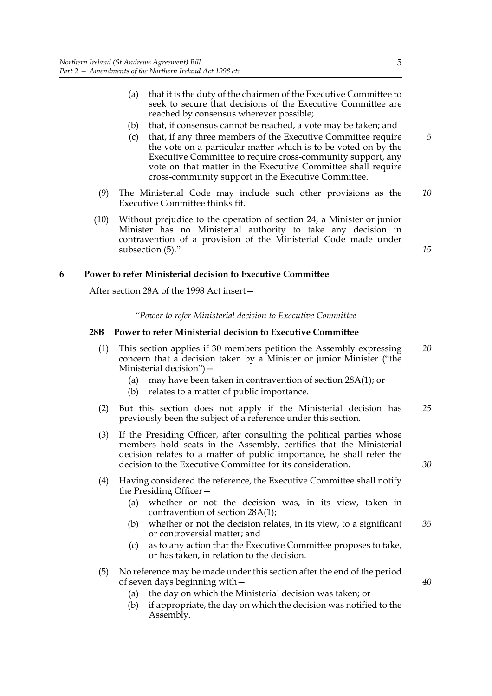- (a) that it is the duty of the chairmen of the Executive Committee to seek to secure that decisions of the Executive Committee are reached by consensus wherever possible;
- (b) that, if consensus cannot be reached, a vote may be taken; and
- (c) that, if any three members of the Executive Committee require the vote on a particular matter which is to be voted on by the Executive Committee to require cross-community support, any vote on that matter in the Executive Committee shall require cross-community support in the Executive Committee.
- (9) The Ministerial Code may include such other provisions as the Executive Committee thinks fit. *10*
- (10) Without prejudice to the operation of section 24, a Minister or junior Minister has no Ministerial authority to take any decision in contravention of a provision of the Ministerial Code made under subsection (5)."

*15*

*5*

#### **6 Power to refer Ministerial decision to Executive Committee**

After section 28A of the 1998 Act insert—

*"Power to refer Ministerial decision to Executive Committee*

#### **28B Power to refer Ministerial decision to Executive Committee**

- (1) This section applies if 30 members petition the Assembly expressing concern that a decision taken by a Minister or junior Minister ("the Ministerial decision")— *20*
	- (a) may have been taken in contravention of section 28A(1); or
	- (b) relates to a matter of public importance.
- (2) But this section does not apply if the Ministerial decision has previously been the subject of a reference under this section. *25*
- (3) If the Presiding Officer, after consulting the political parties whose members hold seats in the Assembly, certifies that the Ministerial decision relates to a matter of public importance, he shall refer the decision to the Executive Committee for its consideration.
- (4) Having considered the reference, the Executive Committee shall notify the Presiding Officer—
	- (a) whether or not the decision was, in its view, taken in contravention of section 28A(1);
	- (b) whether or not the decision relates, in its view, to a significant or controversial matter; and *35*
	- (c) as to any action that the Executive Committee proposes to take, or has taken, in relation to the decision.
- (5) No reference may be made under this section after the end of the period of seven days beginning with—
	- (a) the day on which the Ministerial decision was taken; or
	- (b) if appropriate, the day on which the decision was notified to the Assembly.

*40*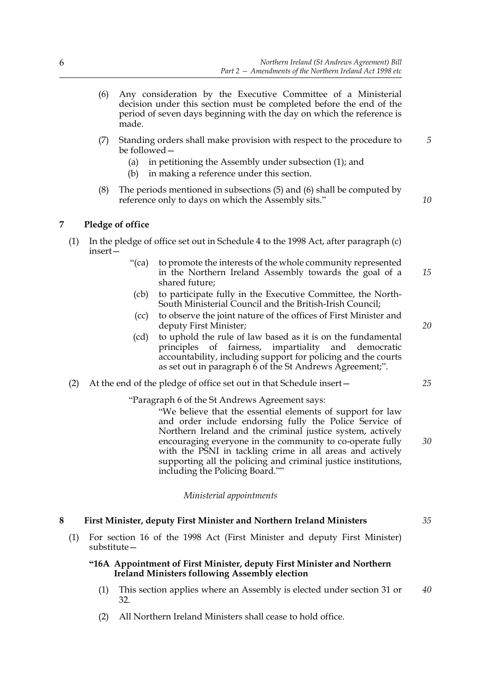- (6) Any consideration by the Executive Committee of a Ministerial decision under this section must be completed before the end of the period of seven days beginning with the day on which the reference is made.
- (7) Standing orders shall make provision with respect to the procedure to be followed— *5*
	- (a) in petitioning the Assembly under subsection (1); and
	- (b) in making a reference under this section.
- (8) The periods mentioned in subsections (5) and (6) shall be computed by reference only to days on which the Assembly sits."

#### **7 Pledge of office**

- (1) In the pledge of office set out in Schedule 4 to the 1998 Act, after paragraph (c) insert—
	- "(ca) to promote the interests of the whole community represented in the Northern Ireland Assembly towards the goal of a shared future; *15*
	- (cb) to participate fully in the Executive Committee, the North-South Ministerial Council and the British-Irish Council;
	- (cc) to observe the joint nature of the offices of First Minister and deputy First Minister;
	- (cd) to uphold the rule of law based as it is on the fundamental principles of fairness, impartiality and democratic accountability, including support for policing and the courts as set out in paragraph 6 of the St Andrews Agreement;".

#### (2) At the end of the pledge of office set out in that Schedule insert—

"Paragraph 6 of the St Andrews Agreement says:

 "We believe that the essential elements of support for law and order include endorsing fully the Police Service of Northern Ireland and the criminal justice system, actively encouraging everyone in the community to co-operate fully with the PSNI in tackling crime in all areas and actively supporting all the policing and criminal justice institutions, including the Policing Board.""

#### *Ministerial appointments*

#### **8 First Minister, deputy First Minister and Northern Ireland Ministers**

(1) For section 16 of the 1998 Act (First Minister and deputy First Minister) substitute—

#### **"16A Appointment of First Minister, deputy First Minister and Northern Ireland Ministers following Assembly election**

- (1) This section applies where an Assembly is elected under section 31 or 32. *40*
- (2) All Northern Ireland Ministers shall cease to hold office.

*25*

*20*

*10*

# *30*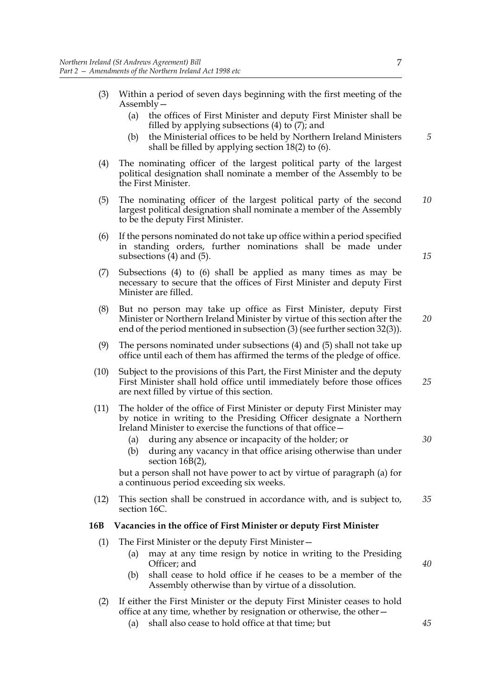- (3) Within a period of seven days beginning with the first meeting of the Assembly—
	- (a) the offices of First Minister and deputy First Minister shall be filled by applying subsections (4) to (7); and
	- (b) the Ministerial offices to be held by Northern Ireland Ministers shall be filled by applying section 18(2) to (6).
- (4) The nominating officer of the largest political party of the largest political designation shall nominate a member of the Assembly to be the First Minister.
- (5) The nominating officer of the largest political party of the second largest political designation shall nominate a member of the Assembly to be the deputy First Minister. *10*
- (6) If the persons nominated do not take up office within a period specified in standing orders, further nominations shall be made under subsections (4) and (5).
- (7) Subsections (4) to (6) shall be applied as many times as may be necessary to secure that the offices of First Minister and deputy First Minister are filled.
- (8) But no person may take up office as First Minister, deputy First Minister or Northern Ireland Minister by virtue of this section after the end of the period mentioned in subsection (3) (see further section 32(3)).
- (9) The persons nominated under subsections (4) and (5) shall not take up office until each of them has affirmed the terms of the pledge of office.
- (10) Subject to the provisions of this Part, the First Minister and the deputy First Minister shall hold office until immediately before those offices are next filled by virtue of this section.
- (11) The holder of the office of First Minister or deputy First Minister may by notice in writing to the Presiding Officer designate a Northern Ireland Minister to exercise the functions of that office—
	- (a) during any absence or incapacity of the holder; or
	- (b) during any vacancy in that office arising otherwise than under section 16B(2),

but a person shall not have power to act by virtue of paragraph (a) for a continuous period exceeding six weeks.

(12) This section shall be construed in accordance with, and is subject to, section 16C. *35*

#### **16B Vacancies in the office of First Minister or deputy First Minister**

- (1) The First Minister or the deputy First Minister—
	- (a) may at any time resign by notice in writing to the Presiding Officer; and
	- (b) shall cease to hold office if he ceases to be a member of the Assembly otherwise than by virtue of a dissolution.
- (2) If either the First Minister or the deputy First Minister ceases to hold office at any time, whether by resignation or otherwise, the other—
	- (a) shall also cease to hold office at that time; but

*5*

*15*

*20*

*25*

*30*

*45*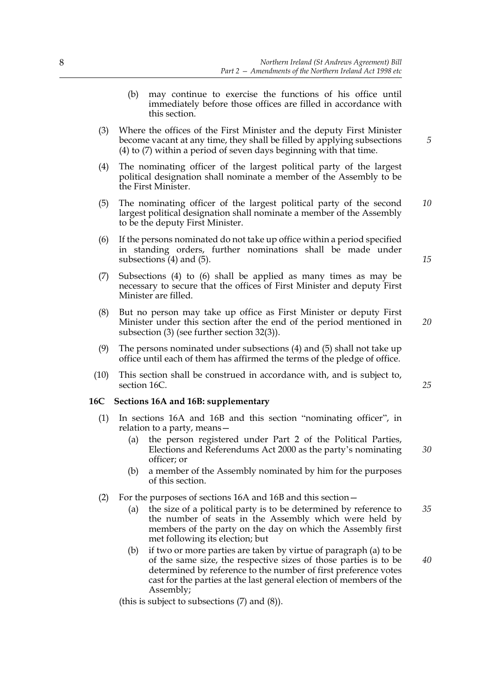- (b) may continue to exercise the functions of his office until immediately before those offices are filled in accordance with this section.
- (3) Where the offices of the First Minister and the deputy First Minister become vacant at any time, they shall be filled by applying subsections (4) to (7) within a period of seven days beginning with that time.
- (4) The nominating officer of the largest political party of the largest political designation shall nominate a member of the Assembly to be the First Minister.
- (5) The nominating officer of the largest political party of the second largest political designation shall nominate a member of the Assembly to be the deputy First Minister. *10*
- (6) If the persons nominated do not take up office within a period specified in standing orders, further nominations shall be made under subsections  $(4)$  and  $(5)$ .
- (7) Subsections (4) to (6) shall be applied as many times as may be necessary to secure that the offices of First Minister and deputy First Minister are filled.
- (8) But no person may take up office as First Minister or deputy First Minister under this section after the end of the period mentioned in subsection (3) (see further section 32(3)).
- (9) The persons nominated under subsections (4) and (5) shall not take up office until each of them has affirmed the terms of the pledge of office.
- (10) This section shall be construed in accordance with, and is subject to, section 16C.

### **16C Sections 16A and 16B: supplementary**

- (1) In sections 16A and 16B and this section "nominating officer", in relation to a party, means—
	- (a) the person registered under Part 2 of the Political Parties, Elections and Referendums Act 2000 as the party's nominating officer; or *30*
	- (b) a member of the Assembly nominated by him for the purposes of this section.
- (2) For the purposes of sections 16A and 16B and this section—
	- (a) the size of a political party is to be determined by reference to the number of seats in the Assembly which were held by members of the party on the day on which the Assembly first met following its election; but *35*
	- (b) if two or more parties are taken by virtue of paragraph (a) to be of the same size, the respective sizes of those parties is to be determined by reference to the number of first preference votes cast for the parties at the last general election of members of the Assembly;

(this is subject to subsections (7) and (8)).

*15*

*5*

*25*

*20*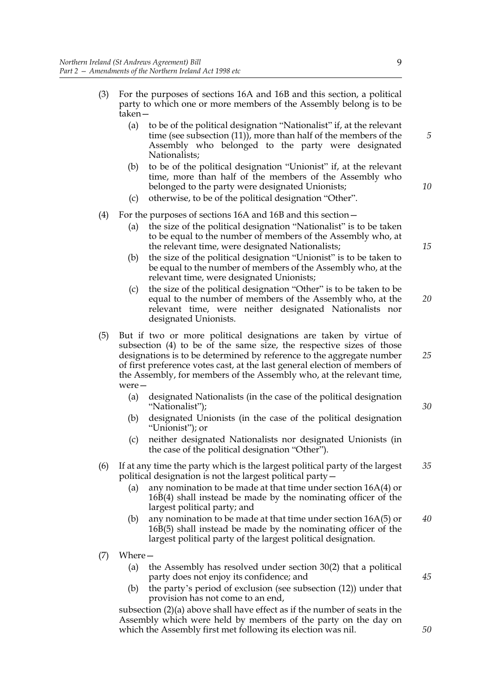- (3) For the purposes of sections 16A and 16B and this section, a political party to which one or more members of the Assembly belong is to be taken—
	- (a) to be of the political designation "Nationalist" if, at the relevant time (see subsection (11)), more than half of the members of the Assembly who belonged to the party were designated Nationalists;
	- (b) to be of the political designation "Unionist" if, at the relevant time, more than half of the members of the Assembly who belonged to the party were designated Unionists;
	- (c) otherwise, to be of the political designation "Other".
- (4) For the purposes of sections 16A and 16B and this section—
	- (a) the size of the political designation "Nationalist" is to be taken to be equal to the number of members of the Assembly who, at the relevant time, were designated Nationalists;
	- (b) the size of the political designation "Unionist" is to be taken to be equal to the number of members of the Assembly who, at the relevant time, were designated Unionists;
	- (c) the size of the political designation "Other" is to be taken to be equal to the number of members of the Assembly who, at the relevant time, were neither designated Nationalists nor designated Unionists. *20*
- (5) But if two or more political designations are taken by virtue of subsection (4) to be of the same size, the respective sizes of those designations is to be determined by reference to the aggregate number of first preference votes cast, at the last general election of members of the Assembly, for members of the Assembly who, at the relevant time, were—
	- (a) designated Nationalists (in the case of the political designation "Nationalist");
	- (b) designated Unionists (in the case of the political designation "Unionist"); or
	- (c) neither designated Nationalists nor designated Unionists (in the case of the political designation "Other").
- (6) If at any time the party which is the largest political party of the largest political designation is not the largest political party— *35*
	- (a) any nomination to be made at that time under section 16A(4) or 16B(4) shall instead be made by the nominating officer of the largest political party; and
	- (b) any nomination to be made at that time under section 16A(5) or 16B(5) shall instead be made by the nominating officer of the largest political party of the largest political designation. *40*
- (7) Where—
	- (a) the Assembly has resolved under section 30(2) that a political party does not enjoy its confidence; and
	- (b) the party's period of exclusion (see subsection (12)) under that provision has not come to an end,

subsection (2)(a) above shall have effect as if the number of seats in the Assembly which were held by members of the party on the day on which the Assembly first met following its election was nil.

*15*

*10*

*5*

*25*

*30*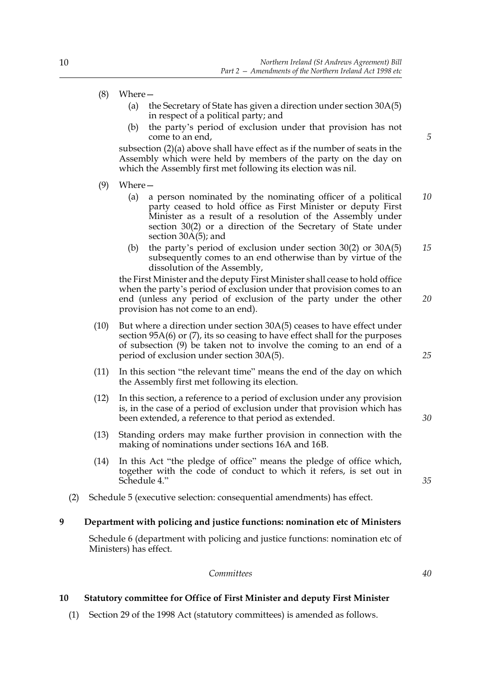#### (8) Where—

- (a) the Secretary of State has given a direction under section 30A(5) in respect of a political party; and
- (b) the party's period of exclusion under that provision has not come to an end,

subsection (2)(a) above shall have effect as if the number of seats in the Assembly which were held by members of the party on the day on which the Assembly first met following its election was nil.

- (9) Where—
	- (a) a person nominated by the nominating officer of a political party ceased to hold office as First Minister or deputy First Minister as a result of a resolution of the Assembly under section 30(2) or a direction of the Secretary of State under section 30A(5); and *10*
	- (b) the party's period of exclusion under section 30(2) or 30A(5) subsequently comes to an end otherwise than by virtue of the dissolution of the Assembly, *15*

the First Minister and the deputy First Minister shall cease to hold office when the party's period of exclusion under that provision comes to an end (unless any period of exclusion of the party under the other provision has not come to an end).

- (10) But where a direction under section 30A(5) ceases to have effect under section 95A(6) or (7), its so ceasing to have effect shall for the purposes of subsection (9) be taken not to involve the coming to an end of a period of exclusion under section 30A(5).
- (11) In this section "the relevant time" means the end of the day on which the Assembly first met following its election.
- (12) In this section, a reference to a period of exclusion under any provision is, in the case of a period of exclusion under that provision which has been extended, a reference to that period as extended.
- (13) Standing orders may make further provision in connection with the making of nominations under sections 16A and 16B.
- (14) In this Act "the pledge of office" means the pledge of office which, together with the code of conduct to which it refers, is set out in Schedule 4."
- (2) Schedule 5 (executive selection: consequential amendments) has effect.

#### **9 Department with policing and justice functions: nomination etc of Ministers**

Schedule 6 (department with policing and justice functions: nomination etc of Ministers) has effect.

#### *Committees*

*40*

#### **10 Statutory committee for Office of First Minister and deputy First Minister**

(1) Section 29 of the 1998 Act (statutory committees) is amended as follows.

*25*

*30*

*35*

*20*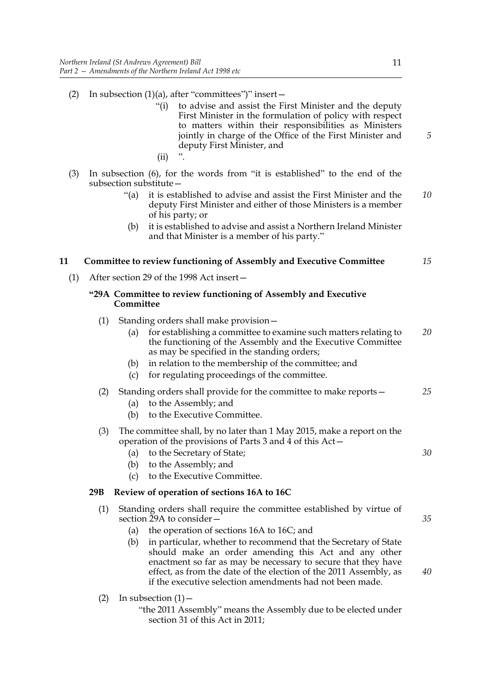- (2) In subsection  $(1)(a)$ , after "committees")" insert
	- "(i) to advise and assist the First Minister and the deputy First Minister in the formulation of policy with respect to matters within their responsibilities as Ministers jointly in charge of the Office of the First Minister and deputy First Minister, and
	- $(ii)$
- (3) In subsection (6), for the words from "it is established" to the end of the subsection substitute—
	- "(a) it is established to advise and assist the First Minister and the deputy First Minister and either of those Ministers is a member of his party; or *10*
	- (b) it is established to advise and assist a Northern Ireland Minister and that Minister is a member of his party."

### **11 Committee to review functioning of Assembly and Executive Committee**

(1) After section 29 of the 1998 Act insert—

#### **"29A Committee to review functioning of Assembly and Executive Committee**

- (1) Standing orders shall make provision—
	- (a) for establishing a committee to examine such matters relating to the functioning of the Assembly and the Executive Committee as may be specified in the standing orders; *20*
	- (b) in relation to the membership of the committee; and
	- (c) for regulating proceedings of the committee.
- (2) Standing orders shall provide for the committee to make reports— (a) to the Assembly; and *25*
	-
	- (b) to the Executive Committee.

#### (3) The committee shall, by no later than 1 May 2015, make a report on the operation of the provisions of Parts 3 and 4 of this Act—

- (a) to the Secretary of State;
- (b) to the Assembly; and
- (c) to the Executive Committee.

# **29B Review of operation of sections 16A to 16C**

- (1) Standing orders shall require the committee established by virtue of section 29A to consider—
	- (a) the operation of sections 16A to 16C; and
	- (b) in particular, whether to recommend that the Secretary of State should make an order amending this Act and any other enactment so far as may be necessary to secure that they have effect, as from the date of the election of the 2011 Assembly, as if the executive selection amendments had not been made.
- (2) In subsection  $(1)$  –

"the 2011 Assembly" means the Assembly due to be elected under section 31 of this Act in 2011;

*5*

*15*

*40*

*35*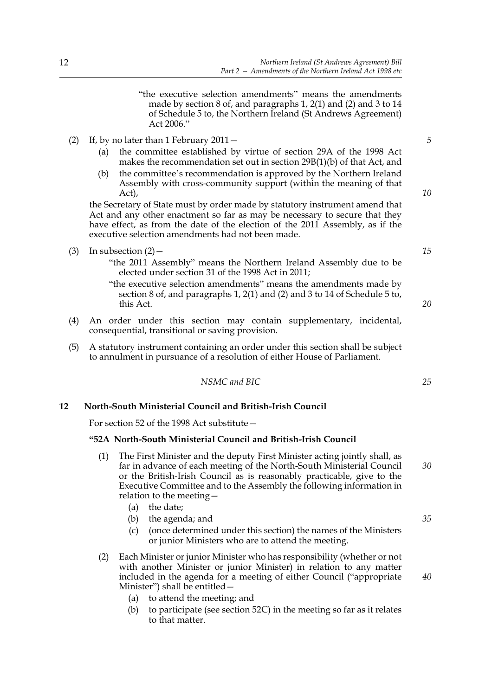"the executive selection amendments" means the amendments made by section 8 of, and paragraphs 1, 2(1) and (2) and 3 to 14 of Schedule 5 to, the Northern Ireland (St Andrews Agreement) Act 2006."

- (2) If, by no later than 1 February 2011—
	- (a) the committee established by virtue of section 29A of the 1998 Act makes the recommendation set out in section 29B(1)(b) of that Act, and
	- (b) the committee's recommendation is approved by the Northern Ireland Assembly with cross-community support (within the meaning of that Act),

the Secretary of State must by order made by statutory instrument amend that Act and any other enactment so far as may be necessary to secure that they have effect, as from the date of the election of the 2011 Assembly, as if the executive selection amendments had not been made.

- (3) In subsection  $(2)$ 
	- "the 2011 Assembly" means the Northern Ireland Assembly due to be elected under section 31 of the 1998 Act in 2011;
	- "the executive selection amendments" means the amendments made by section 8 of, and paragraphs 1, 2(1) and (2) and 3 to 14 of Schedule 5 to, this Act.
- (4) An order under this section may contain supplementary, incidental, consequential, transitional or saving provision.
- (5) A statutory instrument containing an order under this section shall be subject to annulment in pursuance of a resolution of either House of Parliament.

*NSMC and BIC*

#### **12 North-South Ministerial Council and British-Irish Council**

For section 52 of the 1998 Act substitute—

#### **"52A North-South Ministerial Council and British-Irish Council**

- (1) The First Minister and the deputy First Minister acting jointly shall, as far in advance of each meeting of the North-South Ministerial Council or the British-Irish Council as is reasonably practicable, give to the Executive Committee and to the Assembly the following information in relation to the meeting— *30*
	- (a) the date;
	- (b) the agenda; and
	- (c) (once determined under this section) the names of the Ministers or junior Ministers who are to attend the meeting.
- (2) Each Minister or junior Minister who has responsibility (whether or not with another Minister or junior Minister) in relation to any matter included in the agenda for a meeting of either Council ("appropriate Minister") shall be entitled—
	- (a) to attend the meeting; and
	- (b) to participate (see section 52C) in the meeting so far as it relates to that matter.

*10*

*5*

*15*



*20*

*25*

*35*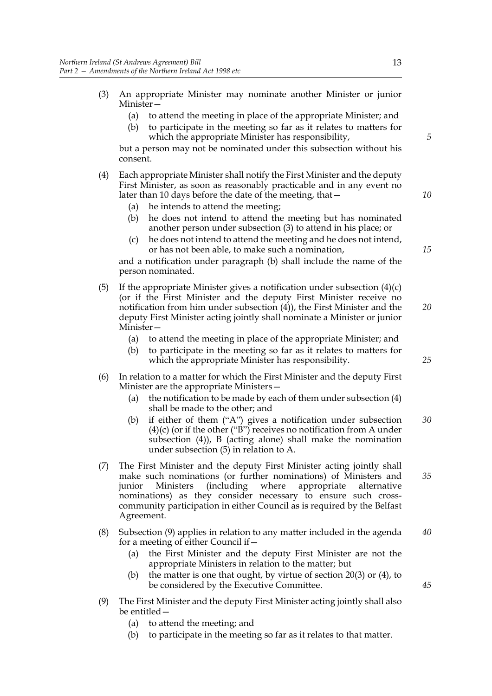- (3) An appropriate Minister may nominate another Minister or junior Minister—
	- (a) to attend the meeting in place of the appropriate Minister; and
	- (b) to participate in the meeting so far as it relates to matters for which the appropriate Minister has responsibility,

but a person may not be nominated under this subsection without his consent.

#### (4) Each appropriate Minister shall notify the First Minister and the deputy First Minister, as soon as reasonably practicable and in any event no later than 10 days before the date of the meeting, that—

- (a) he intends to attend the meeting;
- (b) he does not intend to attend the meeting but has nominated another person under subsection (3) to attend in his place; or
- (c) he does not intend to attend the meeting and he does not intend, or has not been able, to make such a nomination,

and a notification under paragraph (b) shall include the name of the person nominated.

- (5) If the appropriate Minister gives a notification under subsection  $(4)(c)$ (or if the First Minister and the deputy First Minister receive no notification from him under subsection (4)), the First Minister and the deputy First Minister acting jointly shall nominate a Minister or junior Minister— *20*
	- (a) to attend the meeting in place of the appropriate Minister; and
	- (b) to participate in the meeting so far as it relates to matters for which the appropriate Minister has responsibility.
- (6) In relation to a matter for which the First Minister and the deputy First Minister are the appropriate Ministers—
	- (a) the notification to be made by each of them under subsection (4) shall be made to the other; and
	- (b) if either of them ("A") gives a notification under subsection  $(4)(c)$  (or if the other ("B") receives no notification from A under subsection (4)), B (acting alone) shall make the nomination under subsection (5) in relation to A. *30*
- (7) The First Minister and the deputy First Minister acting jointly shall make such nominations (or further nominations) of Ministers and junior Ministers (including where appropriate alternative nominations) as they consider necessary to ensure such crosscommunity participation in either Council as is required by the Belfast Agreement. *35*
- (8) Subsection (9) applies in relation to any matter included in the agenda for a meeting of either Council if— *40*
	- (a) the First Minister and the deputy First Minister are not the appropriate Ministers in relation to the matter; but
	- (b) the matter is one that ought, by virtue of section 20(3) or (4), to be considered by the Executive Committee.
- (9) The First Minister and the deputy First Minister acting jointly shall also be entitled—
	- (a) to attend the meeting; and
	- (b) to participate in the meeting so far as it relates to that matter.

13

*5*

*10*

*15*

*25*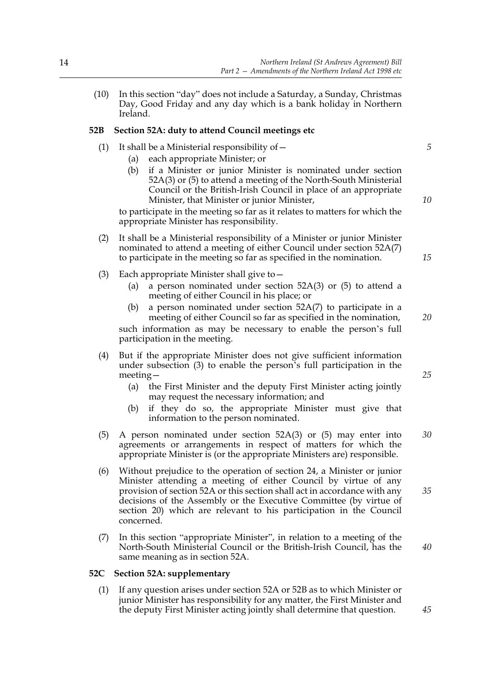(10) In this section "day" does not include a Saturday, a Sunday, Christmas Day, Good Friday and any day which is a bank holiday in Northern Ireland.

#### **52B Section 52A: duty to attend Council meetings etc**

- (1) It shall be a Ministerial responsibility of  $-$ 
	- (a) each appropriate Minister; or
	- (b) if a Minister or junior Minister is nominated under section 52A(3) or (5) to attend a meeting of the North-South Ministerial Council or the British-Irish Council in place of an appropriate Minister, that Minister or junior Minister,

to participate in the meeting so far as it relates to matters for which the appropriate Minister has responsibility.

- (2) It shall be a Ministerial responsibility of a Minister or junior Minister nominated to attend a meeting of either Council under section 52A(7) to participate in the meeting so far as specified in the nomination.
- (3) Each appropriate Minister shall give to—
	- (a) a person nominated under section 52A(3) or (5) to attend a meeting of either Council in his place; or
	- (b) a person nominated under section 52A(7) to participate in a meeting of either Council so far as specified in the nomination, such information as may be necessary to enable the person's full participation in the meeting.
- (4) But if the appropriate Minister does not give sufficient information under subsection (3) to enable the person's full participation in the meeting—
	- (a) the First Minister and the deputy First Minister acting jointly may request the necessary information; and
	- (b) if they do so, the appropriate Minister must give that information to the person nominated.
- (5) A person nominated under section 52A(3) or (5) may enter into agreements or arrangements in respect of matters for which the appropriate Minister is (or the appropriate Ministers are) responsible. *30*
- (6) Without prejudice to the operation of section 24, a Minister or junior Minister attending a meeting of either Council by virtue of any provision of section 52A or this section shall act in accordance with any decisions of the Assembly or the Executive Committee (by virtue of section 20) which are relevant to his participation in the Council concerned.
- (7) In this section "appropriate Minister", in relation to a meeting of the North-South Ministerial Council or the British-Irish Council, has the same meaning as in section 52A.

#### **52C Section 52A: supplementary**

(1) If any question arises under section 52A or 52B as to which Minister or junior Minister has responsibility for any matter, the First Minister and the deputy First Minister acting jointly shall determine that question.

*15*

*5*

*10*

*25*

*35*

*40*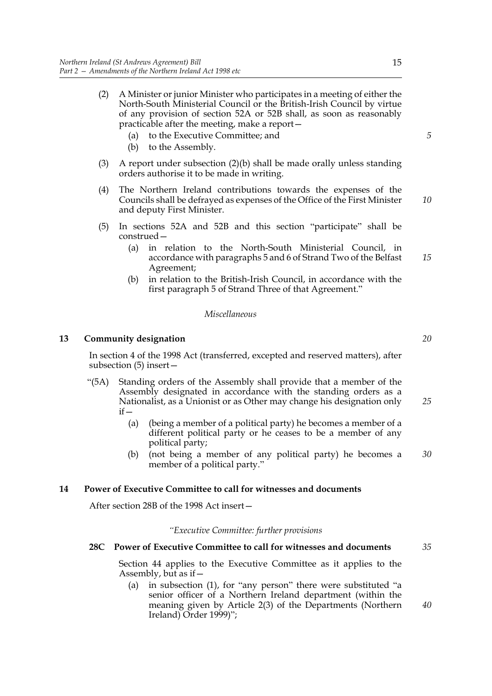- (a) to the Executive Committee; and
- (b) to the Assembly.
- (3) A report under subsection (2)(b) shall be made orally unless standing orders authorise it to be made in writing.
- (4) The Northern Ireland contributions towards the expenses of the Councils shall be defrayed as expenses of the Office of the First Minister and deputy First Minister.
- (5) In sections 52A and 52B and this section "participate" shall be construed—
	- (a) in relation to the North-South Ministerial Council, in accordance with paragraphs 5 and 6 of Strand Two of the Belfast Agreement; *15*
	- (b) in relation to the British-Irish Council, in accordance with the first paragraph 5 of Strand Three of that Agreement."

#### *Miscellaneous*

#### **13 Community designation**

In section 4 of the 1998 Act (transferred, excepted and reserved matters), after subsection (5) insert—

- "(5A) Standing orders of the Assembly shall provide that a member of the Assembly designated in accordance with the standing orders as a Nationalist, as a Unionist or as Other may change his designation only  $if -$ 
	- (a) (being a member of a political party) he becomes a member of a different political party or he ceases to be a member of any political party;
	- (b) (not being a member of any political party) he becomes a member of a political party." *30*

#### **14 Power of Executive Committee to call for witnesses and documents**

After section 28B of the 1998 Act insert—

#### *"Executive Committee: further provisions*

#### **28C Power of Executive Committee to call for witnesses and documents** *35*

Section 44 applies to the Executive Committee as it applies to the Assembly, but as if  $-$ 

(a) in subsection (1), for "any person" there were substituted "a senior officer of a Northern Ireland department (within the meaning given by Article 2(3) of the Departments (Northern Ireland) Order 1999)";

*20*

*25*

*5*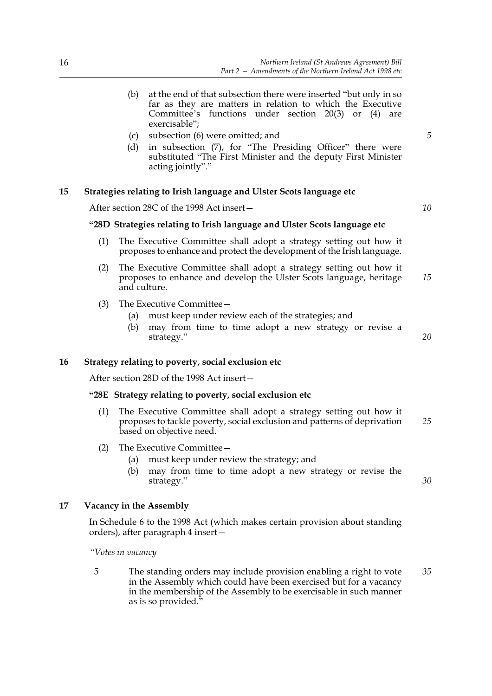- (b) at the end of that subsection there were inserted "but only in so far as they are matters in relation to which the Executive Committee's functions under section 20(3) or (4) are exercisable";
- (c) subsection (6) were omitted; and
- (d) in subsection (7), for "The Presiding Officer" there were substituted "The First Minister and the deputy First Minister acting jointly"."

#### **15 Strategies relating to Irish language and Ulster Scots language etc**

After section 28C of the 1998 Act insert—

#### **"28D Strategies relating to Irish language and Ulster Scots language etc**

- (1) The Executive Committee shall adopt a strategy setting out how it proposes to enhance and protect the development of the Irish language.
- (2) The Executive Committee shall adopt a strategy setting out how it proposes to enhance and develop the Ulster Scots language, heritage and culture. *15*
- (3) The Executive Committee—
	- (a) must keep under review each of the strategies; and
	- (b) may from time to time adopt a new strategy or revise a strategy."

#### **16 Strategy relating to poverty, social exclusion etc**

After section 28D of the 1998 Act insert—

#### **"28E Strategy relating to poverty, social exclusion etc**

- (1) The Executive Committee shall adopt a strategy setting out how it proposes to tackle poverty, social exclusion and patterns of deprivation based on objective need. *25*
- (2) The Executive Committee—
	- (a) must keep under review the strategy; and
	- (b) may from time to time adopt a new strategy or revise the strategy."

#### **17 Vacancy in the Assembly**

In Schedule 6 to the 1998 Act (which makes certain provision about standing orders), after paragraph 4 insert—

*"Votes in vacancy*

5 The standing orders may include provision enabling a right to vote in the Assembly which could have been exercised but for a vacancy in the membership of the Assembly to be exercisable in such manner as is so provided." *35*

*5*

*10*

*20*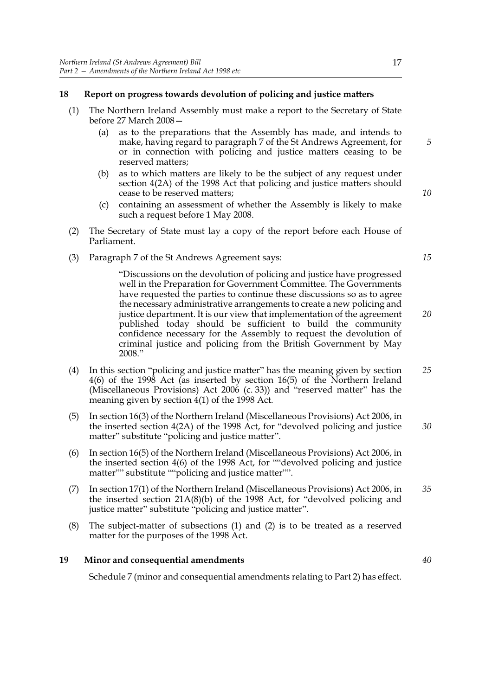#### **18 Report on progress towards devolution of policing and justice matters**

- (1) The Northern Ireland Assembly must make a report to the Secretary of State before 27 March 2008—
	- (a) as to the preparations that the Assembly has made, and intends to make, having regard to paragraph 7 of the St Andrews Agreement, for or in connection with policing and justice matters ceasing to be reserved matters;
	- (b) as to which matters are likely to be the subject of any request under section 4(2A) of the 1998 Act that policing and justice matters should cease to be reserved matters;
	- (c) containing an assessment of whether the Assembly is likely to make such a request before 1 May 2008.
- (2) The Secretary of State must lay a copy of the report before each House of Parliament.
- (3) Paragraph 7 of the St Andrews Agreement says:

 "Discussions on the devolution of policing and justice have progressed well in the Preparation for Government Committee. The Governments have requested the parties to continue these discussions so as to agree the necessary administrative arrangements to create a new policing and justice department. It is our view that implementation of the agreement published today should be sufficient to build the community confidence necessary for the Assembly to request the devolution of criminal justice and policing from the British Government by May 2008."

- (4) In this section "policing and justice matter" has the meaning given by section 4(6) of the 1998 Act (as inserted by section 16(5) of the Northern Ireland (Miscellaneous Provisions) Act 2006 (c. 33)) and "reserved matter" has the meaning given by section 4(1) of the 1998 Act. *25*
- (5) In section 16(3) of the Northern Ireland (Miscellaneous Provisions) Act 2006, in the inserted section 4(2A) of the 1998 Act, for "devolved policing and justice matter" substitute "policing and justice matter". *30*
- (6) In section 16(5) of the Northern Ireland (Miscellaneous Provisions) Act 2006, in the inserted section 4(6) of the 1998 Act, for ""devolved policing and justice matter"" substitute ""policing and justice matter"".
- (7) In section 17(1) of the Northern Ireland (Miscellaneous Provisions) Act 2006, in the inserted section 21A(8)(b) of the 1998 Act, for "devolved policing and justice matter" substitute "policing and justice matter". *35*
- (8) The subject-matter of subsections (1) and (2) is to be treated as a reserved matter for the purposes of the 1998 Act.

#### **19 Minor and consequential amendments**

Schedule 7 (minor and consequential amendments relating to Part 2) has effect.

*15*

*20*

*5*

*10*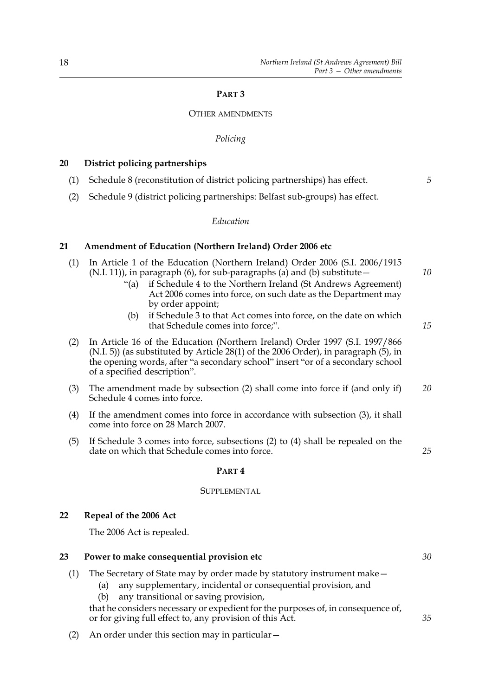### **PART 3**

#### OTHER AMENDMENTS

#### *Policing*

#### **20 District policing partnerships**

- (1) Schedule 8 (reconstitution of district policing partnerships) has effect.
- (2) Schedule 9 (district policing partnerships: Belfast sub-groups) has effect.

#### *Education*

#### **21 Amendment of Education (Northern Ireland) Order 2006 etc**

- (1) In Article 1 of the Education (Northern Ireland) Order 2006 (S.I. 2006/1915 (N.I. 11)), in paragraph (6), for sub-paragraphs (a) and (b) substitute—
	- "(a) if Schedule 4 to the Northern Ireland (St Andrews Agreement) Act 2006 comes into force, on such date as the Department may by order appoint;
	- (b) if Schedule 3 to that Act comes into force, on the date on which that Schedule comes into force;".
- *15*

*10*

*5*

- (2) In Article 16 of the Education (Northern Ireland) Order 1997 (S.I. 1997/866 (N.I. 5)) (as substituted by Article 28(1) of the 2006 Order), in paragraph (5), in the opening words, after "a secondary school" insert "or of a secondary school of a specified description".
- (3) The amendment made by subsection (2) shall come into force if (and only if) Schedule 4 comes into force. *20*
- (4) If the amendment comes into force in accordance with subsection (3), it shall come into force on 28 March 2007.
- (5) If Schedule 3 comes into force, subsections (2) to (4) shall be repealed on the date on which that Schedule comes into force.

#### **PART 4**

#### **SUPPLEMENTAL**

#### **22 Repeal of the 2006 Act**

The 2006 Act is repealed.

# **23 Power to make consequential provision etc**

- (1) The Secretary of State may by order made by statutory instrument make—
	- (a) any supplementary, incidental or consequential provision, and
	- (b) any transitional or saving provision,

that he considers necessary or expedient for the purposes of, in consequence of, or for giving full effect to, any provision of this Act.

(2) An order under this section may in particular—

*30*

*35*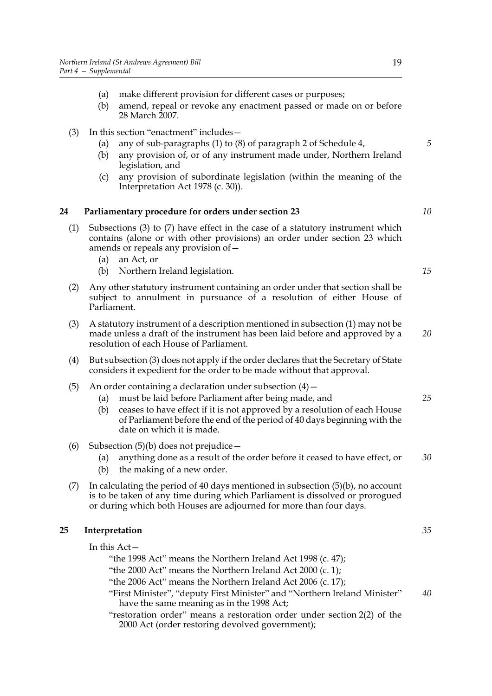- (a) make different provision for different cases or purposes;
- (b) amend, repeal or revoke any enactment passed or made on or before 28 March 2007.
- (3) In this section "enactment" includes—
	- (a) any of sub-paragraphs (1) to (8) of paragraph 2 of Schedule 4,
	- (b) any provision of, or of any instrument made under, Northern Ireland legislation, and
	- (c) any provision of subordinate legislation (within the meaning of the Interpretation Act 1978 (c. 30)).

#### **24 Parliamentary procedure for orders under section 23**

- (1) Subsections (3) to (7) have effect in the case of a statutory instrument which contains (alone or with other provisions) an order under section 23 which amends or repeals any provision of—
	- (a) an Act, or
	- (b) Northern Ireland legislation.
- (2) Any other statutory instrument containing an order under that section shall be subject to annulment in pursuance of a resolution of either House of Parliament.
- (3) A statutory instrument of a description mentioned in subsection (1) may not be made unless a draft of the instrument has been laid before and approved by a resolution of each House of Parliament.
- (4) But subsection (3) does not apply if the order declares that the Secretary of State considers it expedient for the order to be made without that approval.
- (5) An order containing a declaration under subsection  $(4)$ 
	- (a) must be laid before Parliament after being made, and
	- (b) ceases to have effect if it is not approved by a resolution of each House of Parliament before the end of the period of 40 days beginning with the date on which it is made.
- (6) Subsection  $(5)(b)$  does not prejudice  $-$ 
	- (a) anything done as a result of the order before it ceased to have effect, or *30*
	- (b) the making of a new order.
- (7) In calculating the period of 40 days mentioned in subsection (5)(b), no account is to be taken of any time during which Parliament is dissolved or prorogued or during which both Houses are adjourned for more than four days.

#### **25 Interpretation**

In this Act—

"the 1998 Act" means the Northern Ireland Act 1998 (c. 47);

"the 2000 Act" means the Northern Ireland Act 2000 (c. 1);

"the 2006 Act" means the Northern Ireland Act 2006 (c. 17);

"First Minister", "deputy First Minister" and "Northern Ireland Minister" have the same meaning as in the 1998 Act; *40*

"restoration order" means a restoration order under section 2(2) of the 2000 Act (order restoring devolved government);

*10*

*5*

*15*

*20*

*25*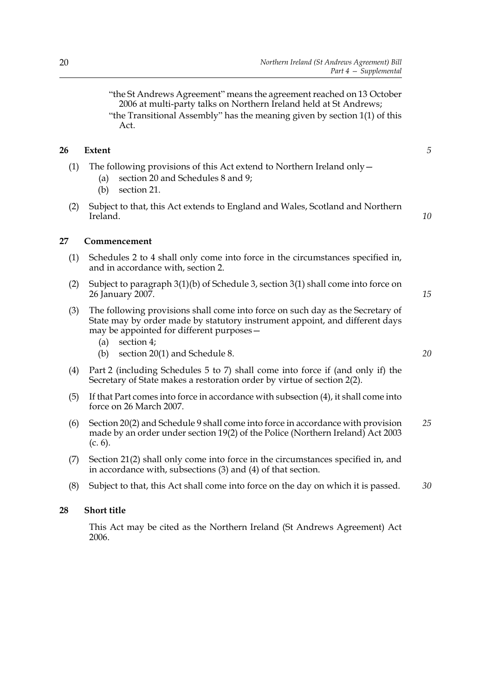"the St Andrews Agreement" means the agreement reached on 13 October 2006 at multi-party talks on Northern Ireland held at St Andrews; "the Transitional Assembly" has the meaning given by section 1(1) of this Act.

#### **26 Extent**

*5*

*10*

- (1) The following provisions of this Act extend to Northern Ireland only—
	- (a) section 20 and Schedules 8 and 9;
	- (b) section 21.
- (2) Subject to that, this Act extends to England and Wales, Scotland and Northern Ireland.

### **27 Commencement**

- (1) Schedules 2 to 4 shall only come into force in the circumstances specified in, and in accordance with, section 2.
- (2) Subject to paragraph 3(1)(b) of Schedule 3, section 3(1) shall come into force on 26 January 2007.
- (3) The following provisions shall come into force on such day as the Secretary of State may by order made by statutory instrument appoint, and different days may be appointed for different purposes—
	- (a) section 4;
	- (b) section 20(1) and Schedule 8.
- (4) Part 2 (including Schedules 5 to 7) shall come into force if (and only if) the Secretary of State makes a restoration order by virtue of section 2(2).
- (5) If that Part comes into force in accordance with subsection (4), it shall come into force on 26 March 2007.
- (6) Section 20(2) and Schedule 9 shall come into force in accordance with provision made by an order under section 19(2) of the Police (Northern Ireland) Act 2003 (c. 6). *25*
- (7) Section 21(2) shall only come into force in the circumstances specified in, and in accordance with, subsections (3) and (4) of that section.
- (8) Subject to that, this Act shall come into force on the day on which it is passed. *30*

#### **28 Short title**

This Act may be cited as the Northern Ireland (St Andrews Agreement) Act 2006.

*20*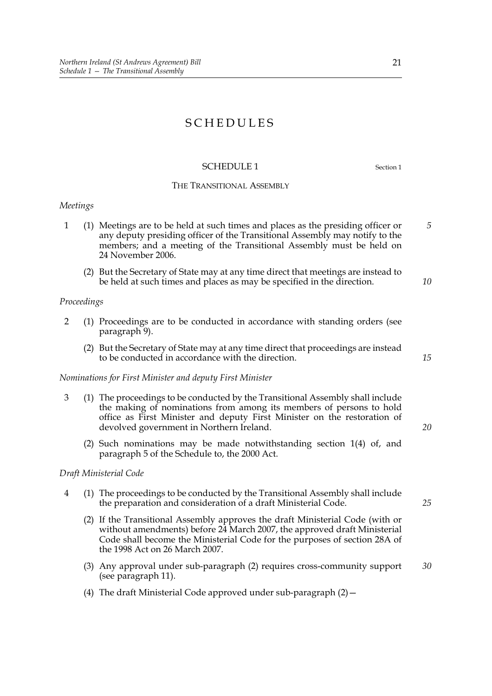# SCHEDULES

#### SCHEDULE 1 Section 1

#### THE TRANSITIONAL ASSEMBLY

#### *Meetings*

- 1 (1) Meetings are to be held at such times and places as the presiding officer or any deputy presiding officer of the Transitional Assembly may notify to the members; and a meeting of the Transitional Assembly must be held on 24 November 2006.
	- (2) But the Secretary of State may at any time direct that meetings are instead to be held at such times and places as may be specified in the direction.

#### *Proceedings*

- 2 (1) Proceedings are to be conducted in accordance with standing orders (see paragraph 9).
	- (2) But the Secretary of State may at any time direct that proceedings are instead to be conducted in accordance with the direction.

#### *Nominations for First Minister and deputy First Minister*

- 3 (1) The proceedings to be conducted by the Transitional Assembly shall include the making of nominations from among its members of persons to hold office as First Minister and deputy First Minister on the restoration of devolved government in Northern Ireland.
	- (2) Such nominations may be made notwithstanding section 1(4) of, and paragraph 5 of the Schedule to, the 2000 Act.

#### *Draft Ministerial Code*

- 4 (1) The proceedings to be conducted by the Transitional Assembly shall include the preparation and consideration of a draft Ministerial Code.
	- (2) If the Transitional Assembly approves the draft Ministerial Code (with or without amendments) before 24 March 2007, the approved draft Ministerial Code shall become the Ministerial Code for the purposes of section 28A of the 1998 Act on 26 March 2007.
	- (3) Any approval under sub-paragraph (2) requires cross-community support (see paragraph 11). *30*
	- (4) The draft Ministerial Code approved under sub-paragraph (2)—

*5*

*10*

*15*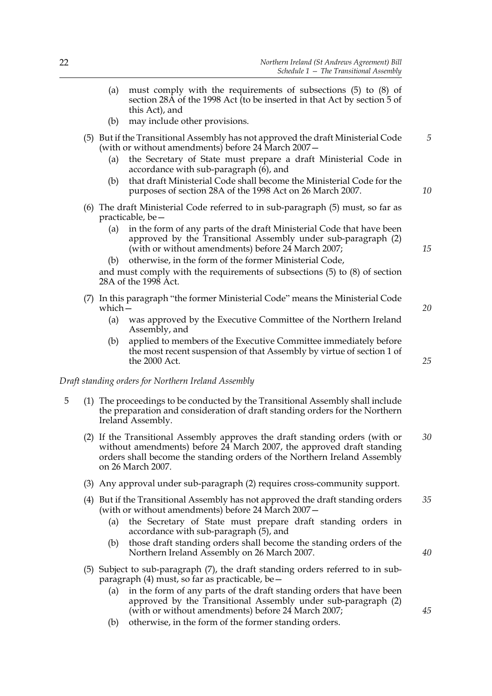- (a) must comply with the requirements of subsections (5) to (8) of section 28A of the 1998 Act (to be inserted in that Act by section 5 of this Act), and
- (b) may include other provisions.
- (5) But if the Transitional Assembly has not approved the draft Ministerial Code (with or without amendments) before 24 March 2007—
	- (a) the Secretary of State must prepare a draft Ministerial Code in accordance with sub-paragraph (6), and
	- (b) that draft Ministerial Code shall become the Ministerial Code for the purposes of section 28A of the 1998 Act on 26 March 2007.
- (6) The draft Ministerial Code referred to in sub-paragraph (5) must, so far as practicable, be—
	- (a) in the form of any parts of the draft Ministerial Code that have been approved by the Transitional Assembly under sub-paragraph (2) (with or without amendments) before 24 March 2007;
	- (b) otherwise, in the form of the former Ministerial Code,

and must comply with the requirements of subsections (5) to (8) of section 28A of the 1998 Act.

- (7) In this paragraph "the former Ministerial Code" means the Ministerial Code which—
	- (a) was approved by the Executive Committee of the Northern Ireland Assembly, and
	- (b) applied to members of the Executive Committee immediately before the most recent suspension of that Assembly by virtue of section 1 of the 2000 Act.

*Draft standing orders for Northern Ireland Assembly*

- 5 (1) The proceedings to be conducted by the Transitional Assembly shall include the preparation and consideration of draft standing orders for the Northern Ireland Assembly.
	- (2) If the Transitional Assembly approves the draft standing orders (with or without amendments) before 24 March 2007, the approved draft standing orders shall become the standing orders of the Northern Ireland Assembly on 26 March 2007. *30*
	- (3) Any approval under sub-paragraph (2) requires cross-community support.
	- (4) But if the Transitional Assembly has not approved the draft standing orders (with or without amendments) before 24 March 2007— *35*
		- (a) the Secretary of State must prepare draft standing orders in accordance with sub-paragraph (5), and
		- (b) those draft standing orders shall become the standing orders of the Northern Ireland Assembly on 26 March 2007.
	- (5) Subject to sub-paragraph (7), the draft standing orders referred to in subparagraph  $(4)$  must, so far as practicable, be  $-$ 
		- (a) in the form of any parts of the draft standing orders that have been approved by the Transitional Assembly under sub-paragraph (2) (with or without amendments) before 24 March 2007;
		- (b) otherwise, in the form of the former standing orders.

*20*

*25*

*40*

*45*

*5*

*10*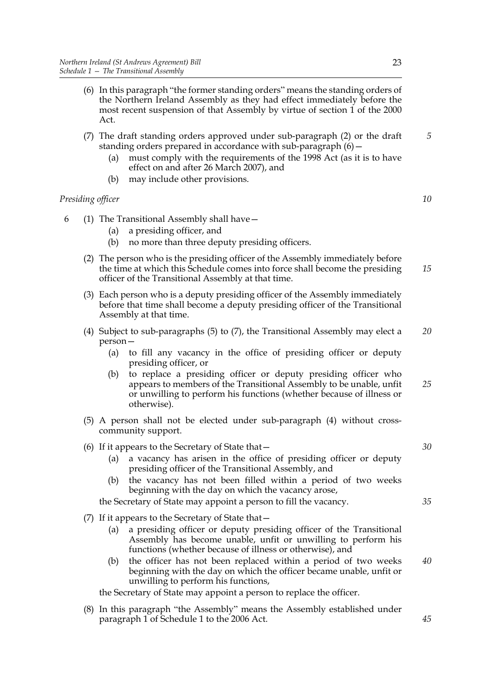- (6) In this paragraph "the former standing orders" means the standing orders of the Northern Ireland Assembly as they had effect immediately before the most recent suspension of that Assembly by virtue of section 1 of the 2000 Act.
- (7) The draft standing orders approved under sub-paragraph (2) or the draft standing orders prepared in accordance with sub-paragraph (6)—
	- (a) must comply with the requirements of the 1998 Act (as it is to have effect on and after 26 March 2007), and
	- (b) may include other provisions.

#### *Presiding officer*

- 6 (1) The Transitional Assembly shall have—
	- (a) a presiding officer, and
	- (b) no more than three deputy presiding officers.
	- (2) The person who is the presiding officer of the Assembly immediately before the time at which this Schedule comes into force shall become the presiding officer of the Transitional Assembly at that time. *15*
	- (3) Each person who is a deputy presiding officer of the Assembly immediately before that time shall become a deputy presiding officer of the Transitional Assembly at that time.
	- (4) Subject to sub-paragraphs (5) to (7), the Transitional Assembly may elect a person— *20*
		- (a) to fill any vacancy in the office of presiding officer or deputy presiding officer, or
		- (b) to replace a presiding officer or deputy presiding officer who appears to members of the Transitional Assembly to be unable, unfit or unwilling to perform his functions (whether because of illness or otherwise). *25*
	- (5) A person shall not be elected under sub-paragraph (4) without crosscommunity support.
	- (6) If it appears to the Secretary of State that—
		- (a) a vacancy has arisen in the office of presiding officer or deputy presiding officer of the Transitional Assembly, and
		- (b) the vacancy has not been filled within a period of two weeks beginning with the day on which the vacancy arose,

the Secretary of State may appoint a person to fill the vacancy.

- (7) If it appears to the Secretary of State that—
	- (a) a presiding officer or deputy presiding officer of the Transitional Assembly has become unable, unfit or unwilling to perform his functions (whether because of illness or otherwise), and
	- (b) the officer has not been replaced within a period of two weeks beginning with the day on which the officer became unable, unfit or unwilling to perform his functions, *40*

the Secretary of State may appoint a person to replace the officer.

(8) In this paragraph "the Assembly" means the Assembly established under paragraph 1 of Schedule 1 to the 2006 Act.

*5*

*10*

*30*

*35*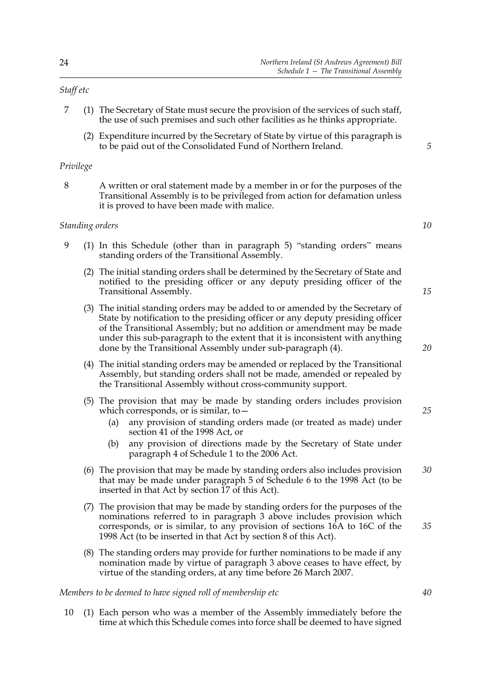#### *Staff etc*

- 7 (1) The Secretary of State must secure the provision of the services of such staff, the use of such premises and such other facilities as he thinks appropriate.
	- (2) Expenditure incurred by the Secretary of State by virtue of this paragraph is to be paid out of the Consolidated Fund of Northern Ireland.

#### *Privilege*

8 A written or oral statement made by a member in or for the purposes of the Transitional Assembly is to be privileged from action for defamation unless it is proved to have been made with malice.

#### *Standing orders*

- 9 (1) In this Schedule (other than in paragraph 5) "standing orders" means standing orders of the Transitional Assembly.
	- (2) The initial standing orders shall be determined by the Secretary of State and notified to the presiding officer or any deputy presiding officer of the Transitional Assembly.
	- (3) The initial standing orders may be added to or amended by the Secretary of State by notification to the presiding officer or any deputy presiding officer of the Transitional Assembly; but no addition or amendment may be made under this sub-paragraph to the extent that it is inconsistent with anything done by the Transitional Assembly under sub-paragraph (4).
	- (4) The initial standing orders may be amended or replaced by the Transitional Assembly, but standing orders shall not be made, amended or repealed by the Transitional Assembly without cross-community support.
	- (5) The provision that may be made by standing orders includes provision which corresponds, or is similar, to—
		- (a) any provision of standing orders made (or treated as made) under section 41 of the 1998 Act, or
		- (b) any provision of directions made by the Secretary of State under paragraph 4 of Schedule 1 to the 2006 Act.
	- (6) The provision that may be made by standing orders also includes provision that may be made under paragraph 5 of Schedule 6 to the 1998 Act (to be inserted in that Act by section 17 of this Act). *30*
	- (7) The provision that may be made by standing orders for the purposes of the nominations referred to in paragraph 3 above includes provision which corresponds, or is similar, to any provision of sections 16A to 16C of the 1998 Act (to be inserted in that Act by section 8 of this Act).
	- (8) The standing orders may provide for further nominations to be made if any nomination made by virtue of paragraph 3 above ceases to have effect, by virtue of the standing orders, at any time before 26 March 2007.

#### *Members to be deemed to have signed roll of membership etc*

10 (1) Each person who was a member of the Assembly immediately before the time at which this Schedule comes into force shall be deemed to have signed *10*

*5*

*20*

*15*

*25*

*35*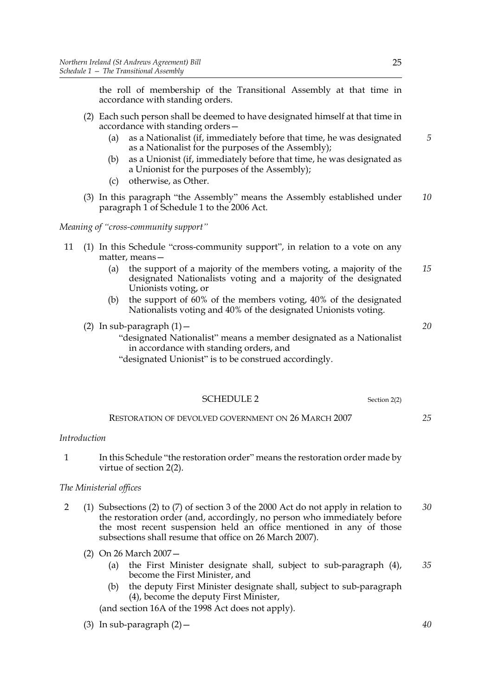the roll of membership of the Transitional Assembly at that time in accordance with standing orders.

- (2) Each such person shall be deemed to have designated himself at that time in accordance with standing orders—
	- (a) as a Nationalist (if, immediately before that time, he was designated as a Nationalist for the purposes of the Assembly); *5*
	- (b) as a Unionist (if, immediately before that time, he was designated as a Unionist for the purposes of the Assembly);
	- (c) otherwise, as Other.
- (3) In this paragraph "the Assembly" means the Assembly established under paragraph 1 of Schedule 1 to the 2006 Act. *10*

*Meaning of "cross-community support"*

- 11 (1) In this Schedule "cross-community support", in relation to a vote on any matter, means—
	- (a) the support of a majority of the members voting, a majority of the designated Nationalists voting and a majority of the designated Unionists voting, or *15*
	- (b) the support of 60% of the members voting, 40% of the designated Nationalists voting and 40% of the designated Unionists voting.
	- (2) In sub-paragraph  $(1)$  -

*20*

*25*

"designated Nationalist" means a member designated as a Nationalist in accordance with standing orders, and

"designated Unionist" is to be construed accordingly.

#### SCHEDULE 2 Section 2(2)

RESTORATION OF DEVOLVED GOVERNMENT ON 26 MARCH 2007

# *Introduction*

1 In this Schedule "the restoration order" means the restoration order made by virtue of section 2(2).

# *The Ministerial offices*

- 2 (1) Subsections (2) to (7) of section 3 of the 2000 Act do not apply in relation to the restoration order (and, accordingly, no person who immediately before the most recent suspension held an office mentioned in any of those subsections shall resume that office on 26 March 2007). *30*
	- (2) On 26 March 2007—
		- (a) the First Minister designate shall, subject to sub-paragraph (4), become the First Minister, and *35*
		- (b) the deputy First Minister designate shall, subject to sub-paragraph (4), become the deputy First Minister,

(and section 16A of the 1998 Act does not apply).

(3) In sub-paragraph  $(2)$  -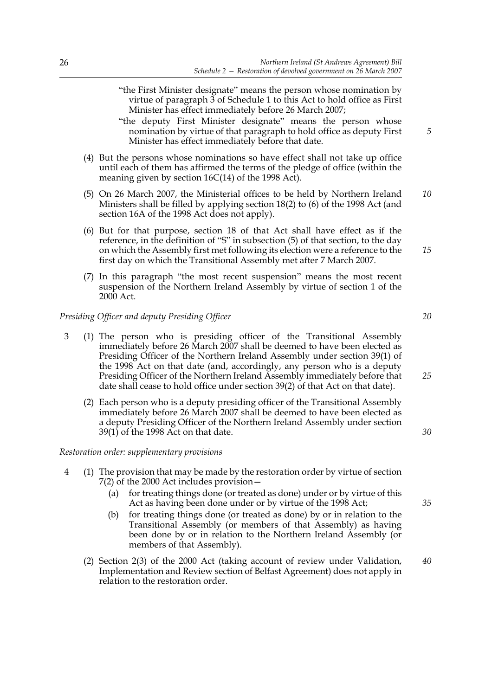- "the First Minister designate" means the person whose nomination by virtue of paragraph 3 of Schedule 1 to this Act to hold office as First Minister has effect immediately before 26 March 2007;
- "the deputy First Minister designate" means the person whose nomination by virtue of that paragraph to hold office as deputy First Minister has effect immediately before that date.
- (4) But the persons whose nominations so have effect shall not take up office until each of them has affirmed the terms of the pledge of office (within the meaning given by section 16C(14) of the 1998 Act).
- (5) On 26 March 2007, the Ministerial offices to be held by Northern Ireland Ministers shall be filled by applying section 18(2) to (6) of the 1998 Act (and section 16A of the 1998 Act does not apply). *10*
- (6) But for that purpose, section 18 of that Act shall have effect as if the reference, in the definition of "S" in subsection (5) of that section, to the day on which the Assembly first met following its election were a reference to the first day on which the Transitional Assembly met after 7 March 2007.
- (7) In this paragraph "the most recent suspension" means the most recent suspension of the Northern Ireland Assembly by virtue of section 1 of the  $2000$  Act.

#### *Presiding Officer and deputy Presiding Officer*

- 3 (1) The person who is presiding officer of the Transitional Assembly immediately before 26 March 2007 shall be deemed to have been elected as Presiding Officer of the Northern Ireland Assembly under section 39(1) of the 1998 Act on that date (and, accordingly, any person who is a deputy Presiding Officer of the Northern Ireland Assembly immediately before that date shall cease to hold office under section 39(2) of that Act on that date).
	- (2) Each person who is a deputy presiding officer of the Transitional Assembly immediately before 26 March 2007 shall be deemed to have been elected as a deputy Presiding Officer of the Northern Ireland Assembly under section  $39(1)$  of the 1998 Act on that date.

#### *Restoration order: supplementary provisions*

- 4 (1) The provision that may be made by the restoration order by virtue of section 7(2) of the 2000 Act includes provision—
	- (a) for treating things done (or treated as done) under or by virtue of this Act as having been done under or by virtue of the 1998 Act;
	- (b) for treating things done (or treated as done) by or in relation to the Transitional Assembly (or members of that Assembly) as having been done by or in relation to the Northern Ireland Assembly (or members of that Assembly).
	- (2) Section 2(3) of the 2000 Act (taking account of review under Validation, Implementation and Review section of Belfast Agreement) does not apply in relation to the restoration order.

*5*

*15*

*20*

*30*

*40*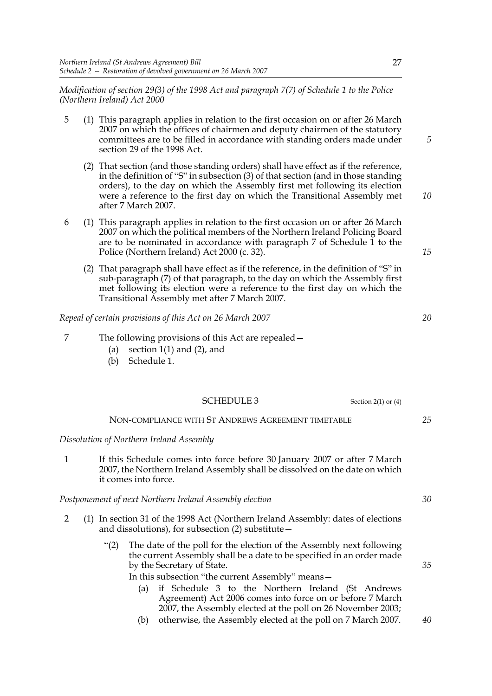*Modification of section 29(3) of the 1998 Act and paragraph 7(7) of Schedule 1 to the Police (Northern Ireland) Act 2000*

- 5 (1) This paragraph applies in relation to the first occasion on or after 26 March 2007 on which the offices of chairmen and deputy chairmen of the statutory committees are to be filled in accordance with standing orders made under section 29 of the 1998 Act.
	- (2) That section (and those standing orders) shall have effect as if the reference, in the definition of "S" in subsection (3) of that section (and in those standing orders), to the day on which the Assembly first met following its election were a reference to the first day on which the Transitional Assembly met after 7 March 2007.
- 6 (1) This paragraph applies in relation to the first occasion on or after 26 March 2007 on which the political members of the Northern Ireland Policing Board are to be nominated in accordance with paragraph  $7$  of Schedule  $1$  to the Police (Northern Ireland) Act 2000 (c. 32).
	- (2) That paragraph shall have effect as if the reference, in the definition of "S" in sub-paragraph (7) of that paragraph, to the day on which the Assembly first met following its election were a reference to the first day on which the Transitional Assembly met after 7 March 2007.

#### *Repeal of certain provisions of this Act on 26 March 2007*

- 7 The following provisions of this Act are repealed—
	- (a) section  $1(1)$  and  $(2)$ , and
	- (b) Schedule 1.

#### SCHEDULE 3 Section 2(1) or (4)

#### NON-COMPLIANCE WITH ST ANDREWS AGREEMENT TIMETABLE

*Dissolution of Northern Ireland Assembly*

1 If this Schedule comes into force before 30 January 2007 or after 7 March 2007, the Northern Ireland Assembly shall be dissolved on the date on which it comes into force.

#### *Postponement of next Northern Ireland Assembly election*

- 2 (1) In section 31 of the 1998 Act (Northern Ireland Assembly: dates of elections and dissolutions), for subsection (2) substitute—
	- "(2) The date of the poll for the election of the Assembly next following the current Assembly shall be a date to be specified in an order made by the Secretary of State.

In this subsection "the current Assembly" means—

- (a) if Schedule 3 to the Northern Ireland (St Andrews Agreement) Act 2006 comes into force on or before 7 March 2007, the Assembly elected at the poll on 26 November 2003;
- (b) otherwise, the Assembly elected at the poll on 7 March 2007. *40*

*35*

*15*

*10*

*5*

*20*

*30*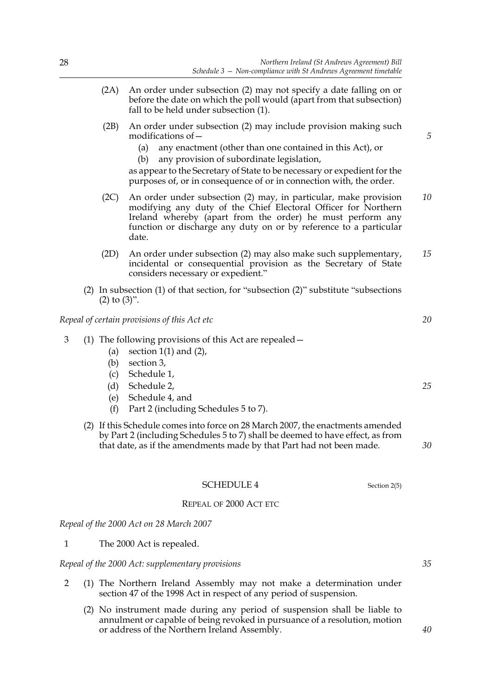- (2A) An order under subsection (2) may not specify a date falling on or before the date on which the poll would (apart from that subsection) fall to be held under subsection (1).
- (2B) An order under subsection (2) may include provision making such modifications of—
	- (a) any enactment (other than one contained in this Act), or
	- (b) any provision of subordinate legislation,

as appear to the Secretary of State to be necessary or expedient for the purposes of, or in consequence of or in connection with, the order.

- (2C) An order under subsection (2) may, in particular, make provision modifying any duty of the Chief Electoral Officer for Northern Ireland whereby (apart from the order) he must perform any function or discharge any duty on or by reference to a particular date. *10*
- (2D) An order under subsection (2) may also make such supplementary, incidental or consequential provision as the Secretary of State considers necessary or expedient." *15*
- (2) In subsection (1) of that section, for "subsection (2)" substitute "subsections  $(2)$  to  $(3)$ ".

*Repeal of certain provisions of this Act etc*

- 3 (1) The following provisions of this Act are repealed—
	- (a) section  $1(1)$  and  $(2)$ ,
	- (b) section 3,
	- (c) Schedule 1,
	- (d) Schedule 2,
	- (e) Schedule 4, and
	- (f) Part 2 (including Schedules 5 to 7).
	- (2) If this Schedule comes into force on 28 March 2007, the enactments amended by Part 2 (including Schedules 5 to 7) shall be deemed to have effect, as from that date, as if the amendments made by that Part had not been made.

SCHEDULE 4 Section 2(5)

### REPEAL OF 2000 ACT ETC

*Repeal of the 2000 Act on 28 March 2007*

1 The 2000 Act is repealed.

#### *Repeal of the 2000 Act: supplementary provisions*

- 2 (1) The Northern Ireland Assembly may not make a determination under section 47 of the 1998 Act in respect of any period of suspension.
	- (2) No instrument made during any period of suspension shall be liable to annulment or capable of being revoked in pursuance of a resolution, motion or address of the Northern Ireland Assembly.

*35*

*25*

*30*

*20*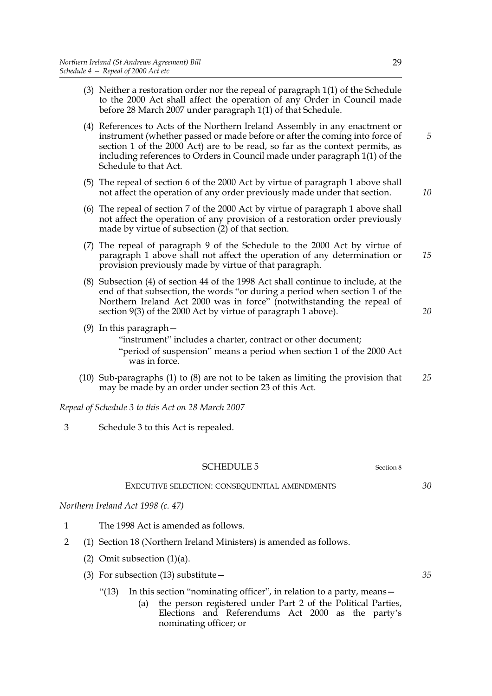- (3) Neither a restoration order nor the repeal of paragraph 1(1) of the Schedule to the 2000 Act shall affect the operation of any Order in Council made before 28 March 2007 under paragraph 1(1) of that Schedule.
- (4) References to Acts of the Northern Ireland Assembly in any enactment or instrument (whether passed or made before or after the coming into force of section 1 of the 2000 Act) are to be read, so far as the context permits, as including references to Orders in Council made under paragraph 1(1) of the Schedule to that Act.
- (5) The repeal of section 6 of the 2000 Act by virtue of paragraph 1 above shall not affect the operation of any order previously made under that section.
- (6) The repeal of section 7 of the 2000 Act by virtue of paragraph 1 above shall not affect the operation of any provision of a restoration order previously made by virtue of subsection (2) of that section.
- (7) The repeal of paragraph 9 of the Schedule to the 2000 Act by virtue of paragraph 1 above shall not affect the operation of any determination or provision previously made by virtue of that paragraph.
- (8) Subsection (4) of section 44 of the 1998 Act shall continue to include, at the end of that subsection, the words "or during a period when section 1 of the Northern Ireland Act 2000 was in force" (notwithstanding the repeal of section 9(3) of the 2000 Act by virtue of paragraph 1 above).
- (9) In this paragraph—

"instrument" includes a charter, contract or other document; "period of suspension" means a period when section 1 of the 2000 Act was in force.

(10) Sub-paragraphs (1) to (8) are not to be taken as limiting the provision that may be made by an order under section 23 of this Act. *25*

*Repeal of Schedule 3 to this Act on 28 March 2007*

3 Schedule 3 to this Act is repealed.

| <b>SCHEDULE 5</b> | Section 8 |
|-------------------|-----------|
|                   |           |

#### EXECUTIVE SELECTION: CONSEQUENTIAL AMENDMENTS

*Northern Ireland Act 1998 (c. 47)*

- 1 The 1998 Act is amended as follows.
- 2 (1) Section 18 (Northern Ireland Ministers) is amended as follows.
	- (2) Omit subsection  $(1)(a)$ .
	- (3) For subsection  $(13)$  substitute  $-$ 
		- "(13) In this section "nominating officer", in relation to a party, means—
			- (a) the person registered under Part 2 of the Political Parties, Elections and Referendums Act 2000 as the party's nominating officer; or

*5*

*10*

*15*

*20*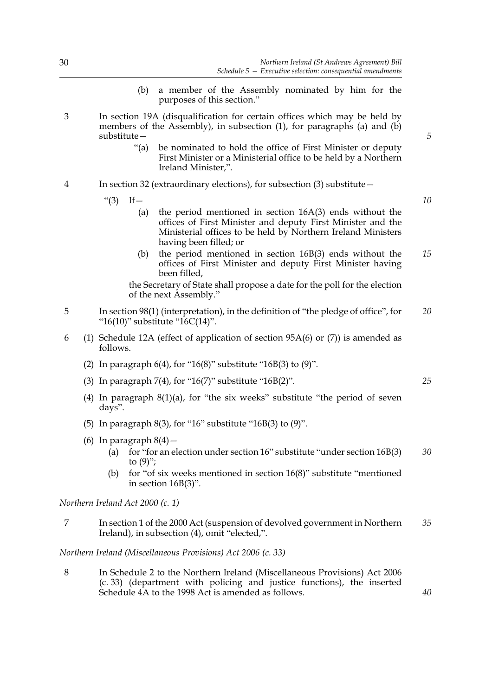- (b) a member of the Assembly nominated by him for the purposes of this section."
- 3 In section 19A (disqualification for certain offices which may be held by members of the Assembly), in subsection (1), for paragraphs (a) and (b) substitute—
	- "(a) be nominated to hold the office of First Minister or deputy First Minister or a Ministerial office to be held by a Northern Ireland Minister,".
- 4 In section 32 (extraordinary elections), for subsection (3) substitute—

" $(3)$  If —

- (a) the period mentioned in section 16A(3) ends without the offices of First Minister and deputy First Minister and the Ministerial offices to be held by Northern Ireland Ministers having been filled; or
- (b) the period mentioned in section 16B(3) ends without the offices of First Minister and deputy First Minister having been filled, *15*

the Secretary of State shall propose a date for the poll for the election of the next Assembly."

- 5 In section 98(1) (interpretation), in the definition of "the pledge of office", for "16(10)" substitute "16C(14)". *20*
- 6 (1) Schedule 12A (effect of application of section 95A(6) or (7)) is amended as follows.
	- (2) In paragraph  $6(4)$ , for "16 $(8)$ " substitute "16B $(3)$  to  $(9)$ ".
	- (3) In paragraph 7(4), for "16(7)" substitute "16B(2)".
	- (4) In paragraph 8(1)(a), for "the six weeks" substitute "the period of seven days".
	- (5) In paragraph  $8(3)$ , for "16" substitute "16B $(3)$  to  $(9)$ ".
	- (6) In paragraph  $8(4)$  -
		- (a) for "for an election under section 16" substitute "under section 16B(3) to  $(9)$ "; *30*
		- (b) for "of six weeks mentioned in section 16(8)" substitute "mentioned in section 16B(3)".

#### *Northern Ireland Act 2000 (c. 1)*

7 In section 1 of the 2000 Act (suspension of devolved government in Northern Ireland), in subsection (4), omit "elected,". *35*

#### *Northern Ireland (Miscellaneous Provisions) Act 2006 (c. 33)*

8 In Schedule 2 to the Northern Ireland (Miscellaneous Provisions) Act 2006 (c. 33) (department with policing and justice functions), the inserted Schedule 4A to the 1998 Act is amended as follows.

*10*

*5*

*25*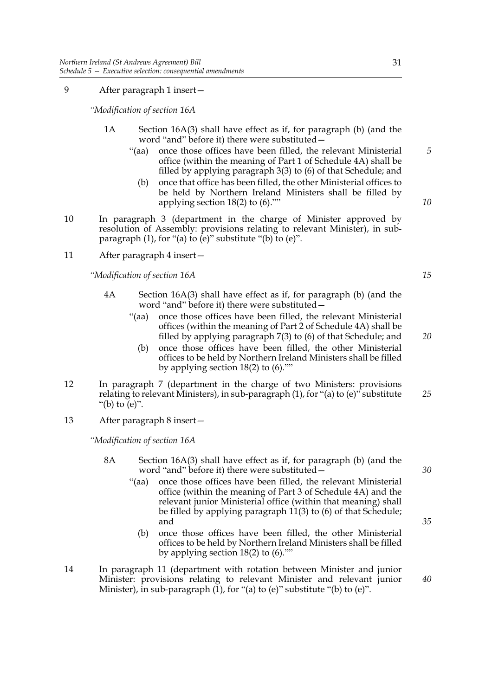# 9 After paragraph 1 insert—

*"Modification of section 16A*

- 1A Section 16A(3) shall have effect as if, for paragraph (b) (and the word "and" before it) there were substituted—
	- "(aa) once those offices have been filled, the relevant Ministerial office (within the meaning of Part 1 of Schedule 4A) shall be filled by applying paragraph 3(3) to (6) of that Schedule; and
		- (b) once that office has been filled, the other Ministerial offices to be held by Northern Ireland Ministers shall be filled by applying section 18(2) to (6).""
- 10 In paragraph 3 (department in the charge of Minister approved by resolution of Assembly: provisions relating to relevant Minister), in subparagraph  $(1)$ , for " $(a)$  to  $(e)$ " substitute " $(b)$  to  $(e)$ ".
- 11 After paragraph 4 insert—

*"Modification of section 16A*

- 4A Section 16A(3) shall have effect as if, for paragraph (b) (and the word "and" before it) there were substituted—
	- "(aa) once those offices have been filled, the relevant Ministerial offices (within the meaning of Part 2 of Schedule 4A) shall be filled by applying paragraph 7(3) to (6) of that Schedule; and
		- (b) once those offices have been filled, the other Ministerial offices to be held by Northern Ireland Ministers shall be filled by applying section 18(2) to (6).""
- 12 In paragraph 7 (department in the charge of two Ministers: provisions relating to relevant Ministers), in sub-paragraph (1), for "(a) to (e)" substitute "(b) to (e)". *25*
- 13 After paragraph 8 insert—

*"Modification of section 16A*

- 8A Section 16A(3) shall have effect as if, for paragraph (b) (and the word "and" before it) there were substituted—
	- "(aa) once those offices have been filled, the relevant Ministerial office (within the meaning of Part 3 of Schedule 4A) and the relevant junior Ministerial office (within that meaning) shall be filled by applying paragraph 11(3) to (6) of that Schedule; and
		- (b) once those offices have been filled, the other Ministerial offices to be held by Northern Ireland Ministers shall be filled by applying section 18(2) to (6).""
- 14 In paragraph 11 (department with rotation between Minister and junior Minister: provisions relating to relevant Minister and relevant junior Minister), in sub-paragraph (1), for "(a) to (e)" substitute "(b) to (e)".

31

*15*

*5*

*10*

*20*

*35*

*30*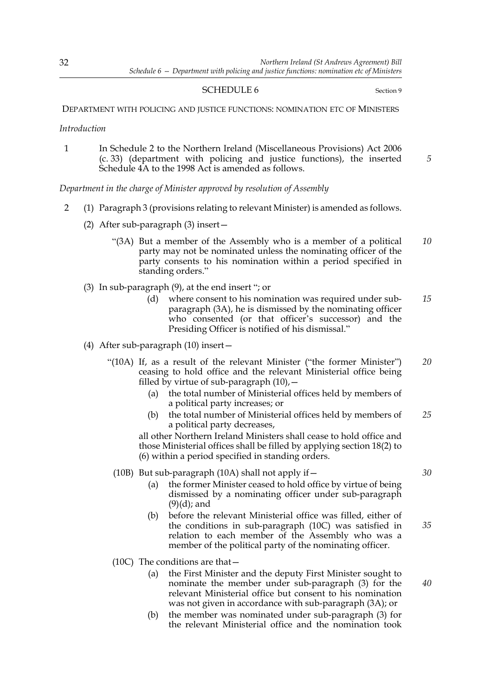#### SCHEDULE 6 Section 9

#### DEPARTMENT WITH POLICING AND JUSTICE FUNCTIONS: NOMINATION ETC OF MINISTERS

*Introduction*

1 In Schedule 2 to the Northern Ireland (Miscellaneous Provisions) Act 2006 (c. 33) (department with policing and justice functions), the inserted Schedule 4A to the 1998 Act is amended as follows.

*Department in the charge of Minister approved by resolution of Assembly*

- 2 (1) Paragraph 3 (provisions relating to relevant Minister) is amended as follows.
	- (2) After sub-paragraph (3) insert—
		- "(3A) But a member of the Assembly who is a member of a political party may not be nominated unless the nominating officer of the party consents to his nomination within a period specified in standing orders." *10*
	- (3) In sub-paragraph (9), at the end insert "; or
		- (d) where consent to his nomination was required under subparagraph (3A), he is dismissed by the nominating officer who consented (or that officer's successor) and the Presiding Officer is notified of his dismissal." *15*
	- (4) After sub-paragraph (10) insert—
		- "(10A) If, as a result of the relevant Minister ("the former Minister") ceasing to hold office and the relevant Ministerial office being filled by virtue of sub-paragraph  $(10)$ ,  $-$ *20*
			- (a) the total number of Ministerial offices held by members of a political party increases; or
			- (b) the total number of Ministerial offices held by members of a political party decreases, *25*

all other Northern Ireland Ministers shall cease to hold office and those Ministerial offices shall be filled by applying section 18(2) to (6) within a period specified in standing orders.

(10B) But sub-paragraph (10A) shall not apply if  $-$ 

- (a) the former Minister ceased to hold office by virtue of being dismissed by a nominating officer under sub-paragraph (9)(d); and
- (b) before the relevant Ministerial office was filled, either of the conditions in sub-paragraph (10C) was satisfied in relation to each member of the Assembly who was a member of the political party of the nominating officer.
- (10C) The conditions are that—
	- (a) the First Minister and the deputy First Minister sought to nominate the member under sub-paragraph (3) for the relevant Ministerial office but consent to his nomination was not given in accordance with sub-paragraph (3A); or
	- (b) the member was nominated under sub-paragraph (3) for the relevant Ministerial office and the nomination took

*30*

*40*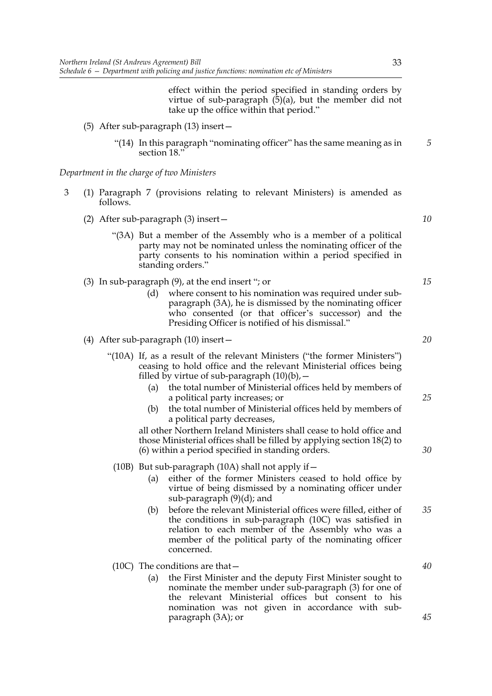effect within the period specified in standing orders by virtue of sub-paragraph  $(5)(a)$ , but the member did not take up the office within that period."

- (5) After sub-paragraph (13) insert—
	- "(14) In this paragraph "nominating officer" has the same meaning as in section 18."

*Department in the charge of two Ministers*

- 3 (1) Paragraph 7 (provisions relating to relevant Ministers) is amended as follows.
	- (2) After sub-paragraph (3) insert—
		- "(3A) But a member of the Assembly who is a member of a political party may not be nominated unless the nominating officer of the party consents to his nomination within a period specified in standing orders."
	- (3) In sub-paragraph (9), at the end insert "; or
		- (d) where consent to his nomination was required under subparagraph (3A), he is dismissed by the nominating officer who consented (or that officer's successor) and the Presiding Officer is notified of his dismissal."
	- (4) After sub-paragraph (10) insert—
		- "(10A) If, as a result of the relevant Ministers ("the former Ministers") ceasing to hold office and the relevant Ministerial offices being filled by virtue of sub-paragraph  $(10)(b)$ ,  $-$ 
			- (a) the total number of Ministerial offices held by members of a political party increases; or
			- (b) the total number of Ministerial offices held by members of a political party decreases,

all other Northern Ireland Ministers shall cease to hold office and those Ministerial offices shall be filled by applying section 18(2) to (6) within a period specified in standing orders.

(10B) But sub-paragraph (10A) shall not apply if  $-$ 

- (a) either of the former Ministers ceased to hold office by virtue of being dismissed by a nominating officer under sub-paragraph (9)(d); and
- (b) before the relevant Ministerial offices were filled, either of the conditions in sub-paragraph (10C) was satisfied in relation to each member of the Assembly who was a member of the political party of the nominating officer concerned. *35*

(10C) The conditions are that—

(a) the First Minister and the deputy First Minister sought to nominate the member under sub-paragraph (3) for one of the relevant Ministerial offices but consent to his nomination was not given in accordance with subparagraph (3A); or

*10*

*15*

*5*

*20*

*25*

*30*

*40*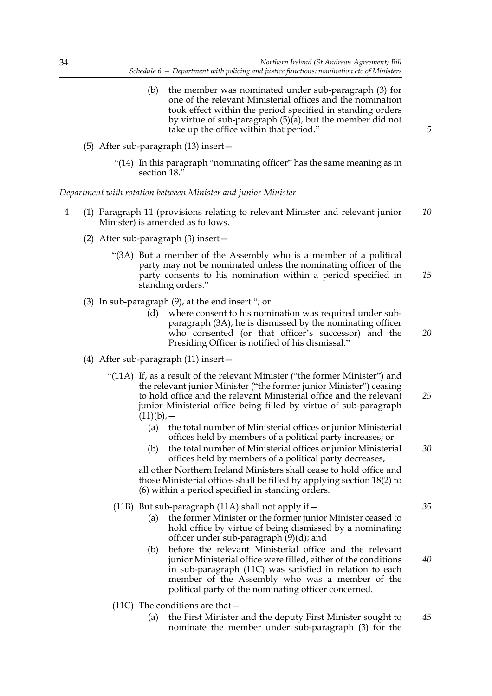- (b) the member was nominated under sub-paragraph (3) for one of the relevant Ministerial offices and the nomination took effect within the period specified in standing orders by virtue of sub-paragraph (5)(a), but the member did not take up the office within that period."
- (5) After sub-paragraph (13) insert—
	- "(14) In this paragraph "nominating officer" has the same meaning as in section 18."

*Department with rotation between Minister and junior Minister*

- 4 (1) Paragraph 11 (provisions relating to relevant Minister and relevant junior Minister) is amended as follows. *10*
	- (2) After sub-paragraph (3) insert—
		- "(3A) But a member of the Assembly who is a member of a political party may not be nominated unless the nominating officer of the party consents to his nomination within a period specified in standing orders." *15*
	- (3) In sub-paragraph (9), at the end insert "; or
		- (d) where consent to his nomination was required under subparagraph (3A), he is dismissed by the nominating officer who consented (or that officer's successor) and the Presiding Officer is notified of his dismissal."
	- (4) After sub-paragraph (11) insert—
		- "(11A) If, as a result of the relevant Minister ("the former Minister") and the relevant junior Minister ("the former junior Minister") ceasing to hold office and the relevant Ministerial office and the relevant junior Ministerial office being filled by virtue of sub-paragraph  $(11)(b)$ , — *25*
			- (a) the total number of Ministerial offices or junior Ministerial offices held by members of a political party increases; or
			- (b) the total number of Ministerial offices or junior Ministerial offices held by members of a political party decreases, *30*

all other Northern Ireland Ministers shall cease to hold office and those Ministerial offices shall be filled by applying section 18(2) to (6) within a period specified in standing orders.

- (11B) But sub-paragraph (11A) shall not apply if—
	- (a) the former Minister or the former junior Minister ceased to hold office by virtue of being dismissed by a nominating officer under sub-paragraph (9)(d); and
	- (b) before the relevant Ministerial office and the relevant junior Ministerial office were filled, either of the conditions in sub-paragraph (11C) was satisfied in relation to each member of the Assembly who was a member of the political party of the nominating officer concerned. *40*
- (11C) The conditions are that  $-$ 
	- (a) the First Minister and the deputy First Minister sought to nominate the member under sub-paragraph (3) for the *45*

*5*

*20*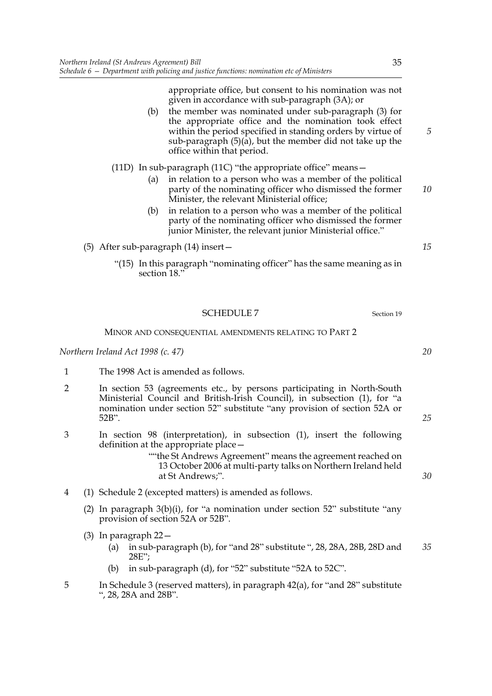appropriate office, but consent to his nomination was not given in accordance with sub-paragraph (3A); or

- (b) the member was nominated under sub-paragraph (3) for the appropriate office and the nomination took effect within the period specified in standing orders by virtue of sub-paragraph (5)(a), but the member did not take up the office within that period.
- (11D) In sub-paragraph (11C) "the appropriate office" means—
	- (a) in relation to a person who was a member of the political party of the nominating officer who dismissed the former Minister, the relevant Ministerial office;
	- (b) in relation to a person who was a member of the political party of the nominating officer who dismissed the former junior Minister, the relevant junior Ministerial office."
- (5) After sub-paragraph (14) insert—
	- "(15) In this paragraph "nominating officer" has the same meaning as in section 18.

#### SCHEDULE 7 Section 19

#### MINOR AND CONSEQUENTIAL AMENDMENTS RELATING TO PART 2

*Northern Ireland Act 1998 (c. 47)*

- 1 The 1998 Act is amended as follows.
- 2 In section 53 (agreements etc., by persons participating in North-South Ministerial Council and British-Irish Council), in subsection (1), for "a nomination under section 52" substitute "any provision of section 52A or 52B".
- 3 In section 98 (interpretation), in subsection (1), insert the following definition at the appropriate place—

""the St Andrews Agreement" means the agreement reached on 13 October 2006 at multi-party talks on Northern Ireland held at St Andrews;".

- 4 (1) Schedule 2 (excepted matters) is amended as follows.
	- (2) In paragraph  $3(b)(i)$ , for "a nomination under section 52" substitute "any provision of section 52A or 52B".
	- (3) In paragraph 22—
		- (a) in sub-paragraph (b), for "and 28" substitute ", 28, 28A, 28B, 28D and 28E"; *35*
		- (b) in sub-paragraph (d), for "52" substitute "52A to 52C".
- 5 In Schedule 3 (reserved matters), in paragraph 42(a), for "and 28" substitute ", 28, 28A and 28B".

*15*

*10*

*5*

*20*

*25*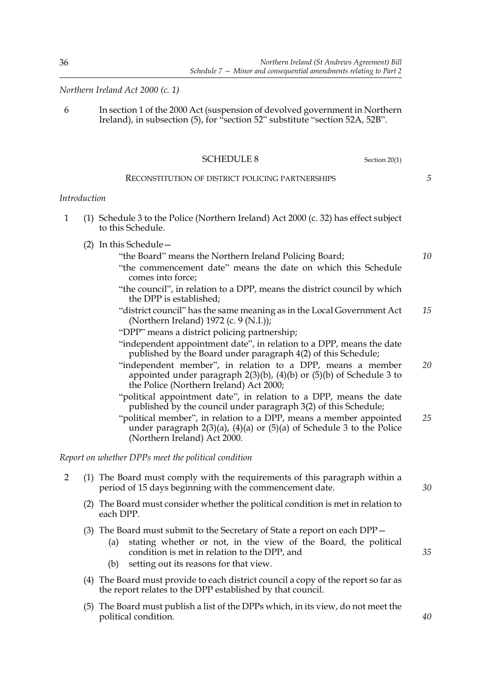*Northern Ireland Act 2000 (c. 1)*

6 In section 1 of the 2000 Act (suspension of devolved government in Northern Ireland), in subsection (5), for "section 52" substitute "section 52A, 52B".

|                |              | <b>SCHEDULE 8</b><br>Section 20(1)                                                                                                                                                                                                                                                                                          |    |
|----------------|--------------|-----------------------------------------------------------------------------------------------------------------------------------------------------------------------------------------------------------------------------------------------------------------------------------------------------------------------------|----|
|                |              | RECONSTITUTION OF DISTRICT POLICING PARTNERSHIPS                                                                                                                                                                                                                                                                            | 5  |
|                | Introduction |                                                                                                                                                                                                                                                                                                                             |    |
| $\mathbf{1}$   |              | (1) Schedule 3 to the Police (Northern Ireland) Act 2000 (c. 32) has effect subject<br>to this Schedule.                                                                                                                                                                                                                    |    |
|                |              | (2) In this Schedule $-$<br>"the Board" means the Northern Ireland Policing Board;<br>"the commencement date" means the date on which this Schedule<br>comes into force;<br>"the council", in relation to a DPP, means the district council by which<br>the DPP is established;                                             | 10 |
|                |              | "district council" has the same meaning as in the Local Government Act<br>(Northern Ireland) 1972 (c. 9 (N.I.));<br>"DPP" means a district policing partnership;                                                                                                                                                            | 15 |
|                |              | "independent appointment date", in relation to a DPP, means the date<br>published by the Board under paragraph 4(2) of this Schedule;<br>"independent member", in relation to a DPP, means a member<br>appointed under paragraph 2(3)(b), (4)(b) or (5)(b) of Schedule 3 to<br>the Police (Northern Ireland) Act 2000;      | 20 |
|                |              | "political appointment date", in relation to a DPP, means the date<br>published by the council under paragraph 3(2) of this Schedule;<br>"political member", in relation to a DPP, means a member appointed<br>under paragraph $2(3)(a)$ , $(4)(a)$ or $(5)(a)$ of Schedule 3 to the Police<br>(Northern Ireland) Act 2000. | 25 |
|                |              | Report on whether DPPs meet the political condition                                                                                                                                                                                                                                                                         |    |
| $\overline{2}$ |              | (1) The Board must comply with the requirements of this paragraph within a<br>period of 15 days beginning with the commencement date.                                                                                                                                                                                       | 30 |
|                | (2)          | The Board must consider whether the political condition is met in relation to<br>each DPP.                                                                                                                                                                                                                                  |    |
|                |              | (3) The Board must submit to the Secretary of State a report on each DPP-<br>stating whether or not, in the view of the Board, the political<br>(a)<br>condition is met in relation to the DPP, and<br>setting out its reasons for that view.<br>(b)                                                                        | 35 |
|                |              | (4) The Board must provide to each district council a copy of the report so far as<br>the report relates to the DPP established by that council.                                                                                                                                                                            |    |
|                |              | (5) The Board must publish a list of the DPPs which, in its view, do not meet the<br>political condition.                                                                                                                                                                                                                   | 40 |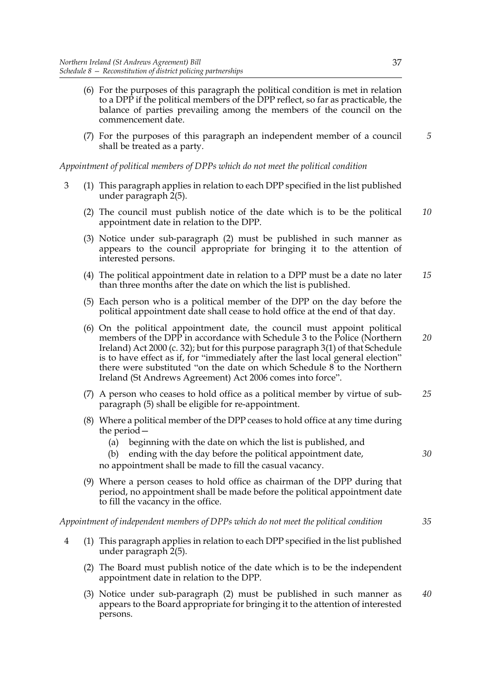- (6) For the purposes of this paragraph the political condition is met in relation to a DPP if the political members of the DPP reflect, so far as practicable, the balance of parties prevailing among the members of the council on the commencement date.
- (7) For the purposes of this paragraph an independent member of a council shall be treated as a party.

*Appointment of political members of DPPs which do not meet the political condition*

- 3 (1) This paragraph applies in relation to each DPP specified in the list published under paragraph 2(5).
	- (2) The council must publish notice of the date which is to be the political appointment date in relation to the DPP. *10*
	- (3) Notice under sub-paragraph (2) must be published in such manner as appears to the council appropriate for bringing it to the attention of interested persons.
	- (4) The political appointment date in relation to a DPP must be a date no later than three months after the date on which the list is published. *15*
	- (5) Each person who is a political member of the DPP on the day before the political appointment date shall cease to hold office at the end of that day.
	- (6) On the political appointment date, the council must appoint political members of the DPP in accordance with Schedule 3 to the Police (Northern Ireland) Act 2000 (c. 32); but for this purpose paragraph 3(1) of that Schedule is to have effect as if, for "immediately after the last local general election" there were substituted "on the date on which Schedule 8 to the Northern Ireland (St Andrews Agreement) Act 2006 comes into force". *20*
	- (7) A person who ceases to hold office as a political member by virtue of subparagraph (5) shall be eligible for re-appointment. *25*
	- (8) Where a political member of the DPP ceases to hold office at any time during the period—
		- (a) beginning with the date on which the list is published, and
		- (b) ending with the day before the political appointment date, no appointment shall be made to fill the casual vacancy.
	- (9) Where a person ceases to hold office as chairman of the DPP during that period, no appointment shall be made before the political appointment date to fill the vacancy in the office.

#### *Appointment of independent members of DPPs which do not meet the political condition*

- 4 (1) This paragraph applies in relation to each DPP specified in the list published under paragraph 2(5).
	- (2) The Board must publish notice of the date which is to be the independent appointment date in relation to the DPP.
	- (3) Notice under sub-paragraph (2) must be published in such manner as appears to the Board appropriate for bringing it to the attention of interested persons. *40*

*5*

*35*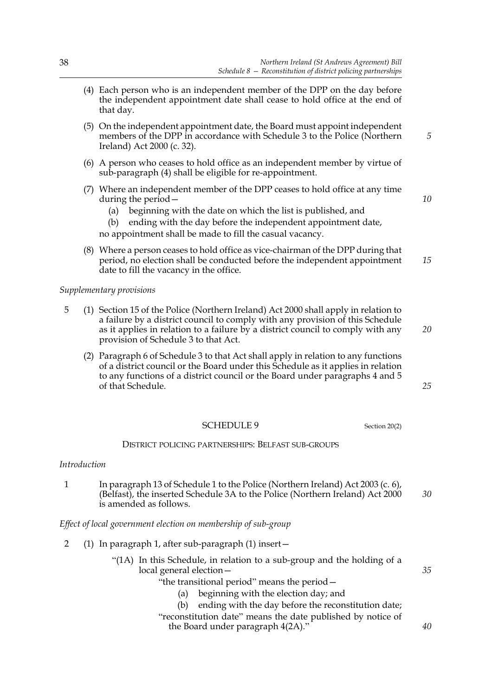- (4) Each person who is an independent member of the DPP on the day before the independent appointment date shall cease to hold office at the end of that day.
- (5) On the independent appointment date, the Board must appoint independent members of the DPP in accordance with Schedule 3 to the Police (Northern Ireland) Act 2000 (c. 32).
- (6) A person who ceases to hold office as an independent member by virtue of sub-paragraph (4) shall be eligible for re-appointment.
- (7) Where an independent member of the DPP ceases to hold office at any time during the period—
	- (a) beginning with the date on which the list is published, and

(b) ending with the day before the independent appointment date,

no appointment shall be made to fill the casual vacancy.

(8) Where a person ceases to hold office as vice-chairman of the DPP during that period, no election shall be conducted before the independent appointment date to fill the vacancy in the office. *15*

#### *Supplementary provisions*

- 5 (1) Section 15 of the Police (Northern Ireland) Act 2000 shall apply in relation to a failure by a district council to comply with any provision of this Schedule as it applies in relation to a failure by a district council to comply with any provision of Schedule 3 to that Act.
	- (2) Paragraph 6 of Schedule 3 to that Act shall apply in relation to any functions of a district council or the Board under this Schedule as it applies in relation to any functions of a district council or the Board under paragraphs 4 and 5 of that Schedule.

*25*

*20*

#### SCHEDULE 9 Section 20(2)

#### DISTRICT POLICING PARTNERSHIPS: BELFAST SUB-GROUPS

#### *Introduction*

1 In paragraph 13 of Schedule 1 to the Police (Northern Ireland) Act 2003 (c. 6), (Belfast), the inserted Schedule 3A to the Police (Northern Ireland) Act 2000 is amended as follows. *30*

*Effect of local government election on membership of sub-group*

- 2 (1) In paragraph 1, after sub-paragraph (1) insert—
	- "(1A) In this Schedule, in relation to a sub-group and the holding of a local general election—

"the transitional period" means the period—

- (a) beginning with the election day; and
- (b) ending with the day before the reconstitution date;
- "reconstitution date" means the date published by notice of the Board under paragraph 4(2A)."

*10*

*5*

*35*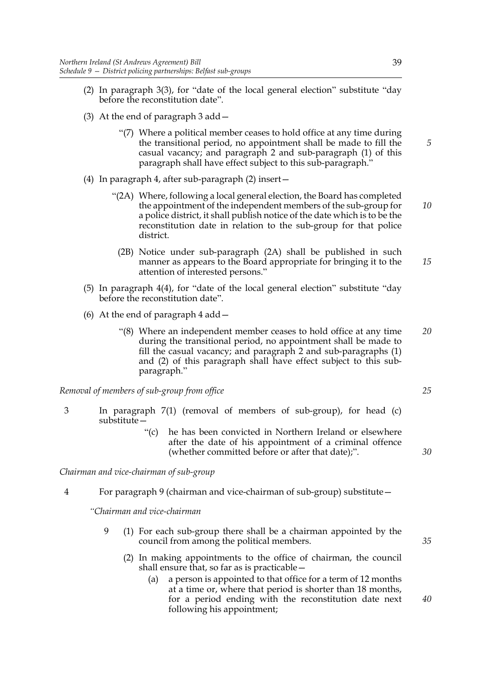- (2) In paragraph 3(3), for "date of the local general election" substitute "day before the reconstitution date".
- (3) At the end of paragraph 3 add—
	- "(7) Where a political member ceases to hold office at any time during the transitional period, no appointment shall be made to fill the casual vacancy; and paragraph 2 and sub-paragraph (1) of this paragraph shall have effect subject to this sub-paragraph."
- (4) In paragraph 4, after sub-paragraph (2) insert—
	- "(2A) Where, following a local general election, the Board has completed the appointment of the independent members of the sub-group for a police district, it shall publish notice of the date which is to be the reconstitution date in relation to the sub-group for that police district. *10*
		- (2B) Notice under sub-paragraph (2A) shall be published in such manner as appears to the Board appropriate for bringing it to the attention of interested persons."
- (5) In paragraph 4(4), for "date of the local general election" substitute "day before the reconstitution date".
- (6) At the end of paragraph 4 add—
	- "(8) Where an independent member ceases to hold office at any time during the transitional period, no appointment shall be made to fill the casual vacancy; and paragraph 2 and sub-paragraphs (1) and (2) of this paragraph shall have effect subject to this subparagraph." *20*

*Removal of members of sub-group from office*

- 3 In paragraph 7(1) (removal of members of sub-group), for head (c) substitute—
	- "(c) he has been convicted in Northern Ireland or elsewhere after the date of his appointment of a criminal offence (whether committed before or after that date);".

*Chairman and vice-chairman of sub-group*

4 For paragraph 9 (chairman and vice-chairman of sub-group) substitute—

*"Chairman and vice-chairman*

- 9 (1) For each sub-group there shall be a chairman appointed by the council from among the political members.
	- (2) In making appointments to the office of chairman, the council shall ensure that, so far as is practicable—
		- (a) a person is appointed to that office for a term of 12 months at a time or, where that period is shorter than 18 months, for a period ending with the reconstitution date next following his appointment;

39

*5*

*15*

*25*

*30*

*35*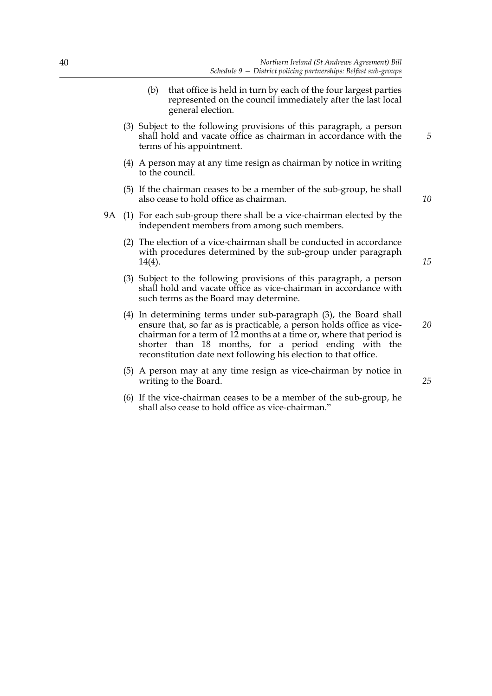- (b) that office is held in turn by each of the four largest parties represented on the council immediately after the last local general election.
- (3) Subject to the following provisions of this paragraph, a person shall hold and vacate office as chairman in accordance with the terms of his appointment.
- (4) A person may at any time resign as chairman by notice in writing to the council.
- (5) If the chairman ceases to be a member of the sub-group, he shall also cease to hold office as chairman.
- 9A (1) For each sub-group there shall be a vice-chairman elected by the independent members from among such members.
	- (2) The election of a vice-chairman shall be conducted in accordance with procedures determined by the sub-group under paragraph  $14(4)$ .
	- (3) Subject to the following provisions of this paragraph, a person shall hold and vacate office as vice-chairman in accordance with such terms as the Board may determine.
	- (4) In determining terms under sub-paragraph (3), the Board shall ensure that, so far as is practicable, a person holds office as vicechairman for a term of 12 months at a time or, where that period is shorter than 18 months, for a period ending with the reconstitution date next following his election to that office.
	- (5) A person may at any time resign as vice-chairman by notice in writing to the Board.
	- (6) If the vice-chairman ceases to be a member of the sub-group, he shall also cease to hold office as vice-chairman."

40

*15*

*10*

*5*

*25*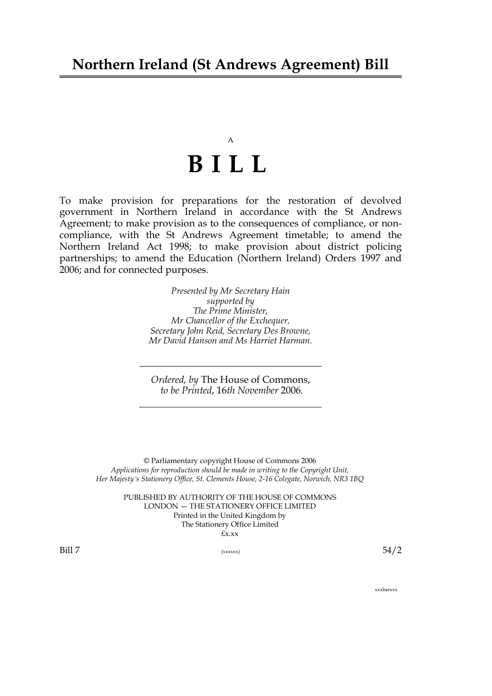# A **BILL**

To make provision for preparations for the restoration of devolved government in Northern Ireland in accordance with the St Andrews Agreement; to make provision as to the consequences of compliance, or noncompliance, with the St Andrews Agreement timetable; to amend the Northern Ireland Act 1998; to make provision about district policing partnerships; to amend the Education (Northern Ireland) Orders 1997 and 2006; and for connected purposes.

> *Presented by Mr Secretary Hain supported by The Prime Minister, Mr Chancellor of the Exchequer, Secretary John Reid, Secretary Des Browne, Mr David Hanson and Ms Harriet Harman.*

*Ordered, by* The House of Commons, *to be Printed*, 16*th November* 2006.

© Parliamentary copyright House of Commons 2006 *Applications for reproduction should be made in writing to the Copyright Unit, Her Majesty's Stationery Office, St. Clements House, 2-16 Colegate, Norwich, NR3 1BQ*

PUBLISHED BY AUTHORITY OF THE HOUSE OF COMMONS LONDON — THE STATIONERY OFFICE LIMITED Printed in the United Kingdom by The Stationery Office Limited £x.xx

 $Bill 7$   $(xxxxx)$   $54/2$ 

xxxbarxxx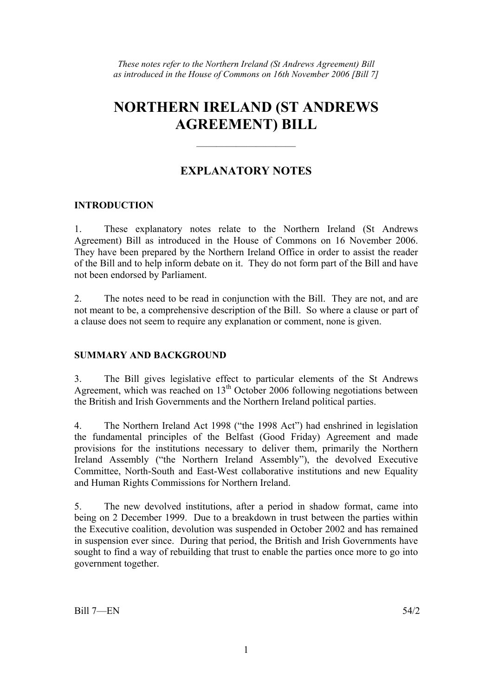# **NORTHERN IRELAND (ST ANDREWS AGREEMENT) BILL**

# **EXPLANATORY NOTES**

——————————

# **INTRODUCTION**

1. These explanatory notes relate to the Northern Ireland (St Andrews Agreement) Bill as introduced in the House of Commons on 16 November 2006. They have been prepared by the Northern Ireland Office in order to assist the reader of the Bill and to help inform debate on it. They do not form part of the Bill and have not been endorsed by Parliament.

2. The notes need to be read in conjunction with the Bill. They are not, and are not meant to be, a comprehensive description of the Bill. So where a clause or part of a clause does not seem to require any explanation or comment, none is given.

# **SUMMARY AND BACKGROUND**

3. The Bill gives legislative effect to particular elements of the St Andrews Agreement, which was reached on  $13<sup>th</sup>$  October 2006 following negotiations between the British and Irish Governments and the Northern Ireland political parties.

4. The Northern Ireland Act 1998 ("the 1998 Act") had enshrined in legislation the fundamental principles of the Belfast (Good Friday) Agreement and made provisions for the institutions necessary to deliver them, primarily the Northern Ireland Assembly ("the Northern Ireland Assembly"), the devolved Executive Committee, North-South and East-West collaborative institutions and new Equality and Human Rights Commissions for Northern Ireland.

5. The new devolved institutions, after a period in shadow format, came into being on 2 December 1999. Due to a breakdown in trust between the parties within the Executive coalition, devolution was suspended in October 2002 and has remained in suspension ever since. During that period, the British and Irish Governments have sought to find a way of rebuilding that trust to enable the parties once more to go into government together.

Bill 7—EN 54/2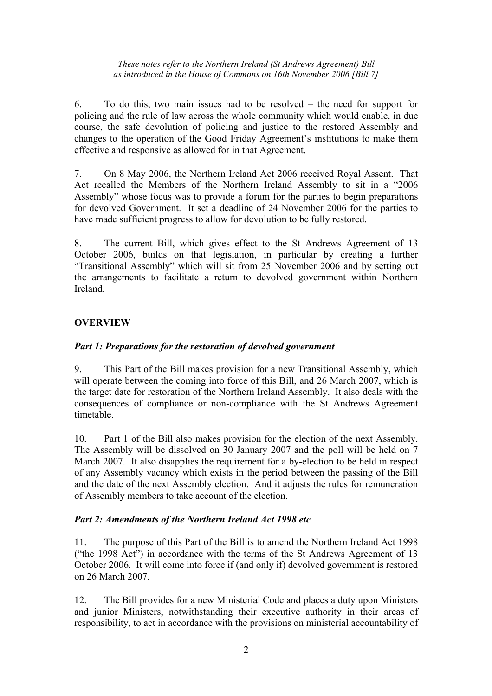6. To do this, two main issues had to be resolved – the need for support for policing and the rule of law across the whole community which would enable, in due course, the safe devolution of policing and justice to the restored Assembly and changes to the operation of the Good Friday Agreement's institutions to make them effective and responsive as allowed for in that Agreement.

7. On 8 May 2006, the Northern Ireland Act 2006 received Royal Assent. That Act recalled the Members of the Northern Ireland Assembly to sit in a "2006 Assembly" whose focus was to provide a forum for the parties to begin preparations for devolved Government. It set a deadline of 24 November 2006 for the parties to have made sufficient progress to allow for devolution to be fully restored.

8. The current Bill, which gives effect to the St Andrews Agreement of 13 October 2006, builds on that legislation, in particular by creating a further "Transitional Assembly" which will sit from 25 November 2006 and by setting out the arrangements to facilitate a return to devolved government within Northern Ireland.

# **OVERVIEW**

# *Part 1: Preparations for the restoration of devolved government*

9. This Part of the Bill makes provision for a new Transitional Assembly, which will operate between the coming into force of this Bill, and 26 March 2007, which is the target date for restoration of the Northern Ireland Assembly. It also deals with the consequences of compliance or non-compliance with the St Andrews Agreement timetable.

10. Part 1 of the Bill also makes provision for the election of the next Assembly. The Assembly will be dissolved on 30 January 2007 and the poll will be held on 7 March 2007. It also disapplies the requirement for a by-election to be held in respect of any Assembly vacancy which exists in the period between the passing of the Bill and the date of the next Assembly election. And it adjusts the rules for remuneration of Assembly members to take account of the election.

# *Part 2: Amendments of the Northern Ireland Act 1998 etc*

11. The purpose of this Part of the Bill is to amend the Northern Ireland Act 1998 ("the 1998 Act") in accordance with the terms of the St Andrews Agreement of 13 October 2006. It will come into force if (and only if) devolved government is restored on 26 March 2007.

12. The Bill provides for a new Ministerial Code and places a duty upon Ministers and junior Ministers, notwithstanding their executive authority in their areas of responsibility, to act in accordance with the provisions on ministerial accountability of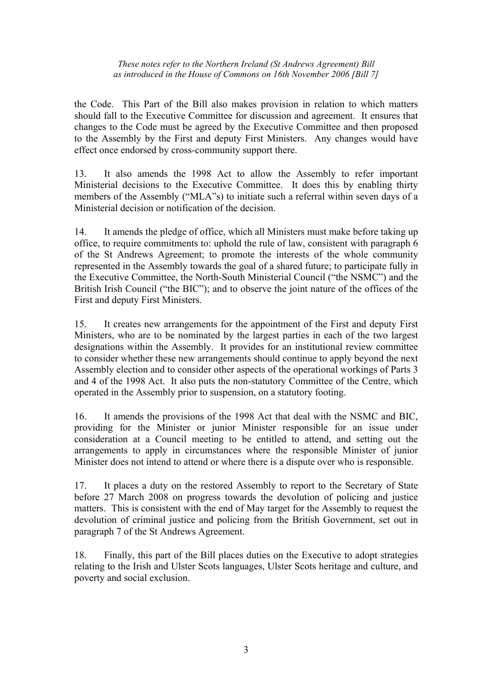the Code. This Part of the Bill also makes provision in relation to which matters should fall to the Executive Committee for discussion and agreement. It ensures that changes to the Code must be agreed by the Executive Committee and then proposed to the Assembly by the First and deputy First Ministers. Any changes would have effect once endorsed by cross-community support there.

13. It also amends the 1998 Act to allow the Assembly to refer important Ministerial decisions to the Executive Committee. It does this by enabling thirty members of the Assembly ("MLA"s) to initiate such a referral within seven days of a Ministerial decision or notification of the decision.

14. It amends the pledge of office, which all Ministers must make before taking up office, to require commitments to: uphold the rule of law, consistent with paragraph 6 of the St Andrews Agreement; to promote the interests of the whole community represented in the Assembly towards the goal of a shared future; to participate fully in the Executive Committee, the North-South Ministerial Council ("the NSMC") and the British Irish Council ("the BIC"); and to observe the joint nature of the offices of the First and deputy First Ministers.

15. It creates new arrangements for the appointment of the First and deputy First Ministers, who are to be nominated by the largest parties in each of the two largest designations within the Assembly. It provides for an institutional review committee to consider whether these new arrangements should continue to apply beyond the next Assembly election and to consider other aspects of the operational workings of Parts 3 and 4 of the 1998 Act. It also puts the non-statutory Committee of the Centre, which operated in the Assembly prior to suspension, on a statutory footing.

16. It amends the provisions of the 1998 Act that deal with the NSMC and BIC, providing for the Minister or junior Minister responsible for an issue under consideration at a Council meeting to be entitled to attend, and setting out the arrangements to apply in circumstances where the responsible Minister of junior Minister does not intend to attend or where there is a dispute over who is responsible.

17. It places a duty on the restored Assembly to report to the Secretary of State before 27 March 2008 on progress towards the devolution of policing and justice matters. This is consistent with the end of May target for the Assembly to request the devolution of criminal justice and policing from the British Government, set out in paragraph 7 of the St Andrews Agreement.

18. Finally, this part of the Bill places duties on the Executive to adopt strategies relating to the Irish and Ulster Scots languages, Ulster Scots heritage and culture, and poverty and social exclusion.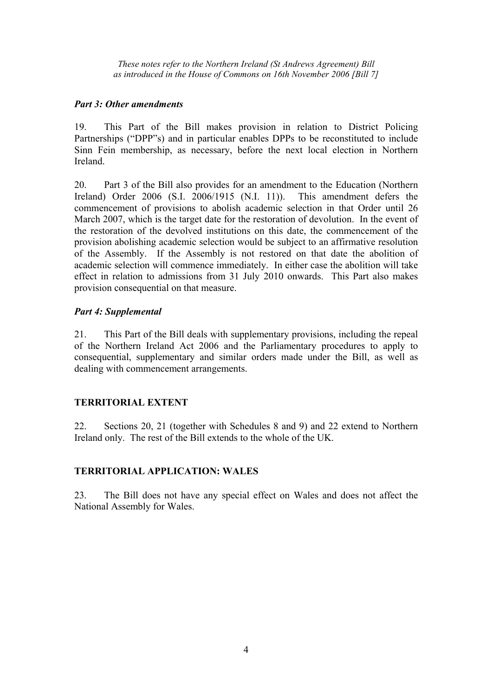# *Part 3: Other amendments*

19. This Part of the Bill makes provision in relation to District Policing Partnerships ("DPP"s) and in particular enables DPPs to be reconstituted to include Sinn Fein membership, as necessary, before the next local election in Northern Ireland.

20. Part 3 of the Bill also provides for an amendment to the Education (Northern Ireland) Order 2006 (S.I. 2006/1915 (N.I. 11)). This amendment defers the commencement of provisions to abolish academic selection in that Order until 26 March 2007, which is the target date for the restoration of devolution. In the event of the restoration of the devolved institutions on this date, the commencement of the provision abolishing academic selection would be subject to an affirmative resolution of the Assembly. If the Assembly is not restored on that date the abolition of academic selection will commence immediately. In either case the abolition will take effect in relation to admissions from 31 July 2010 onwards. This Part also makes provision consequential on that measure.

# *Part 4: Supplemental*

21. This Part of the Bill deals with supplementary provisions, including the repeal of the Northern Ireland Act 2006 and the Parliamentary procedures to apply to consequential, supplementary and similar orders made under the Bill, as well as dealing with commencement arrangements.

# **TERRITORIAL EXTENT**

22. Sections 20, 21 (together with Schedules 8 and 9) and 22 extend to Northern Ireland only. The rest of the Bill extends to the whole of the UK.

# **TERRITORIAL APPLICATION: WALES**

23. The Bill does not have any special effect on Wales and does not affect the National Assembly for Wales.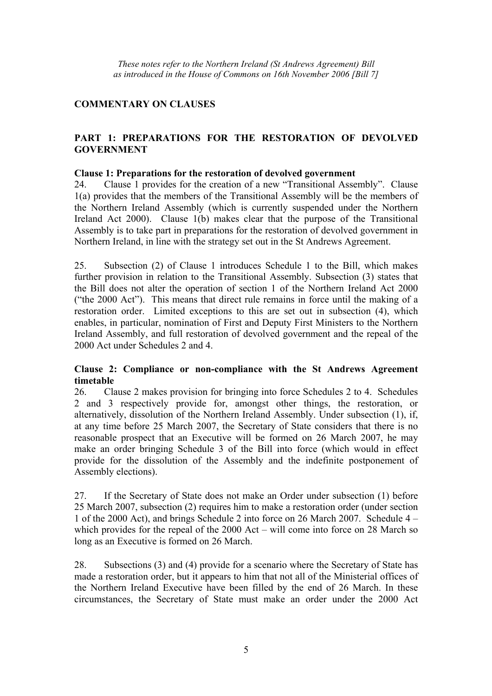# **COMMENTARY ON CLAUSES**

# **PART 1: PREPARATIONS FOR THE RESTORATION OF DEVOLVED GOVERNMENT**

# **Clause 1: Preparations for the restoration of devolved government**

24. Clause 1 provides for the creation of a new "Transitional Assembly". Clause 1(a) provides that the members of the Transitional Assembly will be the members of the Northern Ireland Assembly (which is currently suspended under the Northern Ireland Act 2000). Clause 1(b) makes clear that the purpose of the Transitional Assembly is to take part in preparations for the restoration of devolved government in Northern Ireland, in line with the strategy set out in the St Andrews Agreement.

25. Subsection (2) of Clause 1 introduces Schedule 1 to the Bill, which makes further provision in relation to the Transitional Assembly. Subsection (3) states that the Bill does not alter the operation of section 1 of the Northern Ireland Act 2000 ("the 2000 Act"). This means that direct rule remains in force until the making of a restoration order. Limited exceptions to this are set out in subsection (4), which enables, in particular, nomination of First and Deputy First Ministers to the Northern Ireland Assembly, and full restoration of devolved government and the repeal of the 2000 Act under Schedules 2 and 4.

# **Clause 2: Compliance or non-compliance with the St Andrews Agreement timetable**

26. Clause 2 makes provision for bringing into force Schedules 2 to 4. Schedules 2 and 3 respectively provide for, amongst other things, the restoration, or alternatively, dissolution of the Northern Ireland Assembly. Under subsection (1), if, at any time before 25 March 2007, the Secretary of State considers that there is no reasonable prospect that an Executive will be formed on 26 March 2007, he may make an order bringing Schedule 3 of the Bill into force (which would in effect provide for the dissolution of the Assembly and the indefinite postponement of Assembly elections).

27. If the Secretary of State does not make an Order under subsection (1) before 25 March 2007, subsection (2) requires him to make a restoration order (under section 1 of the 2000 Act), and brings Schedule 2 into force on 26 March 2007. Schedule 4 – which provides for the repeal of the 2000 Act – will come into force on 28 March so long as an Executive is formed on 26 March.

28. Subsections (3) and (4) provide for a scenario where the Secretary of State has made a restoration order, but it appears to him that not all of the Ministerial offices of the Northern Ireland Executive have been filled by the end of 26 March. In these circumstances, the Secretary of State must make an order under the 2000 Act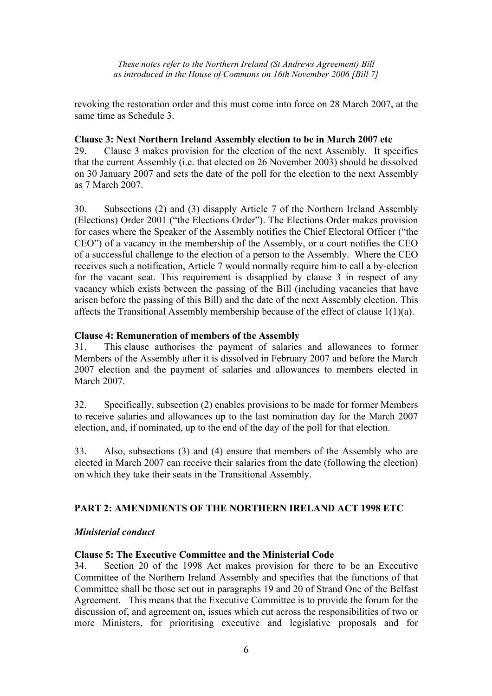revoking the restoration order and this must come into force on 28 March 2007, at the same time as Schedule 3.

# **Clause 3: Next Northern Ireland Assembly election to be in March 2007 etc**

29. Clause 3 makes provision for the election of the next Assembly. It specifies that the current Assembly (i.e. that elected on 26 November 2003) should be dissolved on 30 January 2007 and sets the date of the poll for the election to the next Assembly as 7 March 2007.

30. Subsections (2) and (3) disapply Article 7 of the Northern Ireland Assembly (Elections) Order 2001 ("the Elections Order"). The Elections Order makes provision for cases where the Speaker of the Assembly notifies the Chief Electoral Officer ("the CEO") of a vacancy in the membership of the Assembly, or a court notifies the CEO of a successful challenge to the election of a person to the Assembly. Where the CEO receives such a notification, Article 7 would normally require him to call a by-election for the vacant seat. This requirement is disapplied by clause 3 in respect of any vacancy which exists between the passing of the Bill (including vacancies that have arisen before the passing of this Bill) and the date of the next Assembly election. This affects the Transitional Assembly membership because of the effect of clause 1(1)(a).

# **Clause 4: Remuneration of members of the Assembly**

31. This clause authorises the payment of salaries and allowances to former Members of the Assembly after it is dissolved in February 2007 and before the March 2007 election and the payment of salaries and allowances to members elected in March 2007.

32. Specifically, subsection (2) enables provisions to be made for former Members to receive salaries and allowances up to the last nomination day for the March 2007 election, and, if nominated, up to the end of the day of the poll for that election.

33. Also, subsections (3) and (4) ensure that members of the Assembly who are elected in March 2007 can receive their salaries from the date (following the election) on which they take their seats in the Transitional Assembly.

# **PART 2: AMENDMENTS OF THE NORTHERN IRELAND ACT 1998 ETC**

# *Ministerial conduct*

# **Clause 5: The Executive Committee and the Ministerial Code**

34. Section 20 of the 1998 Act makes provision for there to be an Executive Committee of the Northern Ireland Assembly and specifies that the functions of that Committee shall be those set out in paragraphs 19 and 20 of Strand One of the Belfast Agreement. This means that the Executive Committee is to provide the forum for the discussion of, and agreement on, issues which cut across the responsibilities of two or more Ministers, for prioritising executive and legislative proposals and for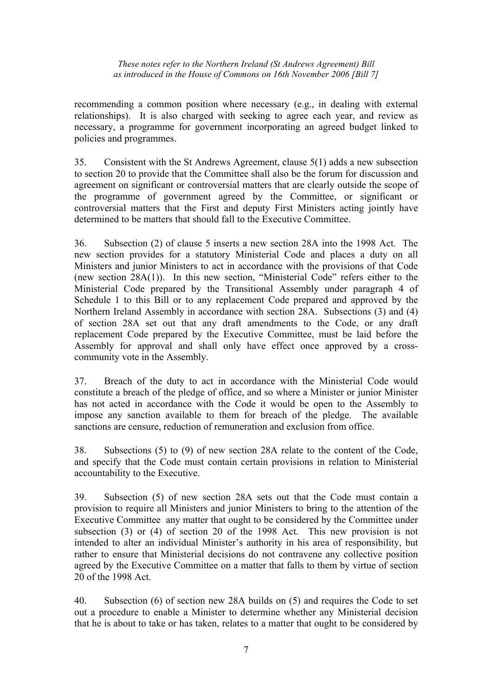recommending a common position where necessary (e.g., in dealing with external relationships). It is also charged with seeking to agree each year, and review as necessary, a programme for government incorporating an agreed budget linked to policies and programmes.

35. Consistent with the St Andrews Agreement, clause 5(1) adds a new subsection to section 20 to provide that the Committee shall also be the forum for discussion and agreement on significant or controversial matters that are clearly outside the scope of the programme of government agreed by the Committee, or significant or controversial matters that the First and deputy First Ministers acting jointly have determined to be matters that should fall to the Executive Committee.

36. Subsection (2) of clause 5 inserts a new section 28A into the 1998 Act. The new section provides for a statutory Ministerial Code and places a duty on all Ministers and junior Ministers to act in accordance with the provisions of that Code (new section 28A(1)). In this new section, "Ministerial Code" refers either to the Ministerial Code prepared by the Transitional Assembly under paragraph 4 of Schedule 1 to this Bill or to any replacement Code prepared and approved by the Northern Ireland Assembly in accordance with section 28A. Subsections (3) and (4) of section 28A set out that any draft amendments to the Code, or any draft replacement Code prepared by the Executive Committee, must be laid before the Assembly for approval and shall only have effect once approved by a crosscommunity vote in the Assembly.

37. Breach of the duty to act in accordance with the Ministerial Code would constitute a breach of the pledge of office, and so where a Minister or junior Minister has not acted in accordance with the Code it would be open to the Assembly to impose any sanction available to them for breach of the pledge. The available sanctions are censure, reduction of remuneration and exclusion from office.

38. Subsections (5) to (9) of new section 28A relate to the content of the Code, and specify that the Code must contain certain provisions in relation to Ministerial accountability to the Executive.

39. Subsection (5) of new section 28A sets out that the Code must contain a provision to require all Ministers and junior Ministers to bring to the attention of the Executive Committee any matter that ought to be considered by the Committee under subsection (3) or (4) of section 20 of the 1998 Act. This new provision is not intended to alter an individual Minister's authority in his area of responsibility, but rather to ensure that Ministerial decisions do not contravene any collective position agreed by the Executive Committee on a matter that falls to them by virtue of section 20 of the 1998 Act.

40. Subsection (6) of section new 28A builds on (5) and requires the Code to set out a procedure to enable a Minister to determine whether any Ministerial decision that he is about to take or has taken, relates to a matter that ought to be considered by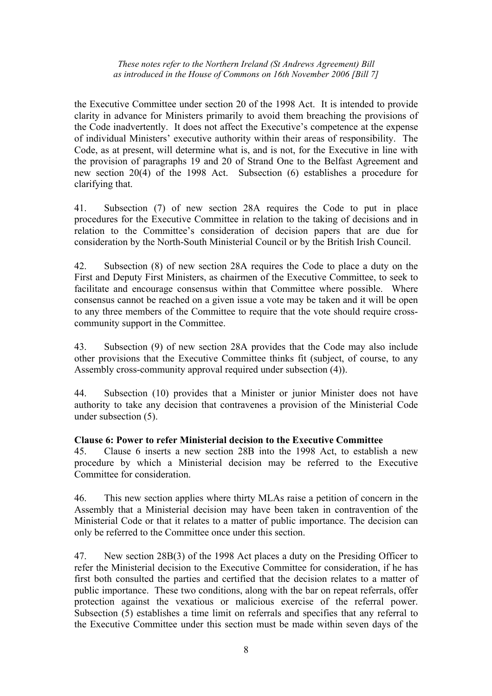the Executive Committee under section 20 of the 1998 Act. It is intended to provide clarity in advance for Ministers primarily to avoid them breaching the provisions of the Code inadvertently. It does not affect the Executive's competence at the expense of individual Ministers' executive authority within their areas of responsibility. The Code, as at present, will determine what is, and is not, for the Executive in line with the provision of paragraphs 19 and 20 of Strand One to the Belfast Agreement and new section 20(4) of the 1998 Act. Subsection (6) establishes a procedure for clarifying that.

41. Subsection (7) of new section 28A requires the Code to put in place procedures for the Executive Committee in relation to the taking of decisions and in relation to the Committee's consideration of decision papers that are due for consideration by the North-South Ministerial Council or by the British Irish Council.

42. Subsection (8) of new section 28A requires the Code to place a duty on the First and Deputy First Ministers, as chairmen of the Executive Committee, to seek to facilitate and encourage consensus within that Committee where possible. Where consensus cannot be reached on a given issue a vote may be taken and it will be open to any three members of the Committee to require that the vote should require crosscommunity support in the Committee.

43. Subsection (9) of new section 28A provides that the Code may also include other provisions that the Executive Committee thinks fit (subject, of course, to any Assembly cross-community approval required under subsection (4)).

44. Subsection (10) provides that a Minister or junior Minister does not have authority to take any decision that contravenes a provision of the Ministerial Code under subsection (5).

# **Clause 6: Power to refer Ministerial decision to the Executive Committee**

45. Clause 6 inserts a new section 28B into the 1998 Act, to establish a new procedure by which a Ministerial decision may be referred to the Executive Committee for consideration.

46. This new section applies where thirty MLAs raise a petition of concern in the Assembly that a Ministerial decision may have been taken in contravention of the Ministerial Code or that it relates to a matter of public importance. The decision can only be referred to the Committee once under this section.

47. New section 28B(3) of the 1998 Act places a duty on the Presiding Officer to refer the Ministerial decision to the Executive Committee for consideration, if he has first both consulted the parties and certified that the decision relates to a matter of public importance. These two conditions, along with the bar on repeat referrals, offer protection against the vexatious or malicious exercise of the referral power. Subsection (5) establishes a time limit on referrals and specifies that any referral to the Executive Committee under this section must be made within seven days of the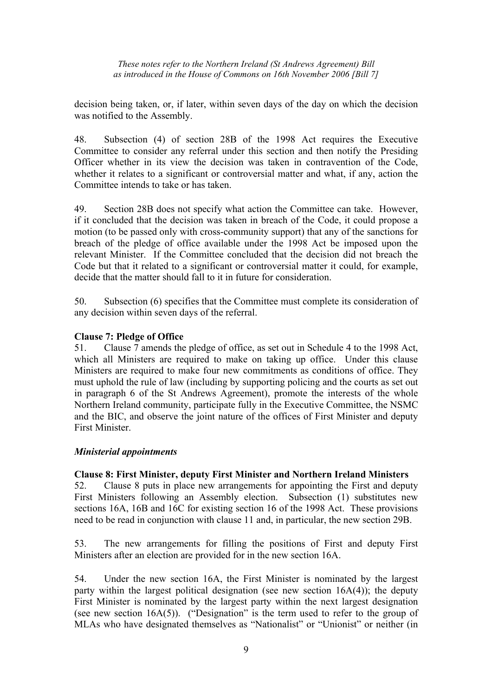decision being taken, or, if later, within seven days of the day on which the decision was notified to the Assembly.

48. Subsection (4) of section 28B of the 1998 Act requires the Executive Committee to consider any referral under this section and then notify the Presiding Officer whether in its view the decision was taken in contravention of the Code, whether it relates to a significant or controversial matter and what, if any, action the Committee intends to take or has taken.

49. Section 28B does not specify what action the Committee can take. However, if it concluded that the decision was taken in breach of the Code, it could propose a motion (to be passed only with cross-community support) that any of the sanctions for breach of the pledge of office available under the 1998 Act be imposed upon the relevant Minister. If the Committee concluded that the decision did not breach the Code but that it related to a significant or controversial matter it could, for example, decide that the matter should fall to it in future for consideration.

50. Subsection (6) specifies that the Committee must complete its consideration of any decision within seven days of the referral.

# **Clause 7: Pledge of Office**

51. Clause 7 amends the pledge of office, as set out in Schedule 4 to the 1998 Act, which all Ministers are required to make on taking up office. Under this clause Ministers are required to make four new commitments as conditions of office. They must uphold the rule of law (including by supporting policing and the courts as set out in paragraph 6 of the St Andrews Agreement), promote the interests of the whole Northern Ireland community, participate fully in the Executive Committee, the NSMC and the BIC, and observe the joint nature of the offices of First Minister and deputy First Minister.

# *Ministerial appointments*

# **Clause 8: First Minister, deputy First Minister and Northern Ireland Ministers**

52. Clause 8 puts in place new arrangements for appointing the First and deputy First Ministers following an Assembly election. Subsection (1) substitutes new sections 16A, 16B and 16C for existing section 16 of the 1998 Act. These provisions need to be read in conjunction with clause 11 and, in particular, the new section 29B.

53. The new arrangements for filling the positions of First and deputy First Ministers after an election are provided for in the new section 16A.

54. Under the new section 16A, the First Minister is nominated by the largest party within the largest political designation (see new section 16A(4)); the deputy First Minister is nominated by the largest party within the next largest designation (see new section 16A(5)). ("Designation" is the term used to refer to the group of MLAs who have designated themselves as "Nationalist" or "Unionist" or neither (in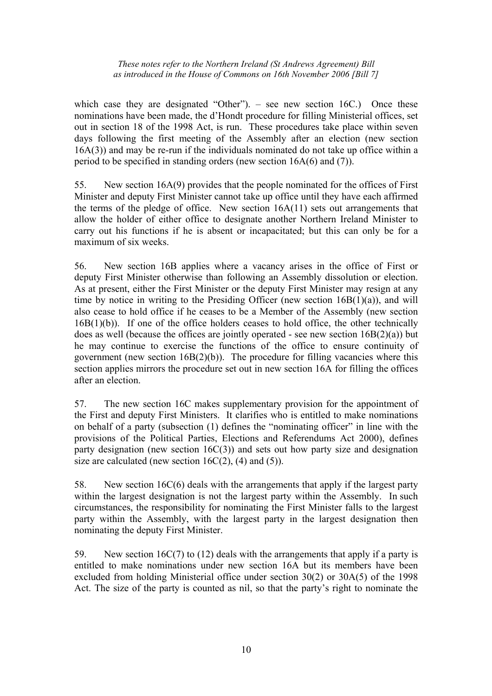which case they are designated "Other").  $-$  see new section 16C.) Once these nominations have been made, the d'Hondt procedure for filling Ministerial offices, set out in section 18 of the 1998 Act, is run. These procedures take place within seven days following the first meeting of the Assembly after an election (new section 16A(3)) and may be re-run if the individuals nominated do not take up office within a period to be specified in standing orders (new section 16A(6) and (7)).

55. New section 16A(9) provides that the people nominated for the offices of First Minister and deputy First Minister cannot take up office until they have each affirmed the terms of the pledge of office. New section 16A(11) sets out arrangements that allow the holder of either office to designate another Northern Ireland Minister to carry out his functions if he is absent or incapacitated; but this can only be for a maximum of six weeks.

56. New section 16B applies where a vacancy arises in the office of First or deputy First Minister otherwise than following an Assembly dissolution or election. As at present, either the First Minister or the deputy First Minister may resign at any time by notice in writing to the Presiding Officer (new section  $16B(1)(a)$ ), and will also cease to hold office if he ceases to be a Member of the Assembly (new section 16B(1)(b)). If one of the office holders ceases to hold office, the other technically does as well (because the offices are jointly operated - see new section  $16B(2)(a)$ ) but he may continue to exercise the functions of the office to ensure continuity of government (new section  $16B(2)(b)$ ). The procedure for filling vacancies where this section applies mirrors the procedure set out in new section 16A for filling the offices after an election.

57. The new section 16C makes supplementary provision for the appointment of the First and deputy First Ministers. It clarifies who is entitled to make nominations on behalf of a party (subsection (1) defines the "nominating officer" in line with the provisions of the Political Parties, Elections and Referendums Act 2000), defines party designation (new section  $16C(3)$ ) and sets out how party size and designation size are calculated (new section  $16C(2)$ , (4) and (5)).

58. New section 16C(6) deals with the arrangements that apply if the largest party within the largest designation is not the largest party within the Assembly. In such circumstances, the responsibility for nominating the First Minister falls to the largest party within the Assembly, with the largest party in the largest designation then nominating the deputy First Minister.

59. New section 16C(7) to (12) deals with the arrangements that apply if a party is entitled to make nominations under new section 16A but its members have been excluded from holding Ministerial office under section 30(2) or 30A(5) of the 1998 Act. The size of the party is counted as nil, so that the party's right to nominate the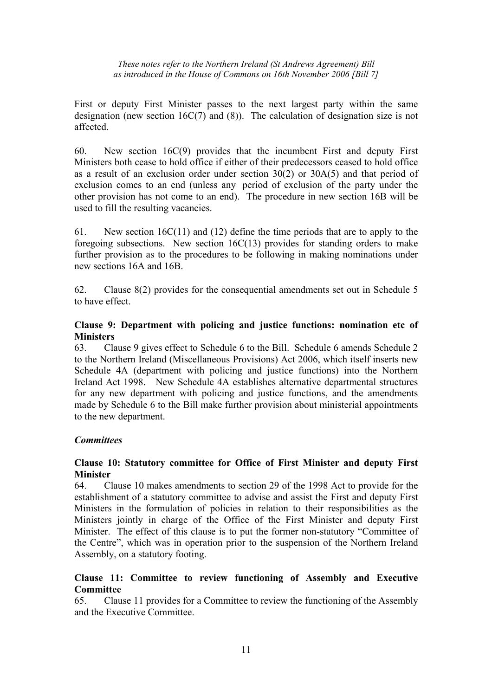First or deputy First Minister passes to the next largest party within the same designation (new section  $16C(7)$  and (8)). The calculation of designation size is not affected.

60. New section 16C(9) provides that the incumbent First and deputy First Ministers both cease to hold office if either of their predecessors ceased to hold office as a result of an exclusion order under section 30(2) or 30A(5) and that period of exclusion comes to an end (unless any period of exclusion of the party under the other provision has not come to an end). The procedure in new section 16B will be used to fill the resulting vacancies.

61. New section 16C(11) and (12) define the time periods that are to apply to the foregoing subsections. New section 16C(13) provides for standing orders to make further provision as to the procedures to be following in making nominations under new sections 16A and 16B.

62. Clause 8(2) provides for the consequential amendments set out in Schedule 5 to have effect.

# **Clause 9: Department with policing and justice functions: nomination etc of Ministers**

63. Clause 9 gives effect to Schedule 6 to the Bill. Schedule 6 amends Schedule 2 to the Northern Ireland (Miscellaneous Provisions) Act 2006, which itself inserts new Schedule 4A (department with policing and justice functions) into the Northern Ireland Act 1998. New Schedule 4A establishes alternative departmental structures for any new department with policing and justice functions, and the amendments made by Schedule 6 to the Bill make further provision about ministerial appointments to the new department.

# *Committees*

# **Clause 10: Statutory committee for Office of First Minister and deputy First Minister**

64. Clause 10 makes amendments to section 29 of the 1998 Act to provide for the establishment of a statutory committee to advise and assist the First and deputy First Ministers in the formulation of policies in relation to their responsibilities as the Ministers jointly in charge of the Office of the First Minister and deputy First Minister. The effect of this clause is to put the former non-statutory "Committee of the Centre", which was in operation prior to the suspension of the Northern Ireland Assembly, on a statutory footing.

# **Clause 11: Committee to review functioning of Assembly and Executive Committee**

65. Clause 11 provides for a Committee to review the functioning of the Assembly and the Executive Committee.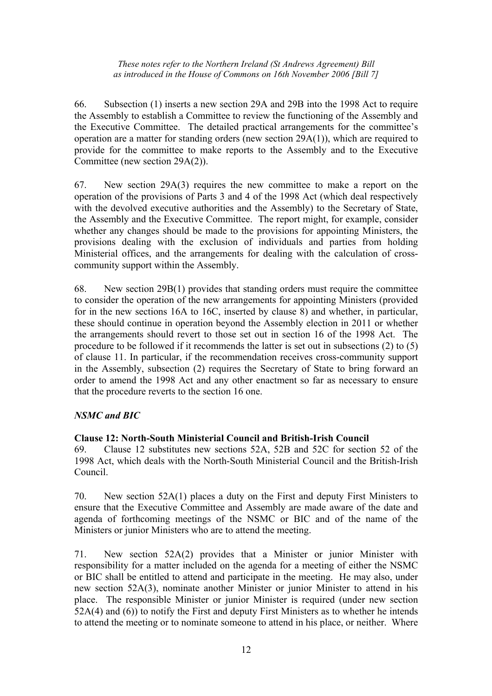66. Subsection (1) inserts a new section 29A and 29B into the 1998 Act to require the Assembly to establish a Committee to review the functioning of the Assembly and the Executive Committee. The detailed practical arrangements for the committee's operation are a matter for standing orders (new section 29A(1)), which are required to provide for the committee to make reports to the Assembly and to the Executive Committee (new section 29A(2)).

67. New section 29A(3) requires the new committee to make a report on the operation of the provisions of Parts 3 and 4 of the 1998 Act (which deal respectively with the devolved executive authorities and the Assembly) to the Secretary of State, the Assembly and the Executive Committee. The report might, for example, consider whether any changes should be made to the provisions for appointing Ministers, the provisions dealing with the exclusion of individuals and parties from holding Ministerial offices, and the arrangements for dealing with the calculation of crosscommunity support within the Assembly.

68. New section 29B(1) provides that standing orders must require the committee to consider the operation of the new arrangements for appointing Ministers (provided for in the new sections 16A to 16C, inserted by clause 8) and whether, in particular, these should continue in operation beyond the Assembly election in 2011 or whether the arrangements should revert to those set out in section 16 of the 1998 Act. The procedure to be followed if it recommends the latter is set out in subsections (2) to (5) of clause 11. In particular, if the recommendation receives cross-community support in the Assembly, subsection (2) requires the Secretary of State to bring forward an order to amend the 1998 Act and any other enactment so far as necessary to ensure that the procedure reverts to the section 16 one.

# *NSMC and BIC*

# **Clause 12: North-South Ministerial Council and British-Irish Council**

69. Clause 12 substitutes new sections 52A, 52B and 52C for section 52 of the 1998 Act, which deals with the North-South Ministerial Council and the British-Irish Council.

70. New section 52A(1) places a duty on the First and deputy First Ministers to ensure that the Executive Committee and Assembly are made aware of the date and agenda of forthcoming meetings of the NSMC or BIC and of the name of the Ministers or junior Ministers who are to attend the meeting.

71. New section 52A(2) provides that a Minister or junior Minister with responsibility for a matter included on the agenda for a meeting of either the NSMC or BIC shall be entitled to attend and participate in the meeting. He may also, under new section 52A(3), nominate another Minister or junior Minister to attend in his place. The responsible Minister or junior Minister is required (under new section 52A(4) and (6)) to notify the First and deputy First Ministers as to whether he intends to attend the meeting or to nominate someone to attend in his place, or neither. Where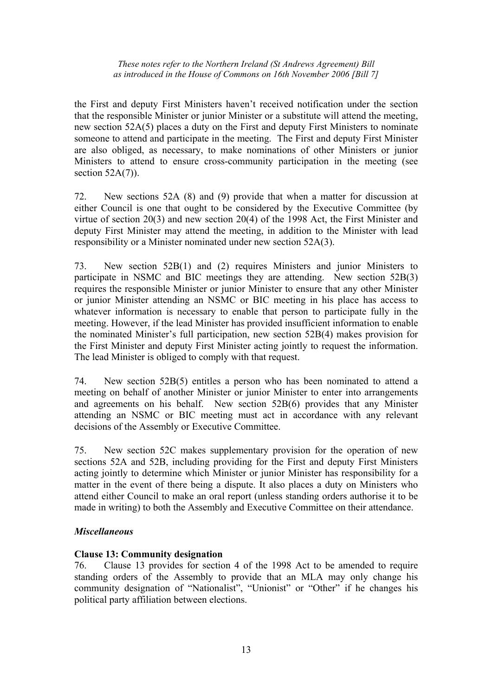the First and deputy First Ministers haven't received notification under the section that the responsible Minister or junior Minister or a substitute will attend the meeting, new section 52A(5) places a duty on the First and deputy First Ministers to nominate someone to attend and participate in the meeting. The First and deputy First Minister are also obliged, as necessary, to make nominations of other Ministers or junior Ministers to attend to ensure cross-community participation in the meeting (see section  $52A(7)$ ).

72. New sections 52A (8) and (9) provide that when a matter for discussion at either Council is one that ought to be considered by the Executive Committee (by virtue of section 20(3) and new section 20(4) of the 1998 Act, the First Minister and deputy First Minister may attend the meeting, in addition to the Minister with lead responsibility or a Minister nominated under new section 52A(3).

73. New section 52B(1) and (2) requires Ministers and junior Ministers to participate in NSMC and BIC meetings they are attending. New section 52B(3) requires the responsible Minister or junior Minister to ensure that any other Minister or junior Minister attending an NSMC or BIC meeting in his place has access to whatever information is necessary to enable that person to participate fully in the meeting. However, if the lead Minister has provided insufficient information to enable the nominated Minister's full participation, new section 52B(4) makes provision for the First Minister and deputy First Minister acting jointly to request the information. The lead Minister is obliged to comply with that request.

74. New section 52B(5) entitles a person who has been nominated to attend a meeting on behalf of another Minister or junior Minister to enter into arrangements and agreements on his behalf. New section 52B(6) provides that any Minister attending an NSMC or BIC meeting must act in accordance with any relevant decisions of the Assembly or Executive Committee.

75. New section 52C makes supplementary provision for the operation of new sections 52A and 52B, including providing for the First and deputy First Ministers acting jointly to determine which Minister or junior Minister has responsibility for a matter in the event of there being a dispute. It also places a duty on Ministers who attend either Council to make an oral report (unless standing orders authorise it to be made in writing) to both the Assembly and Executive Committee on their attendance.

# *Miscellaneous*

# **Clause 13: Community designation**

76. Clause 13 provides for section 4 of the 1998 Act to be amended to require standing orders of the Assembly to provide that an MLA may only change his community designation of "Nationalist", "Unionist" or "Other" if he changes his political party affiliation between elections.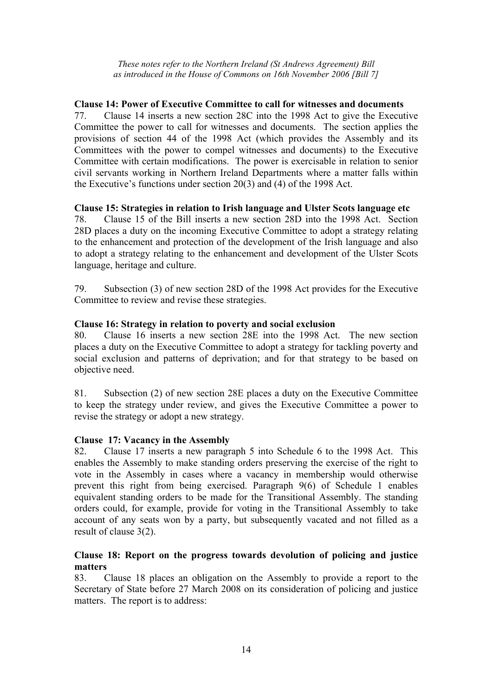# **Clause 14: Power of Executive Committee to call for witnesses and documents**

77. Clause 14 inserts a new section 28C into the 1998 Act to give the Executive Committee the power to call for witnesses and documents. The section applies the provisions of section 44 of the 1998 Act (which provides the Assembly and its Committees with the power to compel witnesses and documents) to the Executive Committee with certain modifications. The power is exercisable in relation to senior civil servants working in Northern Ireland Departments where a matter falls within the Executive's functions under section 20(3) and (4) of the 1998 Act.

# **Clause 15: Strategies in relation to Irish language and Ulster Scots language etc**

78. Clause 15 of the Bill inserts a new section 28D into the 1998 Act. Section 28D places a duty on the incoming Executive Committee to adopt a strategy relating to the enhancement and protection of the development of the Irish language and also to adopt a strategy relating to the enhancement and development of the Ulster Scots language, heritage and culture.

79. Subsection (3) of new section 28D of the 1998 Act provides for the Executive Committee to review and revise these strategies.

# **Clause 16: Strategy in relation to poverty and social exclusion**

80. Clause 16 inserts a new section 28E into the 1998 Act. The new section places a duty on the Executive Committee to adopt a strategy for tackling poverty and social exclusion and patterns of deprivation; and for that strategy to be based on objective need.

81. Subsection (2) of new section 28E places a duty on the Executive Committee to keep the strategy under review, and gives the Executive Committee a power to revise the strategy or adopt a new strategy.

# **Clause 17: Vacancy in the Assembly**

82. Clause 17 inserts a new paragraph 5 into Schedule 6 to the 1998 Act. This enables the Assembly to make standing orders preserving the exercise of the right to vote in the Assembly in cases where a vacancy in membership would otherwise prevent this right from being exercised. Paragraph 9(6) of Schedule 1 enables equivalent standing orders to be made for the Transitional Assembly. The standing orders could, for example, provide for voting in the Transitional Assembly to take account of any seats won by a party, but subsequently vacated and not filled as a result of clause 3(2).

# **Clause 18: Report on the progress towards devolution of policing and justice matters**

83. Clause 18 places an obligation on the Assembly to provide a report to the Secretary of State before 27 March 2008 on its consideration of policing and justice matters. The report is to address: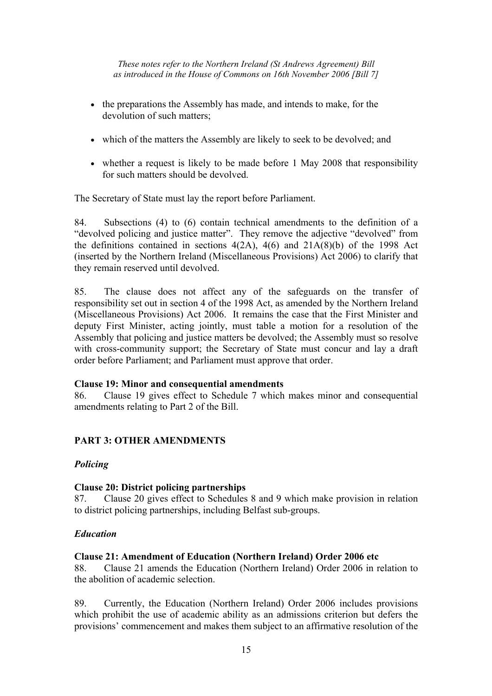- the preparations the Assembly has made, and intends to make, for the devolution of such matters;
- which of the matters the Assembly are likely to seek to be devolved; and
- whether a request is likely to be made before 1 May 2008 that responsibility for such matters should be devolved.

The Secretary of State must lay the report before Parliament.

84. Subsections (4) to (6) contain technical amendments to the definition of a "devolved policing and justice matter". They remove the adjective "devolved" from the definitions contained in sections  $4(2A)$ ,  $4(6)$  and  $21A(8)(b)$  of the 1998 Act (inserted by the Northern Ireland (Miscellaneous Provisions) Act 2006) to clarify that they remain reserved until devolved.

85. The clause does not affect any of the safeguards on the transfer of responsibility set out in section 4 of the 1998 Act, as amended by the Northern Ireland (Miscellaneous Provisions) Act 2006. It remains the case that the First Minister and deputy First Minister, acting jointly, must table a motion for a resolution of the Assembly that policing and justice matters be devolved; the Assembly must so resolve with cross-community support; the Secretary of State must concur and lay a draft order before Parliament; and Parliament must approve that order.

# **Clause 19: Minor and consequential amendments**

86. Clause 19 gives effect to Schedule 7 which makes minor and consequential amendments relating to Part 2 of the Bill.

# **PART 3: OTHER AMENDMENTS**

# *Policing*

# **Clause 20: District policing partnerships**

87. Clause 20 gives effect to Schedules 8 and 9 which make provision in relation to district policing partnerships, including Belfast sub-groups.

# *Education*

# **Clause 21: Amendment of Education (Northern Ireland) Order 2006 etc**

88. Clause 21 amends the Education (Northern Ireland) Order 2006 in relation to the abolition of academic selection.

89. Currently, the Education (Northern Ireland) Order 2006 includes provisions which prohibit the use of academic ability as an admissions criterion but defers the provisions' commencement and makes them subject to an affirmative resolution of the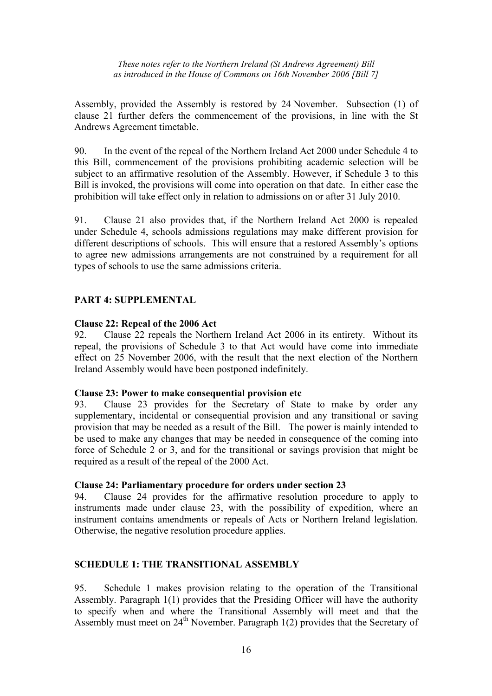Assembly, provided the Assembly is restored by 24 November. Subsection (1) of clause 21 further defers the commencement of the provisions, in line with the St Andrews Agreement timetable.

90. In the event of the repeal of the Northern Ireland Act 2000 under Schedule 4 to this Bill, commencement of the provisions prohibiting academic selection will be subject to an affirmative resolution of the Assembly. However, if Schedule 3 to this Bill is invoked, the provisions will come into operation on that date. In either case the prohibition will take effect only in relation to admissions on or after 31 July 2010.

91. Clause 21 also provides that, if the Northern Ireland Act 2000 is repealed under Schedule 4, schools admissions regulations may make different provision for different descriptions of schools. This will ensure that a restored Assembly's options to agree new admissions arrangements are not constrained by a requirement for all types of schools to use the same admissions criteria.

# **PART 4: SUPPLEMENTAL**

# **Clause 22: Repeal of the 2006 Act**

92. Clause 22 repeals the Northern Ireland Act 2006 in its entirety. Without its repeal, the provisions of Schedule 3 to that Act would have come into immediate effect on 25 November 2006, with the result that the next election of the Northern Ireland Assembly would have been postponed indefinitely.

# **Clause 23: Power to make consequential provision etc**

93. Clause 23 provides for the Secretary of State to make by order any supplementary, incidental or consequential provision and any transitional or saving provision that may be needed as a result of the Bill. The power is mainly intended to be used to make any changes that may be needed in consequence of the coming into force of Schedule 2 or 3, and for the transitional or savings provision that might be required as a result of the repeal of the 2000 Act.

# **Clause 24: Parliamentary procedure for orders under section 23**

94. Clause 24 provides for the affirmative resolution procedure to apply to instruments made under clause 23, with the possibility of expedition, where an instrument contains amendments or repeals of Acts or Northern Ireland legislation. Otherwise, the negative resolution procedure applies.

# **SCHEDULE 1: THE TRANSITIONAL ASSEMBLY**

95. Schedule 1 makes provision relating to the operation of the Transitional Assembly. Paragraph 1(1) provides that the Presiding Officer will have the authority to specify when and where the Transitional Assembly will meet and that the Assembly must meet on  $24<sup>th</sup>$  November. Paragraph 1(2) provides that the Secretary of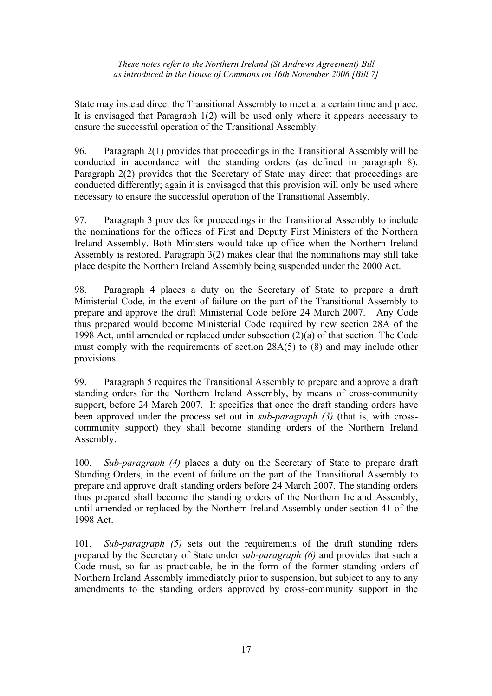State may instead direct the Transitional Assembly to meet at a certain time and place. It is envisaged that Paragraph 1(2) will be used only where it appears necessary to ensure the successful operation of the Transitional Assembly.

96. Paragraph 2(1) provides that proceedings in the Transitional Assembly will be conducted in accordance with the standing orders (as defined in paragraph 8). Paragraph 2(2) provides that the Secretary of State may direct that proceedings are conducted differently; again it is envisaged that this provision will only be used where necessary to ensure the successful operation of the Transitional Assembly.

97. Paragraph 3 provides for proceedings in the Transitional Assembly to include the nominations for the offices of First and Deputy First Ministers of the Northern Ireland Assembly. Both Ministers would take up office when the Northern Ireland Assembly is restored. Paragraph 3(2) makes clear that the nominations may still take place despite the Northern Ireland Assembly being suspended under the 2000 Act.

98. Paragraph 4 places a duty on the Secretary of State to prepare a draft Ministerial Code, in the event of failure on the part of the Transitional Assembly to prepare and approve the draft Ministerial Code before 24 March 2007. Any Code thus prepared would become Ministerial Code required by new section 28A of the 1998 Act, until amended or replaced under subsection (2)(a) of that section. The Code must comply with the requirements of section 28A(5) to (8) and may include other provisions.

99. Paragraph 5 requires the Transitional Assembly to prepare and approve a draft standing orders for the Northern Ireland Assembly, by means of cross-community support, before 24 March 2007. It specifies that once the draft standing orders have been approved under the process set out in *sub-paragraph (3)* (that is, with crosscommunity support) they shall become standing orders of the Northern Ireland Assembly.

100. *Sub-paragraph (4)* places a duty on the Secretary of State to prepare draft Standing Orders, in the event of failure on the part of the Transitional Assembly to prepare and approve draft standing orders before 24 March 2007. The standing orders thus prepared shall become the standing orders of the Northern Ireland Assembly, until amended or replaced by the Northern Ireland Assembly under section 41 of the 1998 Act.

101. *Sub-paragraph (5)* sets out the requirements of the draft standing rders prepared by the Secretary of State under *sub-paragraph (6)* and provides that such a Code must, so far as practicable, be in the form of the former standing orders of Northern Ireland Assembly immediately prior to suspension, but subject to any to any amendments to the standing orders approved by cross-community support in the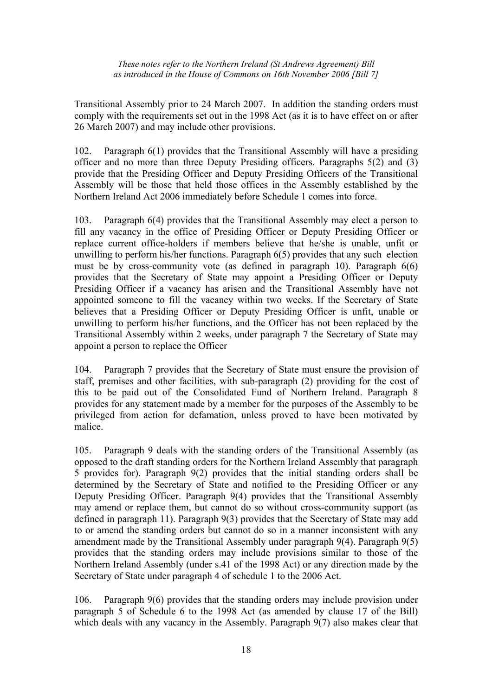Transitional Assembly prior to 24 March 2007. In addition the standing orders must comply with the requirements set out in the 1998 Act (as it is to have effect on or after 26 March 2007) and may include other provisions.

102. Paragraph 6(1) provides that the Transitional Assembly will have a presiding officer and no more than three Deputy Presiding officers. Paragraphs 5(2) and (3) provide that the Presiding Officer and Deputy Presiding Officers of the Transitional Assembly will be those that held those offices in the Assembly established by the Northern Ireland Act 2006 immediately before Schedule 1 comes into force.

103. Paragraph 6(4) provides that the Transitional Assembly may elect a person to fill any vacancy in the office of Presiding Officer or Deputy Presiding Officer or replace current office-holders if members believe that he/she is unable, unfit or unwilling to perform his/her functions. Paragraph 6(5) provides that any such election must be by cross-community vote (as defined in paragraph 10). Paragraph 6(6) provides that the Secretary of State may appoint a Presiding Officer or Deputy Presiding Officer if a vacancy has arisen and the Transitional Assembly have not appointed someone to fill the vacancy within two weeks. If the Secretary of State believes that a Presiding Officer or Deputy Presiding Officer is unfit, unable or unwilling to perform his/her functions, and the Officer has not been replaced by the Transitional Assembly within 2 weeks, under paragraph 7 the Secretary of State may appoint a person to replace the Officer

104. Paragraph 7 provides that the Secretary of State must ensure the provision of staff, premises and other facilities, with sub-paragraph (2) providing for the cost of this to be paid out of the Consolidated Fund of Northern Ireland. Paragraph 8 provides for any statement made by a member for the purposes of the Assembly to be privileged from action for defamation, unless proved to have been motivated by malice.

105. Paragraph 9 deals with the standing orders of the Transitional Assembly (as opposed to the draft standing orders for the Northern Ireland Assembly that paragraph 5 provides for). Paragraph 9(2) provides that the initial standing orders shall be determined by the Secretary of State and notified to the Presiding Officer or any Deputy Presiding Officer. Paragraph 9(4) provides that the Transitional Assembly may amend or replace them, but cannot do so without cross-community support (as defined in paragraph 11). Paragraph 9(3) provides that the Secretary of State may add to or amend the standing orders but cannot do so in a manner inconsistent with any amendment made by the Transitional Assembly under paragraph 9(4). Paragraph 9(5) provides that the standing orders may include provisions similar to those of the Northern Ireland Assembly (under s.41 of the 1998 Act) or any direction made by the Secretary of State under paragraph 4 of schedule 1 to the 2006 Act.

106. Paragraph 9(6) provides that the standing orders may include provision under paragraph 5 of Schedule 6 to the 1998 Act (as amended by clause 17 of the Bill) which deals with any vacancy in the Assembly. Paragraph 9(7) also makes clear that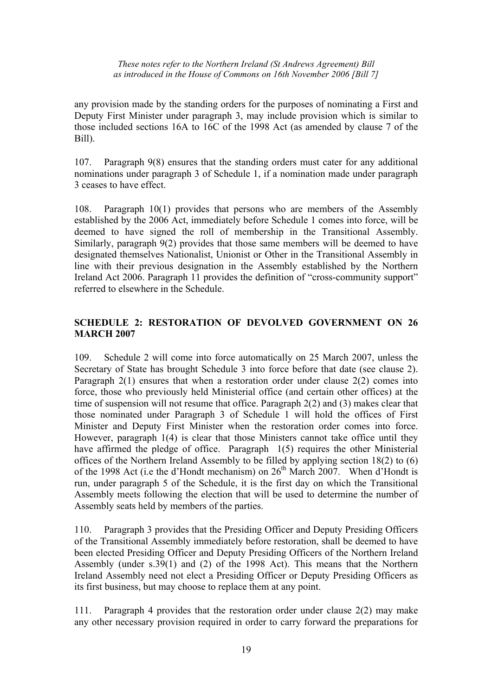any provision made by the standing orders for the purposes of nominating a First and Deputy First Minister under paragraph 3, may include provision which is similar to those included sections 16A to 16C of the 1998 Act (as amended by clause 7 of the Bill).

107. Paragraph 9(8) ensures that the standing orders must cater for any additional nominations under paragraph 3 of Schedule 1, if a nomination made under paragraph 3 ceases to have effect.

108. Paragraph 10(1) provides that persons who are members of the Assembly established by the 2006 Act, immediately before Schedule 1 comes into force, will be deemed to have signed the roll of membership in the Transitional Assembly. Similarly, paragraph 9(2) provides that those same members will be deemed to have designated themselves Nationalist, Unionist or Other in the Transitional Assembly in line with their previous designation in the Assembly established by the Northern Ireland Act 2006. Paragraph 11 provides the definition of "cross-community support" referred to elsewhere in the Schedule.

# **SCHEDULE 2: RESTORATION OF DEVOLVED GOVERNMENT ON 26 MARCH 2007**

109. Schedule 2 will come into force automatically on 25 March 2007, unless the Secretary of State has brought Schedule 3 into force before that date (see clause 2). Paragraph 2(1) ensures that when a restoration order under clause 2(2) comes into force, those who previously held Ministerial office (and certain other offices) at the time of suspension will not resume that office. Paragraph 2(2) and (3) makes clear that those nominated under Paragraph 3 of Schedule 1 will hold the offices of First Minister and Deputy First Minister when the restoration order comes into force. However, paragraph 1(4) is clear that those Ministers cannot take office until they have affirmed the pledge of office. Paragraph 1(5) requires the other Ministerial offices of the Northern Ireland Assembly to be filled by applying section 18(2) to (6) of the 1998 Act (i.e the d'Hondt mechanism) on  $26^{th}$  March 2007. When d'Hondt is run, under paragraph 5 of the Schedule, it is the first day on which the Transitional Assembly meets following the election that will be used to determine the number of Assembly seats held by members of the parties.

110. Paragraph 3 provides that the Presiding Officer and Deputy Presiding Officers of the Transitional Assembly immediately before restoration, shall be deemed to have been elected Presiding Officer and Deputy Presiding Officers of the Northern Ireland Assembly (under s.39(1) and (2) of the 1998 Act). This means that the Northern Ireland Assembly need not elect a Presiding Officer or Deputy Presiding Officers as its first business, but may choose to replace them at any point.

111. Paragraph 4 provides that the restoration order under clause 2(2) may make any other necessary provision required in order to carry forward the preparations for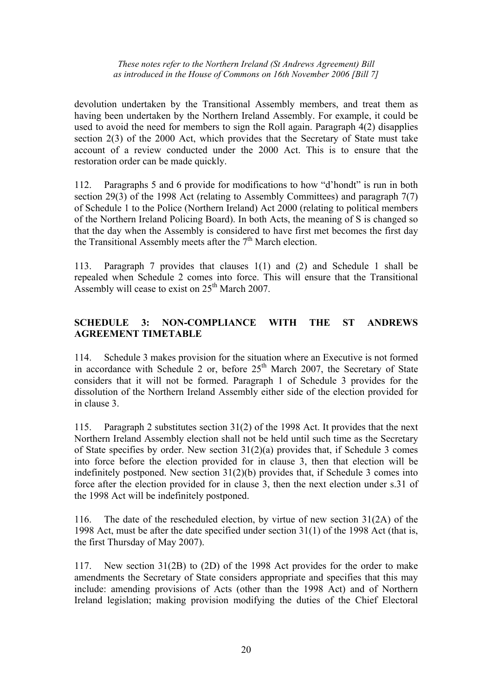devolution undertaken by the Transitional Assembly members, and treat them as having been undertaken by the Northern Ireland Assembly. For example, it could be used to avoid the need for members to sign the Roll again. Paragraph 4(2) disapplies section 2(3) of the 2000 Act, which provides that the Secretary of State must take account of a review conducted under the 2000 Act. This is to ensure that the restoration order can be made quickly.

112. Paragraphs 5 and 6 provide for modifications to how "d'hondt" is run in both section 29(3) of the 1998 Act (relating to Assembly Committees) and paragraph 7(7) of Schedule 1 to the Police (Northern Ireland) Act 2000 (relating to political members of the Northern Ireland Policing Board). In both Acts, the meaning of S is changed so that the day when the Assembly is considered to have first met becomes the first day the Transitional Assembly meets after the  $7<sup>th</sup>$  March election.

113. Paragraph 7 provides that clauses 1(1) and (2) and Schedule 1 shall be repealed when Schedule 2 comes into force. This will ensure that the Transitional Assembly will cease to exist on  $25<sup>th</sup>$  March 2007.

# **SCHEDULE 3: NON-COMPLIANCE WITH THE ST ANDREWS AGREEMENT TIMETABLE**

114. Schedule 3 makes provision for the situation where an Executive is not formed in accordance with Schedule 2 or, before  $25<sup>th</sup>$  March 2007, the Secretary of State considers that it will not be formed. Paragraph 1 of Schedule 3 provides for the dissolution of the Northern Ireland Assembly either side of the election provided for in clause 3.

115. Paragraph 2 substitutes section 31(2) of the 1998 Act. It provides that the next Northern Ireland Assembly election shall not be held until such time as the Secretary of State specifies by order. New section 31(2)(a) provides that, if Schedule 3 comes into force before the election provided for in clause 3, then that election will be indefinitely postponed. New section 31(2)(b) provides that, if Schedule 3 comes into force after the election provided for in clause 3, then the next election under s.31 of the 1998 Act will be indefinitely postponed.

116. The date of the rescheduled election, by virtue of new section 31(2A) of the 1998 Act, must be after the date specified under section 31(1) of the 1998 Act (that is, the first Thursday of May 2007).

117. New section 31(2B) to (2D) of the 1998 Act provides for the order to make amendments the Secretary of State considers appropriate and specifies that this may include: amending provisions of Acts (other than the 1998 Act) and of Northern Ireland legislation; making provision modifying the duties of the Chief Electoral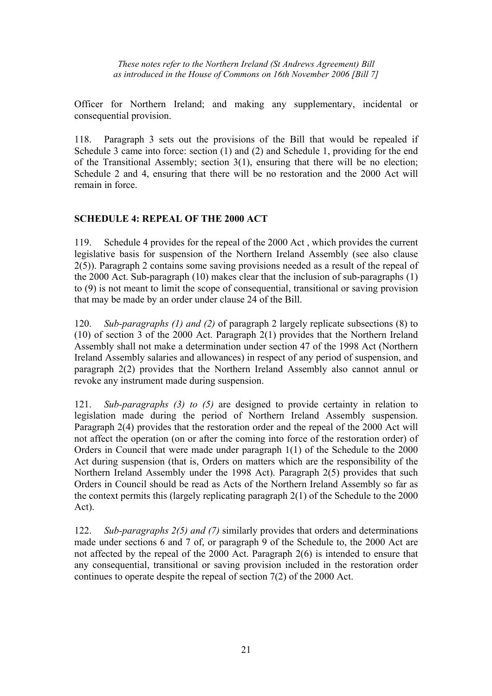Officer for Northern Ireland; and making any supplementary, incidental or consequential provision.

118. Paragraph 3 sets out the provisions of the Bill that would be repealed if Schedule 3 came into force: section (1) and (2) and Schedule 1, providing for the end of the Transitional Assembly; section 3(1), ensuring that there will be no election; Schedule 2 and 4, ensuring that there will be no restoration and the 2000 Act will remain in force.

# **SCHEDULE 4: REPEAL OF THE 2000 ACT**

119. Schedule 4 provides for the repeal of the 2000 Act , which provides the current legislative basis for suspension of the Northern Ireland Assembly (see also clause 2(5)). Paragraph 2 contains some saving provisions needed as a result of the repeal of the 2000 Act. Sub-paragraph (10) makes clear that the inclusion of sub-paragraphs (1) to (9) is not meant to limit the scope of consequential, transitional or saving provision that may be made by an order under clause 24 of the Bill.

120. *Sub-paragraphs (1) and (2)* of paragraph 2 largely replicate subsections (8) to (10) of section 3 of the 2000 Act. Paragraph 2(1) provides that the Northern Ireland Assembly shall not make a determination under section 47 of the 1998 Act (Northern Ireland Assembly salaries and allowances) in respect of any period of suspension, and paragraph 2(2) provides that the Northern Ireland Assembly also cannot annul or revoke any instrument made during suspension.

121. *Sub-paragraphs (3) to (5)* are designed to provide certainty in relation to legislation made during the period of Northern Ireland Assembly suspension. Paragraph 2(4) provides that the restoration order and the repeal of the 2000 Act will not affect the operation (on or after the coming into force of the restoration order) of Orders in Council that were made under paragraph 1(1) of the Schedule to the 2000 Act during suspension (that is, Orders on matters which are the responsibility of the Northern Ireland Assembly under the 1998 Act). Paragraph 2(5) provides that such Orders in Council should be read as Acts of the Northern Ireland Assembly so far as the context permits this (largely replicating paragraph 2(1) of the Schedule to the 2000 Act).

122. *Sub-paragraphs 2(5) and (7)* similarly provides that orders and determinations made under sections 6 and 7 of, or paragraph 9 of the Schedule to, the 2000 Act are not affected by the repeal of the 2000 Act. Paragraph 2(6) is intended to ensure that any consequential, transitional or saving provision included in the restoration order continues to operate despite the repeal of section 7(2) of the 2000 Act.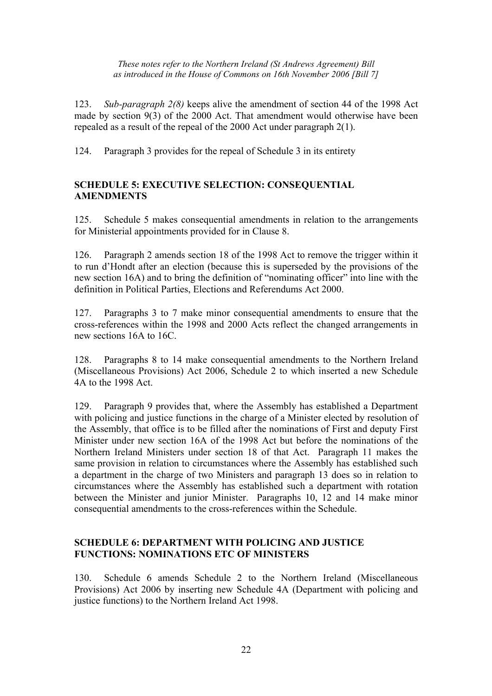123. *Sub-paragraph 2(8)* keeps alive the amendment of section 44 of the 1998 Act made by section 9(3) of the 2000 Act. That amendment would otherwise have been repealed as a result of the repeal of the 2000 Act under paragraph 2(1).

124. Paragraph 3 provides for the repeal of Schedule 3 in its entirety

# **SCHEDULE 5: EXECUTIVE SELECTION: CONSEQUENTIAL AMENDMENTS**

125. Schedule 5 makes consequential amendments in relation to the arrangements for Ministerial appointments provided for in Clause 8.

126. Paragraph 2 amends section 18 of the 1998 Act to remove the trigger within it to run d'Hondt after an election (because this is superseded by the provisions of the new section 16A) and to bring the definition of "nominating officer" into line with the definition in Political Parties, Elections and Referendums Act 2000.

127. Paragraphs 3 to 7 make minor consequential amendments to ensure that the cross-references within the 1998 and 2000 Acts reflect the changed arrangements in new sections 16A to 16C.

128. Paragraphs 8 to 14 make consequential amendments to the Northern Ireland (Miscellaneous Provisions) Act 2006, Schedule 2 to which inserted a new Schedule 4A to the 1998 Act.

129. Paragraph 9 provides that, where the Assembly has established a Department with policing and justice functions in the charge of a Minister elected by resolution of the Assembly, that office is to be filled after the nominations of First and deputy First Minister under new section 16A of the 1998 Act but before the nominations of the Northern Ireland Ministers under section 18 of that Act. Paragraph 11 makes the same provision in relation to circumstances where the Assembly has established such a department in the charge of two Ministers and paragraph 13 does so in relation to circumstances where the Assembly has established such a department with rotation between the Minister and junior Minister. Paragraphs 10, 12 and 14 make minor consequential amendments to the cross-references within the Schedule.

# **SCHEDULE 6: DEPARTMENT WITH POLICING AND JUSTICE FUNCTIONS: NOMINATIONS ETC OF MINISTERS**

130. Schedule 6 amends Schedule 2 to the Northern Ireland (Miscellaneous Provisions) Act 2006 by inserting new Schedule 4A (Department with policing and justice functions) to the Northern Ireland Act 1998.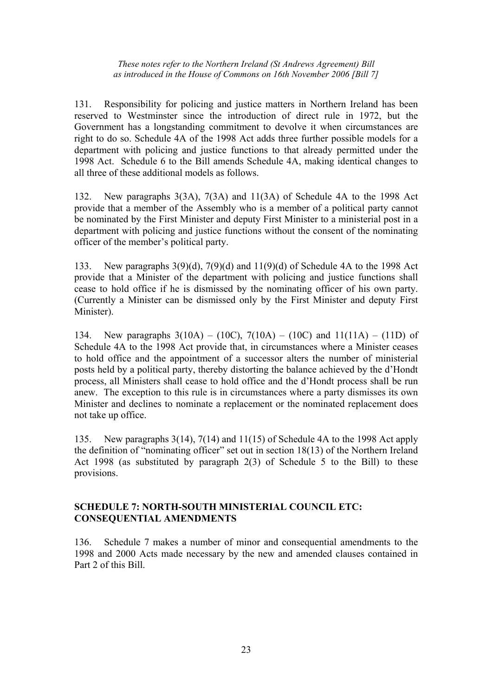131. Responsibility for policing and justice matters in Northern Ireland has been reserved to Westminster since the introduction of direct rule in 1972, but the Government has a longstanding commitment to devolve it when circumstances are right to do so. Schedule 4A of the 1998 Act adds three further possible models for a department with policing and justice functions to that already permitted under the 1998 Act. Schedule 6 to the Bill amends Schedule 4A, making identical changes to all three of these additional models as follows.

132. New paragraphs 3(3A), 7(3A) and 11(3A) of Schedule 4A to the 1998 Act provide that a member of the Assembly who is a member of a political party cannot be nominated by the First Minister and deputy First Minister to a ministerial post in a department with policing and justice functions without the consent of the nominating officer of the member's political party.

133. New paragraphs 3(9)(d), 7(9)(d) and 11(9)(d) of Schedule 4A to the 1998 Act provide that a Minister of the department with policing and justice functions shall cease to hold office if he is dismissed by the nominating officer of his own party. (Currently a Minister can be dismissed only by the First Minister and deputy First Minister).

134. New paragraphs  $3(10A) - (10C)$ ,  $7(10A) - (10C)$  and  $11(11A) - (11D)$  of Schedule 4A to the 1998 Act provide that, in circumstances where a Minister ceases to hold office and the appointment of a successor alters the number of ministerial posts held by a political party, thereby distorting the balance achieved by the d'Hondt process, all Ministers shall cease to hold office and the d'Hondt process shall be run anew. The exception to this rule is in circumstances where a party dismisses its own Minister and declines to nominate a replacement or the nominated replacement does not take up office.

135. New paragraphs 3(14), 7(14) and 11(15) of Schedule 4A to the 1998 Act apply the definition of "nominating officer" set out in section 18(13) of the Northern Ireland Act 1998 (as substituted by paragraph 2(3) of Schedule 5 to the Bill) to these provisions.

# **SCHEDULE 7: NORTH-SOUTH MINISTERIAL COUNCIL ETC: CONSEQUENTIAL AMENDMENTS**

136. Schedule 7 makes a number of minor and consequential amendments to the 1998 and 2000 Acts made necessary by the new and amended clauses contained in Part 2 of this Bill.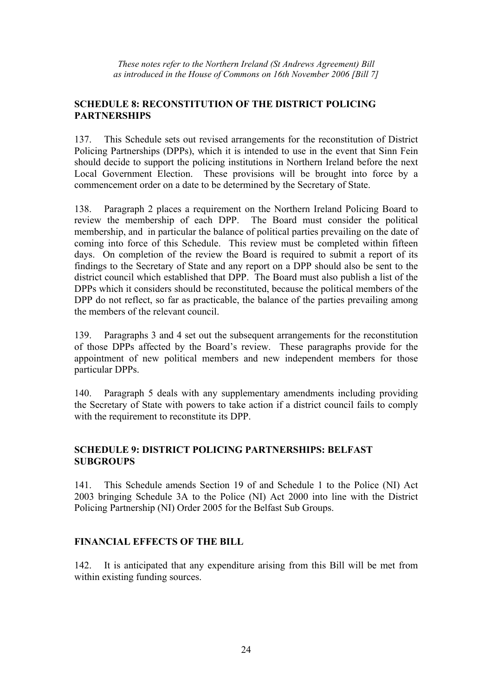# **SCHEDULE 8: RECONSTITUTION OF THE DISTRICT POLICING PARTNERSHIPS**

137. This Schedule sets out revised arrangements for the reconstitution of District Policing Partnerships (DPPs), which it is intended to use in the event that Sinn Fein should decide to support the policing institutions in Northern Ireland before the next Local Government Election. These provisions will be brought into force by a commencement order on a date to be determined by the Secretary of State.

138. Paragraph 2 places a requirement on the Northern Ireland Policing Board to review the membership of each DPP. The Board must consider the political membership, and in particular the balance of political parties prevailing on the date of coming into force of this Schedule. This review must be completed within fifteen days. On completion of the review the Board is required to submit a report of its findings to the Secretary of State and any report on a DPP should also be sent to the district council which established that DPP. The Board must also publish a list of the DPPs which it considers should be reconstituted, because the political members of the DPP do not reflect, so far as practicable, the balance of the parties prevailing among the members of the relevant council.

139. Paragraphs 3 and 4 set out the subsequent arrangements for the reconstitution of those DPPs affected by the Board's review. These paragraphs provide for the appointment of new political members and new independent members for those particular DPPs.

140. Paragraph 5 deals with any supplementary amendments including providing the Secretary of State with powers to take action if a district council fails to comply with the requirement to reconstitute its DPP.

# **SCHEDULE 9: DISTRICT POLICING PARTNERSHIPS: BELFAST SUBGROUPS**

141. This Schedule amends Section 19 of and Schedule 1 to the Police (NI) Act 2003 bringing Schedule 3A to the Police (NI) Act 2000 into line with the District Policing Partnership (NI) Order 2005 for the Belfast Sub Groups.

# **FINANCIAL EFFECTS OF THE BILL**

142. It is anticipated that any expenditure arising from this Bill will be met from within existing funding sources.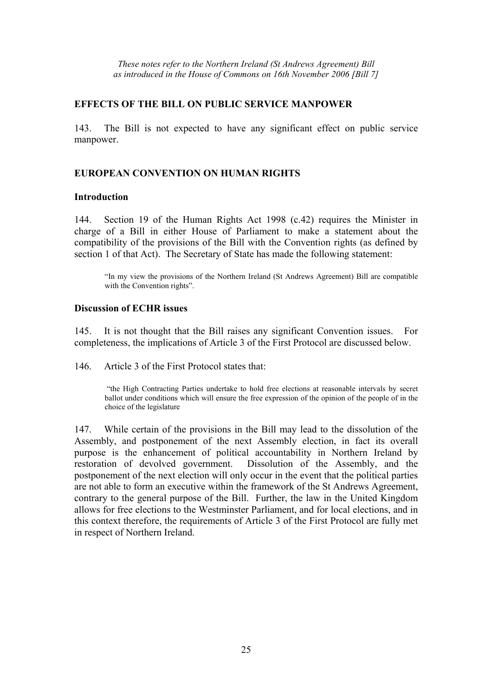# **EFFECTS OF THE BILL ON PUBLIC SERVICE MANPOWER**

143. The Bill is not expected to have any significant effect on public service manpower.

### **EUROPEAN CONVENTION ON HUMAN RIGHTS**

#### **Introduction**

144. Section 19 of the Human Rights Act 1998 (c.42) requires the Minister in charge of a Bill in either House of Parliament to make a statement about the compatibility of the provisions of the Bill with the Convention rights (as defined by section 1 of that Act). The Secretary of State has made the following statement:

"In my view the provisions of the Northern Ireland (St Andrews Agreement) Bill are compatible with the Convention rights".

#### **Discussion of ECHR issues**

145. It is not thought that the Bill raises any significant Convention issues. For completeness, the implications of Article 3 of the First Protocol are discussed below.

146. Article 3 of the First Protocol states that:

 "the High Contracting Parties undertake to hold free elections at reasonable intervals by secret ballot under conditions which will ensure the free expression of the opinion of the people of in the choice of the legislature

147. While certain of the provisions in the Bill may lead to the dissolution of the Assembly, and postponement of the next Assembly election, in fact its overall purpose is the enhancement of political accountability in Northern Ireland by restoration of devolved government. Dissolution of the Assembly, and the postponement of the next election will only occur in the event that the political parties are not able to form an executive within the framework of the St Andrews Agreement, contrary to the general purpose of the Bill. Further, the law in the United Kingdom allows for free elections to the Westminster Parliament, and for local elections, and in this context therefore, the requirements of Article 3 of the First Protocol are fully met in respect of Northern Ireland.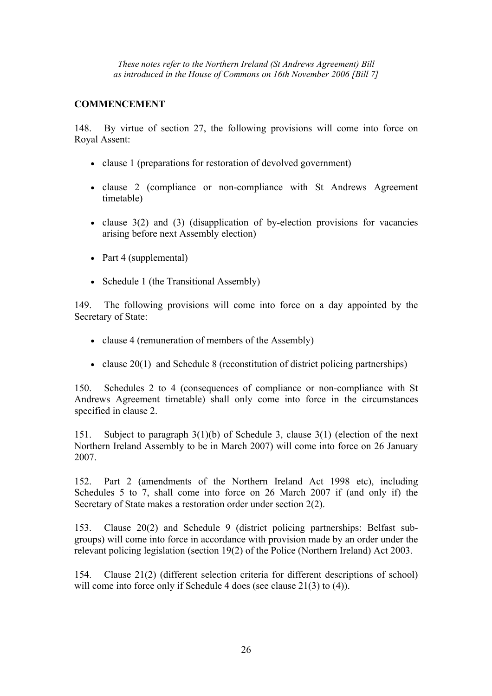# **COMMENCEMENT**

148. By virtue of section 27, the following provisions will come into force on Royal Assent:

- clause 1 (preparations for restoration of devolved government)
- clause 2 (compliance or non-compliance with St Andrews Agreement timetable)
- clause  $3(2)$  and  $(3)$  (disapplication of by-election provisions for vacancies arising before next Assembly election)
- Part 4 (supplemental)
- Schedule 1 (the Transitional Assembly)

149. The following provisions will come into force on a day appointed by the Secretary of State:

- clause 4 (remuneration of members of the Assembly)
- clause 20(1) and Schedule 8 (reconstitution of district policing partnerships)

150. Schedules 2 to 4 (consequences of compliance or non-compliance with St Andrews Agreement timetable) shall only come into force in the circumstances specified in clause 2.

151. Subject to paragraph 3(1)(b) of Schedule 3, clause 3(1) (election of the next Northern Ireland Assembly to be in March 2007) will come into force on 26 January 2007.

152. Part 2 (amendments of the Northern Ireland Act 1998 etc), including Schedules 5 to 7, shall come into force on 26 March 2007 if (and only if) the Secretary of State makes a restoration order under section 2(2).

153. Clause 20(2) and Schedule 9 (district policing partnerships: Belfast subgroups) will come into force in accordance with provision made by an order under the relevant policing legislation (section 19(2) of the Police (Northern Ireland) Act 2003.

154. Clause 21(2) (different selection criteria for different descriptions of school) will come into force only if Schedule 4 does (see clause 21(3) to (4)).